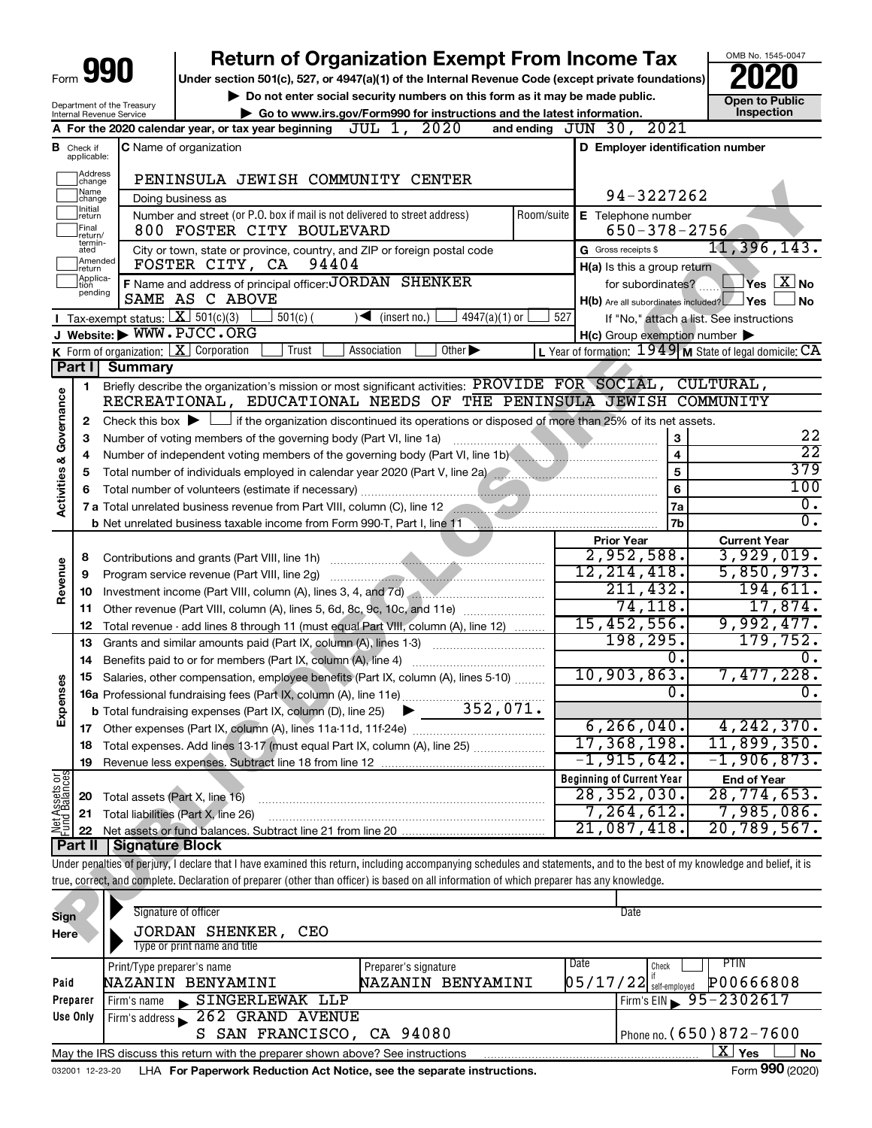## **990 a EXERCIT SOLUT LATE SOLUT AT A PART OF STAR CONSTRANT PROPERTY PROPERTY PROPERTY PROPERTY PROPERTY PROPERTY PROPERTY PROPERTY PROPERTY PROPERTY PROPERTY PROPERTY PROPERTY PROPERTY PROPERTY PROPERTY PROPERTY PROPE Return of Organization Exempt From Income Tax**

▶ Do not enter social security numbers on this form as it may be made public. **Dependent Open to Public Dependent Open to Public and the latest information.** Inspection **| Go to www.irs.gov/Form990 for instructions and the latest information. Inspection**

OMB No. 1545-0047

|                         |                               | Internal Revenue Service | Department of the Treasury                                        | Go to www.irs.gov/Form990 for instructions and the latest information.                                                                                                         |                                                     |                              | ועוט ו טא ווט<br>Inspection                               |  |  |  |  |
|-------------------------|-------------------------------|--------------------------|-------------------------------------------------------------------|--------------------------------------------------------------------------------------------------------------------------------------------------------------------------------|-----------------------------------------------------|------------------------------|-----------------------------------------------------------|--|--|--|--|
|                         |                               |                          |                                                                   | JUL 1, 2020<br>A For the 2020 calendar year, or tax year beginning                                                                                                             | and ending $JUN$ 30, $2021$                         |                              |                                                           |  |  |  |  |
|                         | <b>B</b> Check if applicable: |                          | D Employer identification number<br><b>C</b> Name of organization |                                                                                                                                                                                |                                                     |                              |                                                           |  |  |  |  |
|                         |                               |                          |                                                                   |                                                                                                                                                                                |                                                     |                              |                                                           |  |  |  |  |
|                         | Address<br>change             |                          |                                                                   | PENINSULA JEWISH COMMUNITY CENTER                                                                                                                                              |                                                     |                              |                                                           |  |  |  |  |
|                         | Name<br> change               |                          |                                                                   | Doing business as                                                                                                                                                              | 94-3227262                                          |                              |                                                           |  |  |  |  |
|                         | Initial<br>return             |                          |                                                                   | Number and street (or P.O. box if mail is not delivered to street address)<br>Room/suite                                                                                       | E Telephone number                                  |                              |                                                           |  |  |  |  |
|                         | Final<br>return/              |                          |                                                                   | 800 FOSTER CITY BOULEVARD                                                                                                                                                      | $650 - 378 - 2756$                                  |                              |                                                           |  |  |  |  |
|                         | termin-<br>ated               |                          |                                                                   | City or town, state or province, country, and ZIP or foreign postal code                                                                                                       | G Gross receipts \$                                 |                              | 11,396,143.                                               |  |  |  |  |
|                         | return                        | Amended                  |                                                                   | 94404<br>FOSTER CITY, CA                                                                                                                                                       | H(a) Is this a group return                         |                              |                                                           |  |  |  |  |
|                         | Applica-<br>tion<br>pending   |                          |                                                                   | F Name and address of principal officer: JORDAN SHENKER                                                                                                                        | for subordinates?                                   |                              | $\Box$ Yes $\Box$ No                                      |  |  |  |  |
|                         |                               |                          |                                                                   | SAME AS C ABOVE                                                                                                                                                                | H(b) Are all subordinates included? Yes             |                              | ∫No                                                       |  |  |  |  |
|                         |                               |                          |                                                                   | <b>I</b> Tax-exempt status: $X \overline{301(c)(3)}$<br>$501(c)$ (<br>$\sqrt{\bullet}$ (insert no.)<br>4947(a)(1) or                                                           | 527                                                 |                              | If "No," attach a list. See instructions                  |  |  |  |  |
|                         |                               |                          |                                                                   | J Website: WWW.PJCC.ORG                                                                                                                                                        | $H(c)$ Group exemption number $\blacktriangleright$ |                              |                                                           |  |  |  |  |
|                         |                               |                          |                                                                   | K Form of organization: $X$ Corporation<br>Trust<br>Association<br>Other $\blacktriangleright$                                                                                 |                                                     |                              | L Year of formation: $1949$ M State of legal domicile: CA |  |  |  |  |
|                         | Part I                        |                          | <b>Summary</b>                                                    |                                                                                                                                                                                |                                                     |                              |                                                           |  |  |  |  |
|                         | 1                             |                          |                                                                   | Briefly describe the organization's mission or most significant activities: PROVIDE FOR SOCIAL, CULTURAL,<br>RECREATIONAL, EDUCATIONAL NEEDS OF THE PENINSULA JEWISH COMMUNITY |                                                     |                              |                                                           |  |  |  |  |
| Activities & Governance |                               |                          |                                                                   |                                                                                                                                                                                |                                                     |                              |                                                           |  |  |  |  |
|                         | $\mathbf{2}$                  |                          |                                                                   | Check this box $\blacktriangleright$ $\Box$ if the organization discontinued its operations or disposed of more than 25% of its net assets.                                    |                                                     |                              | 22                                                        |  |  |  |  |
|                         | З                             |                          |                                                                   |                                                                                                                                                                                |                                                     | 3<br>$\overline{\mathbf{4}}$ | $\overline{22}$                                           |  |  |  |  |
|                         | 4                             |                          |                                                                   | Number of independent voting members of the governing body (Part VI, line 1b) <b>Common Convention</b> Commonwered in                                                          |                                                     | 5                            | 379                                                       |  |  |  |  |
|                         | 5<br>6                        |                          |                                                                   |                                                                                                                                                                                |                                                     | $6\phantom{a}$               | 100                                                       |  |  |  |  |
|                         |                               |                          |                                                                   | 7 a Total unrelated business revenue from Part VIII, column (C), line 12                                                                                                       |                                                     | 7a                           | 0.                                                        |  |  |  |  |
|                         |                               |                          |                                                                   | b Net unrelated business taxable income from Form 990-T, Part I, line 11 Martin Communication and the United States                                                            |                                                     | 7b                           | 0.                                                        |  |  |  |  |
|                         |                               |                          |                                                                   |                                                                                                                                                                                | <b>Prior Year</b>                                   |                              | <b>Current Year</b>                                       |  |  |  |  |
|                         | 8                             |                          |                                                                   |                                                                                                                                                                                | 2,952,588.                                          |                              | 3,929,019.                                                |  |  |  |  |
|                         | 9                             |                          |                                                                   | Program service revenue (Part VIII, line 2g)                                                                                                                                   | 12, 214, 418.                                       |                              | 5,850,973.                                                |  |  |  |  |
| Revenue                 | 10                            |                          |                                                                   | Investment income (Part VIII, column (A), lines 3, 4, and 7d)                                                                                                                  | 211,432.                                            |                              | 194,611.                                                  |  |  |  |  |
|                         | 11                            |                          |                                                                   | Other revenue (Part VIII, column (A), lines 5, 6d, 8c, 9c, 10c, and 11e)                                                                                                       | 74, 118.                                            |                              | 17,874.                                                   |  |  |  |  |
|                         | 12                            |                          |                                                                   | Total revenue - add lines 8 through 11 (must equal Part VIII, column (A), line 12)                                                                                             | 15,452,556.                                         |                              | 9,992,477.                                                |  |  |  |  |
|                         | 13                            |                          |                                                                   | Grants and similar amounts paid (Part IX, column (A), lines 1-3)                                                                                                               | 198,295.                                            |                              | 179,752.                                                  |  |  |  |  |
|                         | 14                            |                          |                                                                   | Benefits paid to or for members (Part IX, column (A), line 4)                                                                                                                  |                                                     | 0.                           |                                                           |  |  |  |  |
|                         | 15                            |                          |                                                                   | Salaries, other compensation, employee benefits (Part IX, column (A), lines 5-10)                                                                                              | 10,903,863.                                         |                              | 7,477,228.                                                |  |  |  |  |
| Expenses                |                               |                          |                                                                   | 16a Professional fundraising fees (Part IX, column (A), line 11e)                                                                                                              |                                                     | 0.                           | 0.                                                        |  |  |  |  |
|                         |                               |                          |                                                                   | 352,071.<br><b>b</b> Total fundraising expenses (Part IX, column (D), line 25)                                                                                                 |                                                     |                              |                                                           |  |  |  |  |
|                         |                               |                          |                                                                   |                                                                                                                                                                                | 6, 266, 040.                                        |                              | 4, 242, 370.                                              |  |  |  |  |
|                         |                               |                          |                                                                   | Total expenses. Add lines 13-17 (must equal Part IX, column (A), line 25) [                                                                                                    | 17,368,198.                                         |                              | 11,899,350.                                               |  |  |  |  |
|                         | 19                            |                          |                                                                   |                                                                                                                                                                                | $-1,915,642.$                                       |                              | $-1,906,873.$                                             |  |  |  |  |
| Net Assets or           |                               |                          |                                                                   |                                                                                                                                                                                | <b>Beginning of Current Year</b>                    |                              | <b>End of Year</b>                                        |  |  |  |  |
|                         | 20                            |                          |                                                                   | Total assets (Part X, line 16)                                                                                                                                                 | 28, 352, 030.                                       |                              | 28,774,653.                                               |  |  |  |  |
|                         | 21                            |                          |                                                                   | Total liabilities (Part X, line 26)                                                                                                                                            | 7,264,612.                                          |                              | 7,985,086.                                                |  |  |  |  |
|                         | 22                            |                          |                                                                   |                                                                                                                                                                                | 21,087,418.                                         |                              | 20,789,567.                                               |  |  |  |  |
|                         | Part II                       |                          | <b>Signature Block</b>                                            |                                                                                                                                                                                |                                                     |                              |                                                           |  |  |  |  |
|                         |                               |                          |                                                                   | Under penalties of perjury, I declare that I have examined this return, including accompanying schedules and statements, and to the best of my knowledge and belief, it is     |                                                     |                              |                                                           |  |  |  |  |
|                         |                               |                          |                                                                   | true, correct, and complete. Declaration of preparer (other than officer) is based on all information of which preparer has any knowledge.                                     |                                                     |                              |                                                           |  |  |  |  |
|                         |                               |                          |                                                                   |                                                                                                                                                                                |                                                     |                              |                                                           |  |  |  |  |
| Sign                    |                               |                          |                                                                   | Signature of officer                                                                                                                                                           | Date                                                |                              |                                                           |  |  |  |  |
| Here                    |                               |                          |                                                                   | JORDAN SHENKER, CEO                                                                                                                                                            |                                                     |                              |                                                           |  |  |  |  |

| Sign<br>Here    | Signature of officer<br><b>JORDAN SHENKER,</b><br>CEO<br>Type or print name and title |                             |      | Date                                         |
|-----------------|---------------------------------------------------------------------------------------|-----------------------------|------|----------------------------------------------|
|                 | Print/Type preparer's name                                                            | Preparer's signature        | Date | PTIN<br>Check                                |
| Paid            | NAZANIN BENYAMINI                                                                     | <b>BENYAMINI</b><br>NAZANIN |      | <b>P00666808</b><br>$05/17/22$ self-employed |
| Preparer        | SINGERLEWAK LLP<br>Firm's name                                                        |                             |      | Firm's EIN $\sqrt{95-2302617}$               |
| Use Only        | 262 GRAND AVENUE<br>Firm's address                                                    |                             |      |                                              |
|                 | SAN FRANCISCO, CA 94080<br>S                                                          |                             |      | Phone no. (650) 872-7600                     |
|                 | May the IRS discuss this return with the preparer shown above? See instructions       |                             |      | x.<br>Yes<br>No                              |
| 032001 12-23-20 | LHA For Paperwork Reduction Act Notice, see the separate instructions.                |                             |      | Form 990 (2020)                              |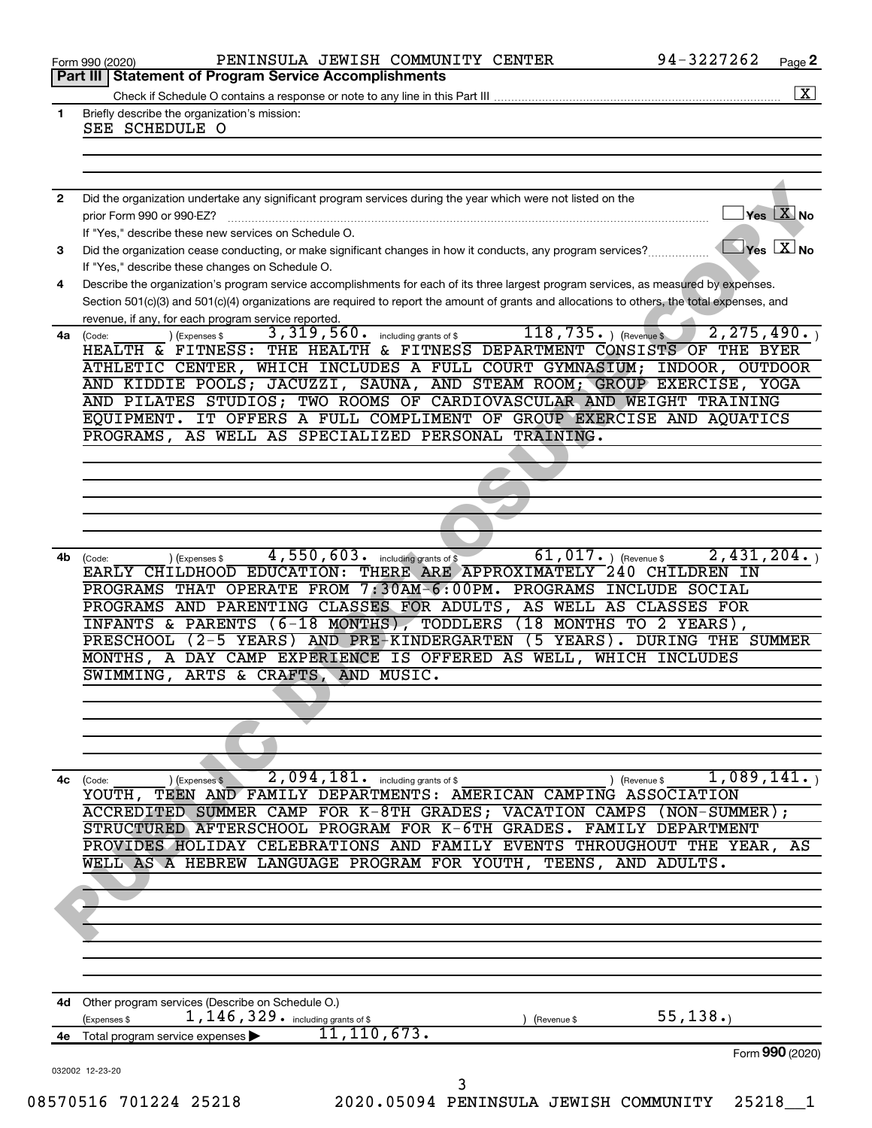|              | PENINSULA JEWISH COMMUNITY CENTER<br>Form 990 (2020)                                                                                                         | 94-3227262                          | Page 2 |
|--------------|--------------------------------------------------------------------------------------------------------------------------------------------------------------|-------------------------------------|--------|
|              | <b>Statement of Program Service Accomplishments</b><br>Part III                                                                                              |                                     |        |
|              |                                                                                                                                                              |                                     |        |
| $\mathbf{1}$ | Briefly describe the organization's mission:<br>SEE SCHEDULE O                                                                                               |                                     |        |
|              |                                                                                                                                                              |                                     |        |
|              |                                                                                                                                                              |                                     |        |
|              |                                                                                                                                                              |                                     |        |
| $\mathbf{2}$ | Did the organization undertake any significant program services during the year which were not listed on the                                                 |                                     |        |
|              | prior Form 990 or 990-EZ?                                                                                                                                    | $Yes$ $Xno$                         |        |
|              | If "Yes," describe these new services on Schedule O.                                                                                                         |                                     |        |
| 3            | Did the organization cease conducting, or make significant changes in how it conducts, any program services?                                                 | $\sqrt{}$ Yes $\boxed{\text{X}}$ No |        |
|              | If "Yes," describe these changes on Schedule O.                                                                                                              |                                     |        |
| 4            | Describe the organization's program service accomplishments for each of its three largest program services, as measured by expenses.                         |                                     |        |
|              | Section 501(c)(3) and 501(c)(4) organizations are required to report the amount of grants and allocations to others, the total expenses, and                 |                                     |        |
|              | revenue, if any, for each program service reported.                                                                                                          |                                     |        |
| 4a           | $118, 735.$ ) (Revenue \$<br>3, 319, 560. including grants of \$<br>) (Expenses \$<br>(Code:                                                                 | 2, 275, 490.                        |        |
|              | HEALTH & FITNESS: THE HEALTH & FITNESS DEPARTMENT CONSISTS OF THE BYER                                                                                       |                                     |        |
|              | ATHLETIC CENTER, WHICH INCLUDES A FULL COURT GYMNASIUM; INDOOR, OUTDOOR                                                                                      |                                     |        |
|              | AND KIDDIE POOLS; JACUZZI, SAUNA, AND STEAM ROOM; GROUP EXERCISE, YOGA                                                                                       |                                     |        |
|              | AND PILATES STUDIOS; TWO ROOMS OF CARDIOVASCULAR AND WEIGHT TRAINING                                                                                         |                                     |        |
|              | EQUIPMENT. IT OFFERS A FULL COMPLIMENT OF GROUP EXERCISE AND AQUATICS                                                                                        |                                     |        |
|              | PROGRAMS, AS WELL AS SPECIALIZED PERSONAL TRAINING.                                                                                                          |                                     |        |
|              |                                                                                                                                                              |                                     |        |
|              |                                                                                                                                                              |                                     |        |
|              |                                                                                                                                                              |                                     |        |
|              |                                                                                                                                                              |                                     |        |
|              |                                                                                                                                                              |                                     |        |
|              |                                                                                                                                                              |                                     |        |
| 4b           | $61,017.$ (Revenue \$<br>4,550,603. including grants of \$<br>) (Expenses \$<br>(Code:<br>EARLY CHILDHOOD EDUCATION: THERE ARE APPROXIMATELY 240 CHILDREN IN | 2,431,204.                          |        |
|              | PROGRAMS THAT OPERATE FROM 7:30AM-6:00PM. PROGRAMS INCLUDE SOCIAL                                                                                            |                                     |        |
|              | PROGRAMS AND PARENTING CLASSES FOR ADULTS, AS WELL AS CLASSES FOR                                                                                            |                                     |        |
|              | INFANTS & PARENTS (6-18 MONTHS), TODDLERS (18 MONTHS TO 2 YEARS),<br>PRESCHOOL (2-5 YEARS) AND PRE-KINDERGARTEN (5 YEARS). DURING THE SUMMER                 |                                     |        |
|              | MONTHS, A DAY CAMP EXPERIENCE IS OFFERED AS WELL, WHICH INCLUDES                                                                                             |                                     |        |
|              | SWIMMING, ARTS & CRAFTS, AND MUSIC.                                                                                                                          |                                     |        |
|              |                                                                                                                                                              |                                     |        |
|              |                                                                                                                                                              |                                     |        |
|              |                                                                                                                                                              |                                     |        |
|              |                                                                                                                                                              |                                     |        |
|              |                                                                                                                                                              |                                     |        |
| 4с           | 2,094,181.<br>) (Expenses \$<br>including grants of \$<br>) (Revenue \$                                                                                      | 1,089,141.                          |        |
|              | (Code:<br>YOUTH, TEEN AND FAMILY DEPARTMENTS: AMERICAN CAMPING ASSOCIATION                                                                                   |                                     |        |
|              | ACCREDITED SUMMER CAMP FOR K-8TH GRADES; VACATION CAMPS                                                                                                      | $(NON-SUMMER)$ ;                    |        |
|              | STRUCTURED AFTERSCHOOL PROGRAM FOR K-6TH GRADES. FAMILY DEPARTMENT                                                                                           |                                     |        |
|              | PROVIDES HOLIDAY CELEBRATIONS AND FAMILY EVENTS THROUGHOUT THE YEAR,                                                                                         |                                     | AS     |
|              | WELL AS A HEBREW LANGUAGE PROGRAM FOR YOUTH,<br>TEENS, AND ADULTS.                                                                                           |                                     |        |
|              |                                                                                                                                                              |                                     |        |
|              |                                                                                                                                                              |                                     |        |
|              |                                                                                                                                                              |                                     |        |
|              |                                                                                                                                                              |                                     |        |
|              |                                                                                                                                                              |                                     |        |
|              |                                                                                                                                                              |                                     |        |
|              |                                                                                                                                                              |                                     |        |
| 4d -         | Other program services (Describe on Schedule O.)<br>1, 146, 329. including grants of \$<br>(Expenses \$<br>(Revenue \$                                       | 55, 138.                            |        |
| 4е           | 11, 110, 673.<br>Total program service expenses                                                                                                              |                                     |        |
|              |                                                                                                                                                              | Form 990 (2020)                     |        |
|              | 032002 12-23-20<br>3                                                                                                                                         |                                     |        |
|              | 08570516 701224 25218<br>2020.05094 PENINSULA JEWISH COMMUNITY                                                                                               | 25218                               |        |
|              |                                                                                                                                                              |                                     |        |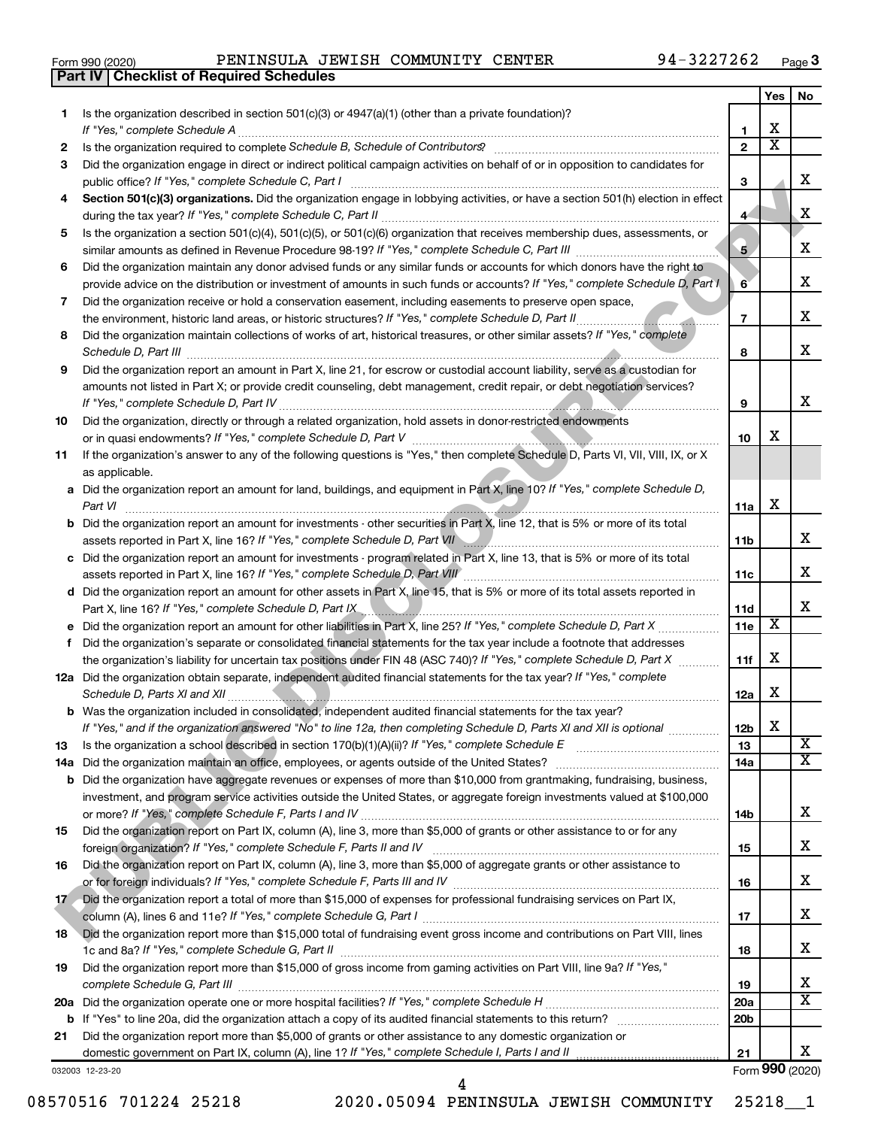|  | Form 990 (2020) |
|--|-----------------|
|  |                 |

**Part IV Checklist of Required Schedules**

Form 990 (2020) PENINSULA JEWISH COMMUNITY CENTER 94-3227262 <sub>Page</sub>

|     |                                                                                                                                                                                                                                                           |                         | Yes                     | No                      |  |  |  |
|-----|-----------------------------------------------------------------------------------------------------------------------------------------------------------------------------------------------------------------------------------------------------------|-------------------------|-------------------------|-------------------------|--|--|--|
| 1   | Is the organization described in section $501(c)(3)$ or $4947(a)(1)$ (other than a private foundation)?                                                                                                                                                   |                         |                         |                         |  |  |  |
|     | If "Yes," complete Schedule A                                                                                                                                                                                                                             | 1                       | х                       |                         |  |  |  |
| 2   | Is the organization required to complete Schedule B, Schedule of Contributors? [11] the organization required to complete Schedule B, Schedule of Contributors?                                                                                           | $\overline{2}$          | $\overline{\textbf{x}}$ |                         |  |  |  |
| 3   | Did the organization engage in direct or indirect political campaign activities on behalf of or in opposition to candidates for                                                                                                                           |                         |                         |                         |  |  |  |
|     | public office? If "Yes," complete Schedule C, Part I                                                                                                                                                                                                      | З                       |                         | х                       |  |  |  |
| 4   | Section 501(c)(3) organizations. Did the organization engage in lobbying activities, or have a section 501(h) election in effect                                                                                                                          | 4 <sup>1</sup>          |                         | X                       |  |  |  |
| 5   | Is the organization a section 501(c)(4), 501(c)(5), or 501(c)(6) organization that receives membership dues, assessments, or                                                                                                                              |                         |                         |                         |  |  |  |
|     |                                                                                                                                                                                                                                                           | $\overline{\mathbf{5}}$ |                         | х                       |  |  |  |
| 6   | Did the organization maintain any donor advised funds or any similar funds or accounts for which donors have the right to<br>provide advice on the distribution or investment of amounts in such funds or accounts? If "Yes," complete Schedule D, Part I | 6                       |                         | x                       |  |  |  |
| 7   | Did the organization receive or hold a conservation easement, including easements to preserve open space,                                                                                                                                                 | $\overline{7}$          |                         | х                       |  |  |  |
|     |                                                                                                                                                                                                                                                           |                         |                         |                         |  |  |  |
| 8   | Did the organization maintain collections of works of art, historical treasures, or other similar assets? If "Yes," complete                                                                                                                              | 8                       |                         | x                       |  |  |  |
| 9   | Did the organization report an amount in Part X, line 21, for escrow or custodial account liability, serve as a custodian for                                                                                                                             |                         |                         |                         |  |  |  |
|     | amounts not listed in Part X; or provide credit counseling, debt management, credit repair, or debt negotiation services?<br>If "Yes," complete Schedule D, Part IV                                                                                       | 9                       |                         | х                       |  |  |  |
| 10  | Did the organization, directly or through a related organization, hold assets in donor-restricted endowments                                                                                                                                              |                         |                         |                         |  |  |  |
|     |                                                                                                                                                                                                                                                           | 10                      | х                       |                         |  |  |  |
| 11  | If the organization's answer to any of the following questions is "Yes," then complete Schedule D, Parts VI, VII, VIII, IX, or X<br>as applicable.                                                                                                        |                         |                         |                         |  |  |  |
|     | a Did the organization report an amount for land, buildings, and equipment in Part X, line 10? If "Yes," complete Schedule D,                                                                                                                             |                         |                         |                         |  |  |  |
|     | Part VI                                                                                                                                                                                                                                                   | 11a                     | х                       |                         |  |  |  |
|     | <b>b</b> Did the organization report an amount for investments - other securities in Part X, line 12, that is 5% or more of its total                                                                                                                     |                         |                         |                         |  |  |  |
|     |                                                                                                                                                                                                                                                           | 11 <sub>b</sub>         |                         | х                       |  |  |  |
|     | c Did the organization report an amount for investments - program related in Part X, line 13, that is 5% or more of its total                                                                                                                             |                         |                         |                         |  |  |  |
|     | assets reported in Part X, line 16? If "Yes," complete Schedule D, Part VIII [111] [11] [11] [11] [11] [11] [1                                                                                                                                            | 11c                     |                         | х                       |  |  |  |
|     | d Did the organization report an amount for other assets in Part X, line 15, that is 5% or more of its total assets reported in                                                                                                                           |                         |                         |                         |  |  |  |
|     | Part X, line 16? If "Yes," complete Schedule D, Part IX                                                                                                                                                                                                   | 11d                     |                         | x                       |  |  |  |
|     |                                                                                                                                                                                                                                                           | 11e                     | X                       |                         |  |  |  |
|     | f Did the organization's separate or consolidated financial statements for the tax year include a footnote that addresses                                                                                                                                 |                         |                         |                         |  |  |  |
|     | the organization's liability for uncertain tax positions under FIN 48 (ASC 740)? If "Yes," complete Schedule D, Part X                                                                                                                                    | 11f                     | х                       |                         |  |  |  |
|     | 12a Did the organization obtain separate, independent audited financial statements for the tax year? If "Yes," complete<br>Schedule D, Parts XI and XII                                                                                                   | 12a                     | х                       |                         |  |  |  |
|     | <b>b</b> Was the organization included in consolidated, independent audited financial statements for the tax year?                                                                                                                                        |                         |                         |                         |  |  |  |
|     | If "Yes," and if the organization answered "No" to line 12a, then completing Schedule D, Parts XI and XII is optional <i>www.www</i>                                                                                                                      | 12 <sub>b</sub>         | X                       |                         |  |  |  |
| 13  |                                                                                                                                                                                                                                                           | 13                      |                         | $\overline{\mathbf{X}}$ |  |  |  |
| 14a |                                                                                                                                                                                                                                                           | 14a                     |                         | $\overline{\mathbf{X}}$ |  |  |  |
| b   | Did the organization have aggregate revenues or expenses of more than \$10,000 from grantmaking, fundraising, business,                                                                                                                                   |                         |                         |                         |  |  |  |
|     | investment, and program service activities outside the United States, or aggregate foreign investments valued at \$100,000                                                                                                                                |                         |                         |                         |  |  |  |
|     |                                                                                                                                                                                                                                                           | 14b                     |                         | x                       |  |  |  |
| 15  | Did the organization report on Part IX, column (A), line 3, more than \$5,000 of grants or other assistance to or for any                                                                                                                                 |                         |                         | x                       |  |  |  |
|     | Did the organization report on Part IX, column (A), line 3, more than \$5,000 of aggregate grants or other assistance to                                                                                                                                  | 15                      |                         |                         |  |  |  |
| 16  |                                                                                                                                                                                                                                                           | 16                      |                         | х                       |  |  |  |
| 17  | Did the organization report a total of more than \$15,000 of expenses for professional fundraising services on Part IX,                                                                                                                                   |                         |                         |                         |  |  |  |
|     |                                                                                                                                                                                                                                                           | 17                      |                         | х                       |  |  |  |
| 18  | Did the organization report more than \$15,000 total of fundraising event gross income and contributions on Part VIII, lines                                                                                                                              |                         |                         |                         |  |  |  |
|     |                                                                                                                                                                                                                                                           | 18                      |                         | х                       |  |  |  |
| 19  | Did the organization report more than \$15,000 of gross income from gaming activities on Part VIII, line 9a? If "Yes,"                                                                                                                                    | 19                      |                         | х                       |  |  |  |
|     |                                                                                                                                                                                                                                                           | 20a                     |                         | X                       |  |  |  |
| b   | If "Yes" to line 20a, did the organization attach a copy of its audited financial statements to this return?                                                                                                                                              | 20 <sub>b</sub>         |                         |                         |  |  |  |
| 21  | Did the organization report more than \$5,000 of grants or other assistance to any domestic organization or                                                                                                                                               |                         |                         |                         |  |  |  |
|     | domestic government on Part IX, column (A), line 1? If "Yes," complete Schedule I, Parts I and II                                                                                                                                                         | 21                      |                         | x                       |  |  |  |
|     | 032003 12-23-20                                                                                                                                                                                                                                           |                         |                         | Form 990 (2020)         |  |  |  |

08570516 701224 25218 2020.05094 PENINSULA JEWISH COMMUNITY 25218\_1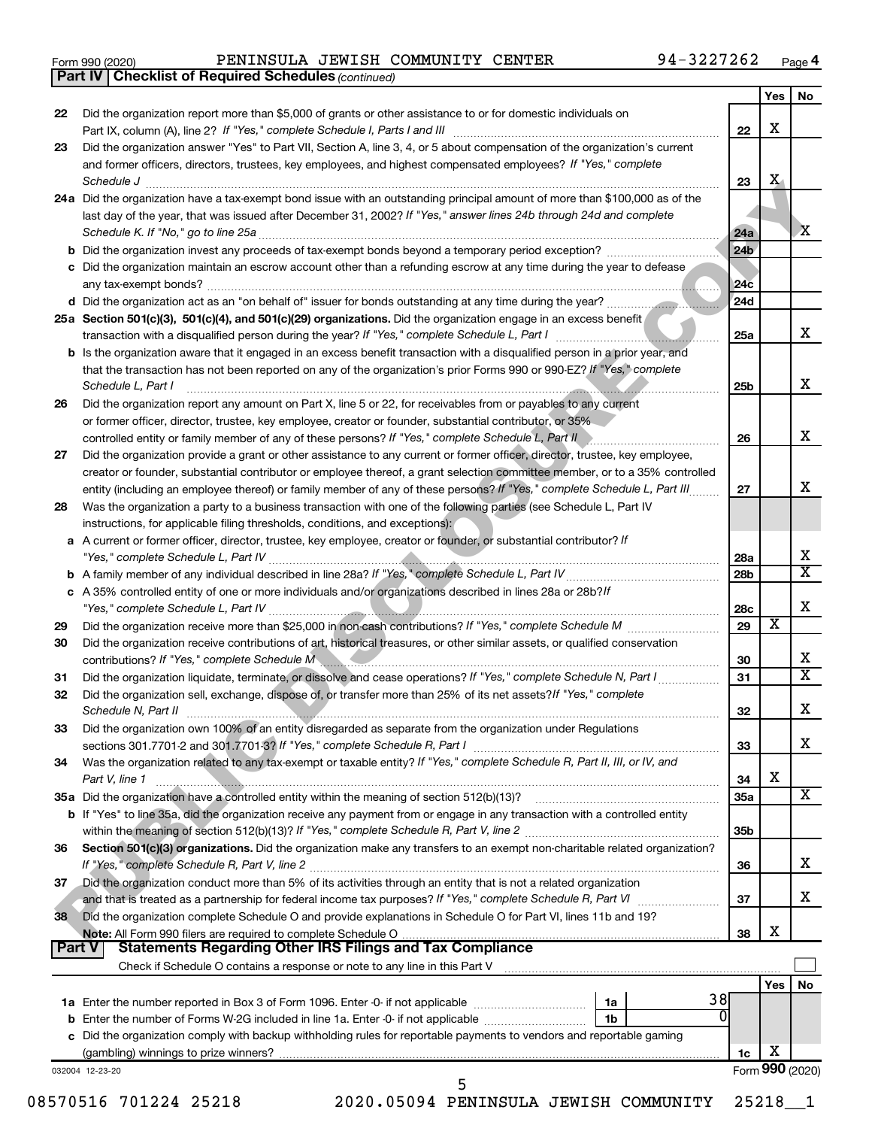|  | Form 990 (2020) |  |
|--|-----------------|--|
|  |                 |  |

*(continued)* **Part IV Checklist of Required Schedules**

|    |                                                                                                                                                                                                                                                                             |                 | Yes   No        |                              |
|----|-----------------------------------------------------------------------------------------------------------------------------------------------------------------------------------------------------------------------------------------------------------------------------|-----------------|-----------------|------------------------------|
| 22 | Did the organization report more than \$5,000 of grants or other assistance to or for domestic individuals on                                                                                                                                                               |                 | X               |                              |
| 23 | Did the organization answer "Yes" to Part VII, Section A, line 3, 4, or 5 about compensation of the organization's current                                                                                                                                                  | 22              |                 |                              |
|    | and former officers, directors, trustees, key employees, and highest compensated employees? If "Yes," complete                                                                                                                                                              |                 |                 |                              |
|    | Schedule J                                                                                                                                                                                                                                                                  | 23              | $\mathbf{X}$    |                              |
|    | 24a Did the organization have a tax-exempt bond issue with an outstanding principal amount of more than \$100,000 as of the<br>last day of the year, that was issued after December 31, 2002? If "Yes," answer lines 24b through 24d and complete                           |                 |                 |                              |
|    | Schedule K. If "No," go to line 25a                                                                                                                                                                                                                                         | 24a             |                 | X                            |
|    |                                                                                                                                                                                                                                                                             | 24 <sub>b</sub> |                 |                              |
|    | c Did the organization maintain an escrow account other than a refunding escrow at any time during the year to defease<br>any tax-exempt bonds?                                                                                                                             | 24 <sub>c</sub> |                 |                              |
|    |                                                                                                                                                                                                                                                                             | 24d             |                 |                              |
|    | 25a Section 501(c)(3), 501(c)(4), and 501(c)(29) organizations. Did the organization engage in an excess benefit                                                                                                                                                            | 25a             |                 | x                            |
|    | b Is the organization aware that it engaged in an excess benefit transaction with a disqualified person in a prior year, and<br>that the transaction has not been reported on any of the organization's prior Forms 990 or 990-EZ? If "Yes," complete<br>Schedule L, Part I | 25b             |                 | x                            |
| 26 | Did the organization report any amount on Part X, line 5 or 22, for receivables from or payables to any current<br>or former officer, director, trustee, key employee, creator or founder, substantial contributor, or 35%                                                  |                 |                 |                              |
|    | controlled entity or family member of any of these persons? If "Yes," complete Schedule L, Part II                                                                                                                                                                          | 26              |                 | x                            |
| 27 | Did the organization provide a grant or other assistance to any current or former officer, director, trustee, key employee,                                                                                                                                                 |                 |                 |                              |
|    | creator or founder, substantial contributor or employee thereof, a grant selection committee member, or to a 35% controlled                                                                                                                                                 |                 |                 | x                            |
| 28 | entity (including an employee thereof) or family member of any of these persons? If "Yes," complete Schedule L, Part III<br>Was the organization a party to a business transaction with one of the following parties (see Schedule L, Part IV                               | 27              |                 |                              |
|    | instructions, for applicable filing thresholds, conditions, and exceptions):<br>a A current or former officer, director, trustee, key employee, creator or founder, or substantial contributor? If                                                                          |                 |                 |                              |
|    |                                                                                                                                                                                                                                                                             | 28a             |                 | Х<br>$\overline{\textbf{x}}$ |
|    |                                                                                                                                                                                                                                                                             | 28 <sub>b</sub> |                 |                              |
|    | c A 35% controlled entity of one or more individuals and/or organizations described in lines 28a or 28b?/f                                                                                                                                                                  | 28c             |                 | Х                            |
| 29 |                                                                                                                                                                                                                                                                             | 29              | х               |                              |
| 30 | Did the organization receive contributions of art, historical treasures, or other similar assets, or qualified conservation<br>contributions? If "Yes," complete Schedule M                                                                                                 | 30              |                 | х                            |
| 31 | Did the organization liquidate, terminate, or dissolve and cease operations? If "Yes," complete Schedule N, Part I                                                                                                                                                          | 31              |                 | $\overline{\text{x}}$        |
| 32 | Did the organization sell, exchange, dispose of, or transfer more than 25% of its net assets? If "Yes," complete<br>Schedule N, Part II                                                                                                                                     | 32              |                 | Х                            |
| 33 | Did the organization own 100% of an entity disregarded as separate from the organization under Regulations                                                                                                                                                                  |                 |                 |                              |
|    |                                                                                                                                                                                                                                                                             | 33              |                 | x                            |
| 34 | Was the organization related to any tax-exempt or taxable entity? If "Yes," complete Schedule R, Part II, III, or IV, and<br>Part V, line 1                                                                                                                                 | 34              | X               |                              |
|    |                                                                                                                                                                                                                                                                             | 35a             |                 | X                            |
|    | b If "Yes" to line 35a, did the organization receive any payment from or engage in any transaction with a controlled entity                                                                                                                                                 | 35 <sub>b</sub> |                 |                              |
| 36 | Section 501(c)(3) organizations. Did the organization make any transfers to an exempt non-charitable related organization?                                                                                                                                                  | 36              |                 | x                            |
| 37 | Did the organization conduct more than 5% of its activities through an entity that is not a related organization                                                                                                                                                            |                 |                 | x                            |
| 38 | Did the organization complete Schedule O and provide explanations in Schedule O for Part VI, lines 11b and 19?                                                                                                                                                              | 37              |                 |                              |
|    |                                                                                                                                                                                                                                                                             | 38              | X               |                              |
|    | Part V<br><b>Statements Regarding Other IRS Filings and Tax Compliance</b><br>Check if Schedule O contains a response or note to any line in this Part V <b>Martian Chapter and Check</b> if Schedule O contains a response or note to any line in this Part V              |                 |                 |                              |
|    |                                                                                                                                                                                                                                                                             |                 | Yes             | No                           |
|    | 38                                                                                                                                                                                                                                                                          |                 |                 |                              |
|    | 0<br>1 <sub>b</sub>                                                                                                                                                                                                                                                         |                 |                 |                              |
|    | c Did the organization comply with backup withholding rules for reportable payments to vendors and reportable gaming                                                                                                                                                        |                 |                 |                              |
|    |                                                                                                                                                                                                                                                                             | 1c              | X               |                              |
|    | 032004 12-23-20                                                                                                                                                                                                                                                             |                 | Form 990 (2020) |                              |
|    | 5<br>2020.05094 PENINSULA JEWISH COMMUNITY<br>08570516 701224 25218                                                                                                                                                                                                         |                 | 25218           |                              |
|    |                                                                                                                                                                                                                                                                             |                 |                 |                              |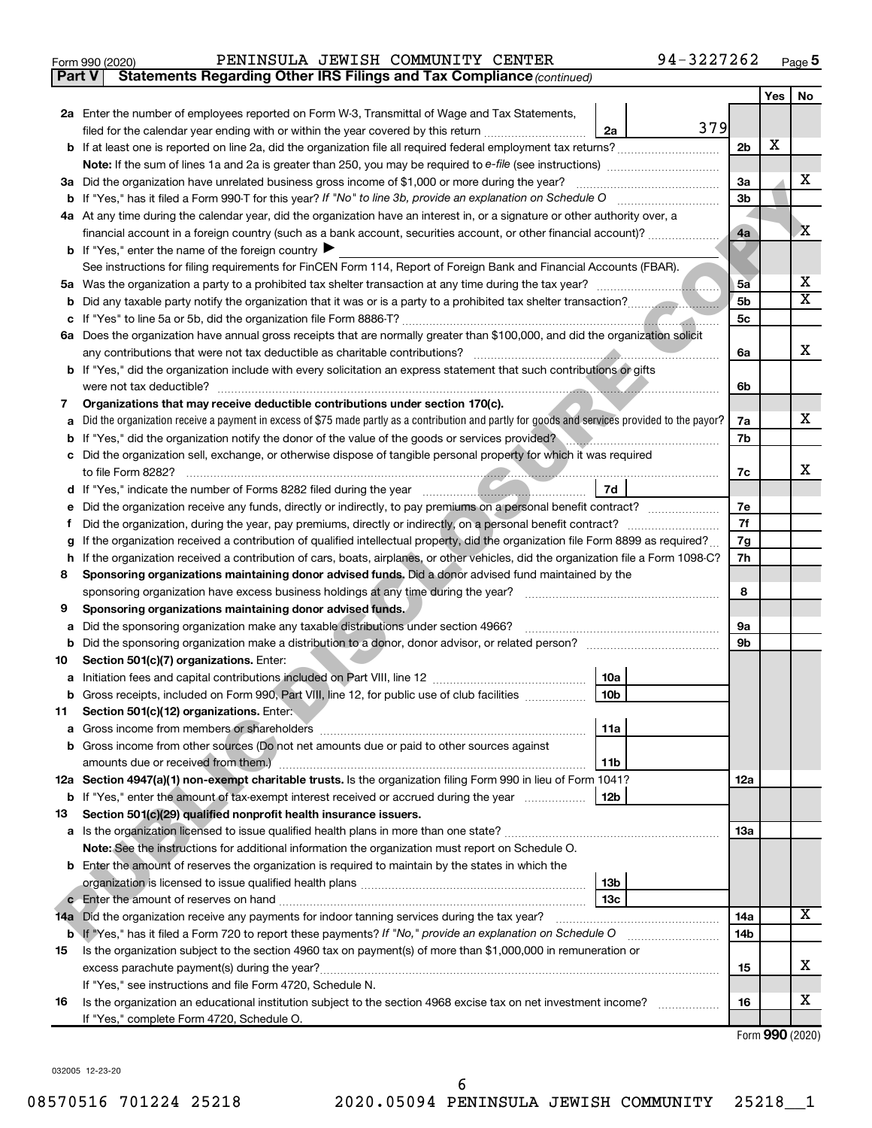| Form 990 (2020) |  |  |  | PENINSULA JEWISH COMMUNITY CENTER |  | 94-3227262 | Page |  |
|-----------------|--|--|--|-----------------------------------|--|------------|------|--|
|-----------------|--|--|--|-----------------------------------|--|------------|------|--|

**Part V Statements Regarding Other IRS Filings and Tax Compliance**

*(continued)*

|    |                                                                                                                                                 |                 |                                                                                                                 |                | Yes | No |
|----|-------------------------------------------------------------------------------------------------------------------------------------------------|-----------------|-----------------------------------------------------------------------------------------------------------------|----------------|-----|----|
|    | 2a Enter the number of employees reported on Form W-3, Transmittal of Wage and Tax Statements,                                                  |                 |                                                                                                                 |                |     |    |
|    | filed for the calendar year ending with or within the year covered by this return                                                               | 2a              | 379                                                                                                             |                |     |    |
|    |                                                                                                                                                 |                 |                                                                                                                 | 2 <sub>b</sub> | х   |    |
|    | <b>Note:</b> If the sum of lines 1a and 2a is greater than 250, you may be required to e-file (see instructions) <i>manumanous</i>              |                 |                                                                                                                 |                |     |    |
|    | 3a Did the organization have unrelated business gross income of \$1,000 or more during the year?                                                |                 |                                                                                                                 | За             |     | X. |
|    |                                                                                                                                                 |                 |                                                                                                                 | 3b             |     |    |
|    | 4a At any time during the calendar year, did the organization have an interest in, or a signature or other authority over, a                    |                 |                                                                                                                 |                |     |    |
|    | financial account in a foreign country (such as a bank account, securities account, or other financial account)?                                |                 |                                                                                                                 | 4a             |     | X  |
|    | <b>b</b> If "Yes," enter the name of the foreign country                                                                                        |                 |                                                                                                                 |                |     |    |
|    | See instructions for filing requirements for FinCEN Form 114, Report of Foreign Bank and Financial Accounts (FBAR).                             |                 |                                                                                                                 | 5ā             |     | х  |
| 5а |                                                                                                                                                 |                 |                                                                                                                 |                |     |    |
| b  |                                                                                                                                                 |                 |                                                                                                                 |                |     |    |
| с  | 6a Does the organization have annual gross receipts that are normally greater than \$100,000, and did the organization solicit                  |                 |                                                                                                                 |                |     |    |
|    | any contributions that were not tax deductible as charitable contributions?                                                                     |                 |                                                                                                                 | 6а             |     | x  |
|    | b If "Yes," did the organization include with every solicitation an express statement that such contributions or gifts                          |                 |                                                                                                                 |                |     |    |
|    | were not tax deductible?                                                                                                                        |                 |                                                                                                                 | 6b             |     |    |
| 7  | Organizations that may receive deductible contributions under section 170(c).                                                                   |                 |                                                                                                                 |                |     |    |
| a  | Did the organization receive a payment in excess of \$75 made partly as a contribution and partly for goods and services provided to the payor? |                 |                                                                                                                 |                |     | X. |
| b  | If "Yes," did the organization notify the donor of the value of the goods or services provided?                                                 |                 |                                                                                                                 |                |     |    |
| с  | Did the organization sell, exchange, or otherwise dispose of tangible personal property for which it was required                               |                 |                                                                                                                 |                |     |    |
|    | to file Form 8282?                                                                                                                              |                 |                                                                                                                 |                |     | x  |
| d  | If "Yes," indicate the number of Forms 8282 filed during the year [11] [11] West," indicate the number of Forms 8282 filed during the year      | 7d              |                                                                                                                 |                |     |    |
|    | Did the organization receive any funds, directly or indirectly, to pay premiums on a personal benefit contract?                                 |                 |                                                                                                                 | 7е             |     |    |
|    |                                                                                                                                                 |                 |                                                                                                                 | 7f             |     |    |
| g  | If the organization received a contribution of qualified intellectual property, did the organization file Form 8899 as required?                |                 |                                                                                                                 | 7g             |     |    |
| h  | If the organization received a contribution of cars, boats, airplanes, or other vehicles, did the organization file a Form 1098-C?              |                 |                                                                                                                 | 7h             |     |    |
| 8  | Sponsoring organizations maintaining donor advised funds. Did a donor advised fund maintained by the                                            |                 |                                                                                                                 |                |     |    |
|    | sponsoring organization have excess business holdings at any time during the year?                                                              |                 | and a series of the contract of the contract of the contract of the contract of the contract of the contract of | 8              |     |    |
| 9  | Sponsoring organizations maintaining donor advised funds.                                                                                       |                 |                                                                                                                 |                |     |    |
| а  | Did the sponsoring organization make any taxable distributions under section 4966?                                                              |                 |                                                                                                                 | 9а             |     |    |
| b  |                                                                                                                                                 |                 |                                                                                                                 | 9b             |     |    |
| 10 | Section 501(c)(7) organizations. Enter:                                                                                                         |                 |                                                                                                                 |                |     |    |
| а  |                                                                                                                                                 | 10a             |                                                                                                                 |                |     |    |
| b  | Gross receipts, included on Form 990, Part VIII, line 12, for public use of club facilities<br>Section 501(c)(12) organizations. Enter:         | 10 <sub>b</sub> |                                                                                                                 |                |     |    |
| 11 |                                                                                                                                                 | 11a             |                                                                                                                 |                |     |    |
|    | <b>b</b> Gross income from other sources (Do not net amounts due or paid to other sources against                                               |                 |                                                                                                                 |                |     |    |
|    | amounts due or received from them.)                                                                                                             | 11b             |                                                                                                                 |                |     |    |
|    | 12a Section 4947(a)(1) non-exempt charitable trusts. Is the organization filing Form 990 in lieu of Form 1041?                                  |                 |                                                                                                                 | 12a            |     |    |
|    | <b>b</b> If "Yes," enter the amount of tax-exempt interest received or accrued during the year                                                  | 12 <sub>b</sub> |                                                                                                                 |                |     |    |
| 13 | Section 501(c)(29) qualified nonprofit health insurance issuers.                                                                                |                 |                                                                                                                 |                |     |    |
|    |                                                                                                                                                 |                 |                                                                                                                 | 13a            |     |    |
|    | Note: See the instructions for additional information the organization must report on Schedule O.                                               |                 |                                                                                                                 |                |     |    |
|    | <b>b</b> Enter the amount of reserves the organization is required to maintain by the states in which the                                       |                 |                                                                                                                 |                |     |    |
|    |                                                                                                                                                 | 13 <sub>b</sub> |                                                                                                                 |                |     |    |
|    | <b>c</b> Enter the amount of reserves on hand                                                                                                   | 13 <sub>c</sub> |                                                                                                                 |                |     |    |
|    | 14a Did the organization receive any payments for indoor tanning services during the tax year?                                                  |                 |                                                                                                                 | 14a            |     | х  |
|    | b If "Yes," has it filed a Form 720 to report these payments? If "No," provide an explanation on Schedule O                                     |                 |                                                                                                                 | 14b            |     |    |
| 15 | Is the organization subject to the section 4960 tax on payment(s) of more than \$1,000,000 in remuneration or                                   |                 |                                                                                                                 |                |     |    |
|    |                                                                                                                                                 |                 |                                                                                                                 |                |     | x. |
|    | If "Yes," see instructions and file Form 4720, Schedule N.                                                                                      |                 |                                                                                                                 |                |     |    |
| 16 | Is the organization an educational institution subject to the section 4968 excise tax on net investment income?                                 |                 |                                                                                                                 | 16             |     | х  |
|    | If "Yes," complete Form 4720, Schedule O.                                                                                                       |                 |                                                                                                                 |                |     |    |

Form (2020) **990**

032005 12-23-20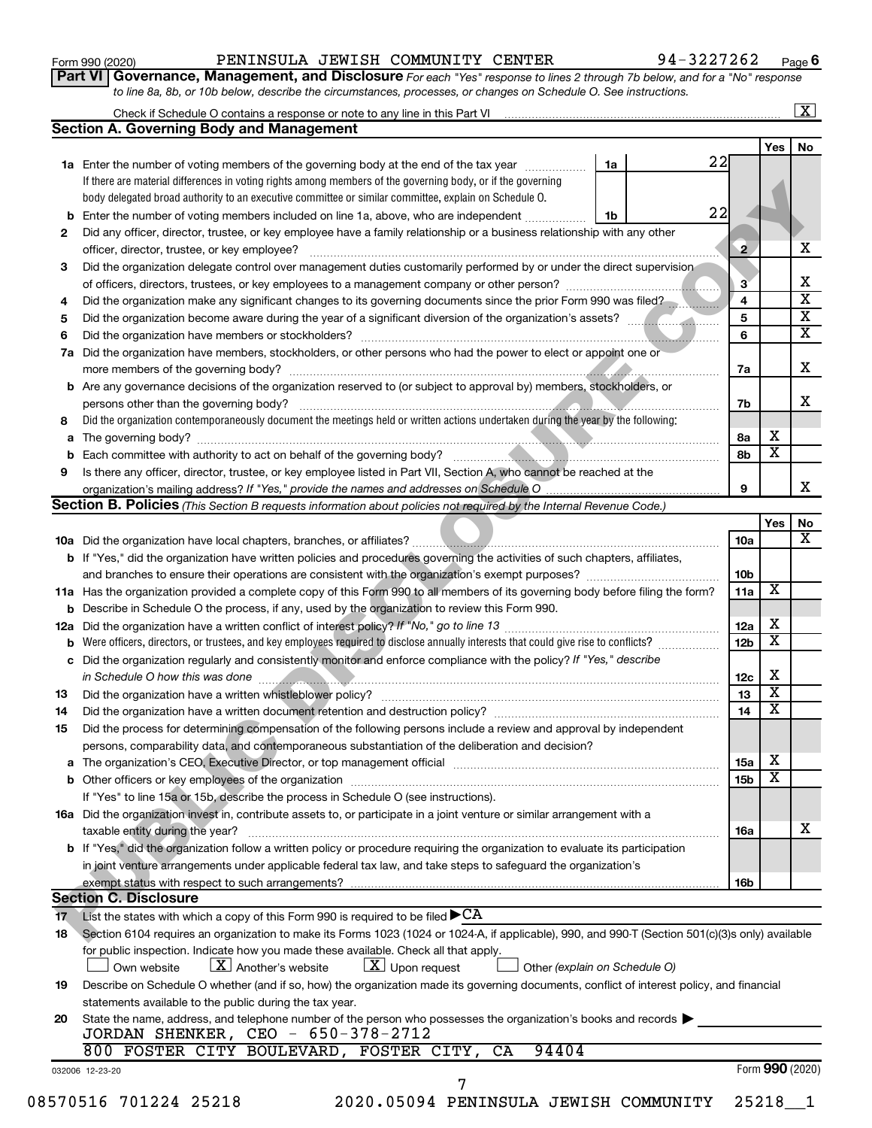**Part VI** Governance, Management, and Disclosure For each "Yes" response to lines 2 through 7b below, and for a "No" response *to line 8a, 8b, or 10b below, describe the circumstances, processes, or changes on Schedule O. See instructions.*

|     | Check if Schedule O contains a response or note to any line in this Part VI [11] [12] Check if Schedule O contains a response or note to any line in this Part VI                                                              |    |    |                 |                 | $\mathbf{X}$            |
|-----|--------------------------------------------------------------------------------------------------------------------------------------------------------------------------------------------------------------------------------|----|----|-----------------|-----------------|-------------------------|
|     | <b>Section A. Governing Body and Management</b>                                                                                                                                                                                |    |    |                 |                 |                         |
|     |                                                                                                                                                                                                                                |    |    |                 | Yes             | No                      |
|     | <b>1a</b> Enter the number of voting members of the governing body at the end of the tax year                                                                                                                                  | 1a | 22 |                 |                 |                         |
|     | If there are material differences in voting rights among members of the governing body, or if the governing                                                                                                                    |    |    |                 |                 |                         |
|     | body delegated broad authority to an executive committee or similar committee, explain on Schedule O.                                                                                                                          |    |    |                 |                 |                         |
| b   | Enter the number of voting members included on line 1a, above, who are independent                                                                                                                                             | 1b | 22 |                 |                 |                         |
| 2   | Did any officer, director, trustee, or key employee have a family relationship or a business relationship with any other                                                                                                       |    |    |                 |                 |                         |
|     | officer, director, trustee, or key employee?                                                                                                                                                                                   |    |    | $\mathbf{2}$    |                 | х                       |
| 3   | Did the organization delegate control over management duties customarily performed by or under the direct supervision                                                                                                          |    |    |                 |                 |                         |
|     |                                                                                                                                                                                                                                |    |    | $3^{\circ}$     |                 | х                       |
| 4   | Did the organization make any significant changes to its governing documents since the prior Form 990 was filed?                                                                                                               |    |    | 4               |                 | $\overline{\mathbf{x}}$ |
| 5   |                                                                                                                                                                                                                                |    |    | 5               |                 | $\overline{\mathbf{x}}$ |
| 6   |                                                                                                                                                                                                                                |    |    | 6               |                 | $\overline{\mathbf{x}}$ |
| 7a  | Did the organization have members, stockholders, or other persons who had the power to elect or appoint one or                                                                                                                 |    |    |                 |                 |                         |
|     |                                                                                                                                                                                                                                |    |    |                 |                 | X                       |
|     |                                                                                                                                                                                                                                |    |    | 7a              |                 |                         |
| b   | Are any governance decisions of the organization reserved to (or subject to approval by) members, stockholders, or                                                                                                             |    |    |                 |                 |                         |
|     |                                                                                                                                                                                                                                |    |    | 7b              |                 | x                       |
| 8   | Did the organization contemporaneously document the meetings held or written actions undertaken during the year by the following:                                                                                              |    |    |                 |                 |                         |
| a   |                                                                                                                                                                                                                                |    |    | 8а              | X               |                         |
| b   |                                                                                                                                                                                                                                |    |    | 8b              | х               |                         |
| 9   | Is there any officer, director, trustee, or key employee listed in Part VII, Section A, who cannot be reached at the                                                                                                           |    |    |                 |                 |                         |
|     |                                                                                                                                                                                                                                |    |    | 9               |                 | х                       |
|     | Section B. Policies (This Section B requests information about policies not required by the Internal Revenue Code.)                                                                                                            |    |    |                 |                 |                         |
|     |                                                                                                                                                                                                                                |    |    |                 | Yes             | No                      |
|     |                                                                                                                                                                                                                                |    |    | 10a             |                 | х                       |
|     | <b>b</b> If "Yes," did the organization have written policies and procedures governing the activities of such chapters, affiliates,                                                                                            |    |    |                 |                 |                         |
|     |                                                                                                                                                                                                                                |    |    | 10b             |                 |                         |
|     | 11a Has the organization provided a complete copy of this Form 990 to all members of its governing body before filing the form?                                                                                                |    |    | 11a             | х               |                         |
|     | <b>b</b> Describe in Schedule O the process, if any, used by the organization to review this Form 990.                                                                                                                         |    |    |                 |                 |                         |
| 12a |                                                                                                                                                                                                                                |    |    | 12a             | х               |                         |
|     | Were officers, directors, or trustees, and key employees required to disclose annually interests that could give rise to conflicts?                                                                                            |    |    | 12 <sub>b</sub> | X               |                         |
| b   |                                                                                                                                                                                                                                |    |    |                 |                 |                         |
| с   | Did the organization regularly and consistently monitor and enforce compliance with the policy? If "Yes," describe                                                                                                             |    |    |                 |                 |                         |
|     |                                                                                                                                                                                                                                |    |    | 12c             | X               |                         |
| 13  |                                                                                                                                                                                                                                |    |    | 13              | X               |                         |
| 14  | Did the organization have a written document retention and destruction policy? [11] manufaction manufaction in                                                                                                                 |    |    | 14              | X               |                         |
| 15  | Did the process for determining compensation of the following persons include a review and approval by independent                                                                                                             |    |    |                 |                 |                         |
|     | persons, comparability data, and contemporaneous substantiation of the deliberation and decision?                                                                                                                              |    |    |                 |                 |                         |
| а   | The organization's CEO, Executive Director, or top management official [111] [11] manument content and an american content of the organization's CEO, Executive Director, or top management official [11] manument content and |    |    | <b>15a</b>      | х               |                         |
|     |                                                                                                                                                                                                                                |    |    | 15 <sub>b</sub> | х               |                         |
|     | If "Yes" to line 15a or 15b, describe the process in Schedule O (see instructions).                                                                                                                                            |    |    |                 |                 |                         |
|     | 16a Did the organization invest in, contribute assets to, or participate in a joint venture or similar arrangement with a                                                                                                      |    |    |                 |                 |                         |
|     | taxable entity during the year?                                                                                                                                                                                                |    |    | 16a             |                 | x                       |
|     | b If "Yes," did the organization follow a written policy or procedure requiring the organization to evaluate its participation                                                                                                 |    |    |                 |                 |                         |
|     |                                                                                                                                                                                                                                |    |    |                 |                 |                         |
|     | in joint venture arrangements under applicable federal tax law, and take steps to safeguard the organization's                                                                                                                 |    |    |                 |                 |                         |
|     | exempt status with respect to such arrangements?                                                                                                                                                                               |    |    | 16b             |                 |                         |
|     | <b>Section C. Disclosure</b>                                                                                                                                                                                                   |    |    |                 |                 |                         |
| 17  | List the states with which a copy of this Form 990 is required to be filed ${\blacktriangleright} \text{CA}$                                                                                                                   |    |    |                 |                 |                         |
| 18  | Section 6104 requires an organization to make its Forms 1023 (1024 or 1024-A, if applicable), 990, and 990-T (Section 501(c)(3)s only) available                                                                               |    |    |                 |                 |                         |
|     | for public inspection. Indicate how you made these available. Check all that apply.                                                                                                                                            |    |    |                 |                 |                         |
|     | $\lfloor x \rfloor$ Upon request<br>$\lfloor X \rfloor$ Another's website<br>Other (explain on Schedule O)<br>Own website                                                                                                      |    |    |                 |                 |                         |
| 19  | Describe on Schedule O whether (and if so, how) the organization made its governing documents, conflict of interest policy, and financial                                                                                      |    |    |                 |                 |                         |
|     | statements available to the public during the tax year.                                                                                                                                                                        |    |    |                 |                 |                         |
| 20  | State the name, address, and telephone number of the person who possesses the organization's books and records                                                                                                                 |    |    |                 |                 |                         |
|     | JORDAN SHENKER, CEO - 650-378-2712                                                                                                                                                                                             |    |    |                 |                 |                         |
|     | 800 FOSTER CITY BOULEVARD, FOSTER CITY, CA<br>94404                                                                                                                                                                            |    |    |                 |                 |                         |
|     |                                                                                                                                                                                                                                |    |    |                 |                 |                         |
|     | 032006 12-23-20                                                                                                                                                                                                                |    |    |                 | Form 990 (2020) |                         |
|     | 7                                                                                                                                                                                                                              |    |    |                 |                 |                         |
|     | 08570516 701224 25218<br>2020.05094 PENINSULA JEWISH COMMUNITY                                                                                                                                                                 |    |    |                 | 25218           |                         |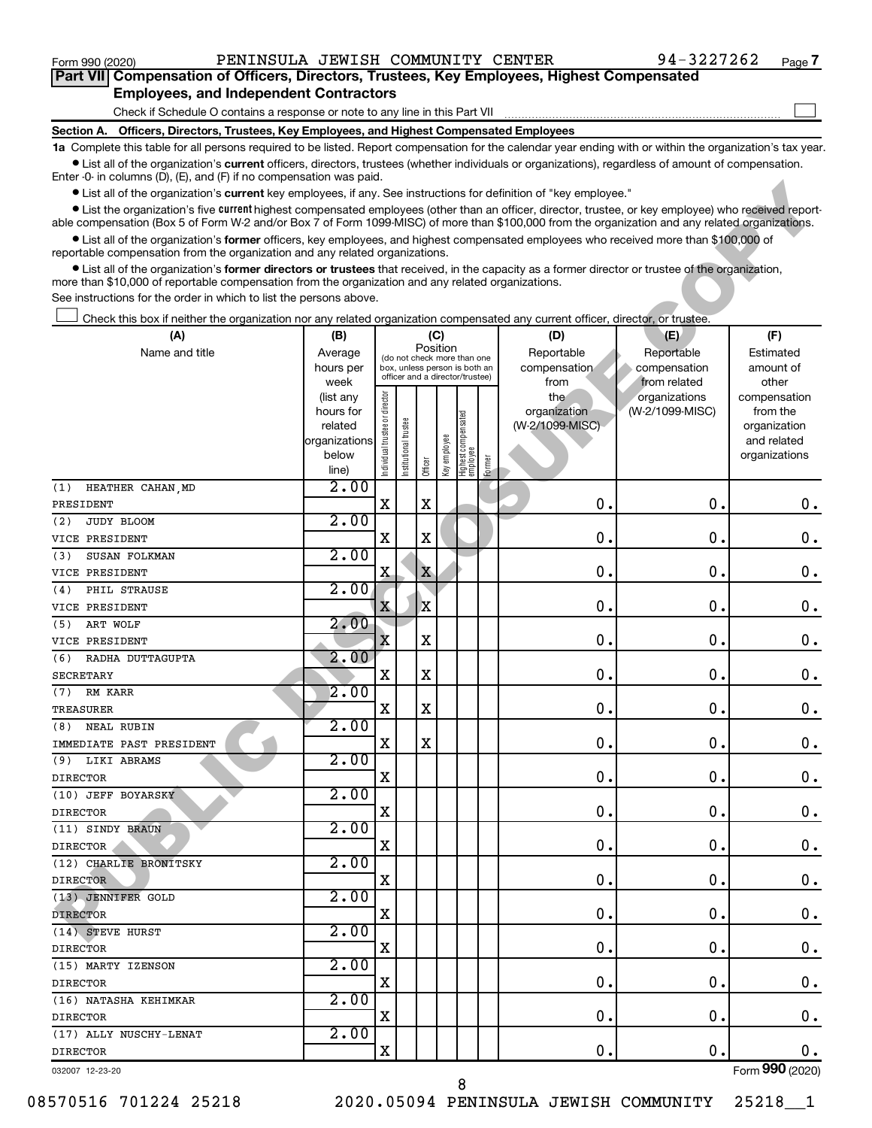| Form 990 (2020)   | PENINSULA JEWISH COMMUNITY                                                                                                                                                                                                                                                                                | <b>CENTER</b> | 94-3227262 | Page i |
|-------------------|-----------------------------------------------------------------------------------------------------------------------------------------------------------------------------------------------------------------------------------------------------------------------------------------------------------|---------------|------------|--------|
|                   | Part VII Compensation of Officers, Directors, Trustees, Key Employees, Highest Compensated                                                                                                                                                                                                                |               |            |        |
|                   | <b>Employees, and Independent Contractors</b>                                                                                                                                                                                                                                                             |               |            |        |
|                   | Check if Schedule O contains a response or note to any line in this Part VII                                                                                                                                                                                                                              |               |            |        |
| <b>Section A.</b> | Officers, Directors, Trustees, Key Employees, and Highest Compensated Employees                                                                                                                                                                                                                           |               |            |        |
|                   | 1a Complete this table for all persons required to be listed. Report compensation for the calendar year ending with or within the organization's tax year.                                                                                                                                                |               |            |        |
|                   | • List all of the organization's current officers, directors, trustees (whether individuals or organizations), regardless of amount of compensation.<br>Enter $-0$ in columns $(D)$ , $(E)$ , and $(F)$ if no compensation was paid.                                                                      |               |            |        |
|                   | • List all of the organization's current key employees, if any. See instructions for definition of "key employee."                                                                                                                                                                                        |               |            |        |
|                   | • List the organization's five current highest compensated employees (other than an officer, director, trustee, or key employee) who received report-<br>able compensation (Box 5 of Form W-2 and/or Box 7 of Form 1099-MISC) of more than \$100,000 from the organization and any related organizations. |               |            |        |
|                   | • List all of the organization's former officers, key employees, and highest compensated employees who received more than \$100,000 of<br>reportable compensation from the organization and any related organizations.                                                                                    |               |            |        |
|                   | • List all of the organization's <b>former directors or trustees</b> that received, in the capacity as a former director or trustee of the organization,                                                                                                                                                  |               |            |        |

| $\sim$ obtaining $\sigma$ , $\sigma$ , and $\sigma$ is no component was part                                                                                                                                                                                                                                     |                      |                                |                 |                                         |              |                                 |        |                                 |                 |                          |
|------------------------------------------------------------------------------------------------------------------------------------------------------------------------------------------------------------------------------------------------------------------------------------------------------------------|----------------------|--------------------------------|-----------------|-----------------------------------------|--------------|---------------------------------|--------|---------------------------------|-----------------|--------------------------|
| • List all of the organization's current key employees, if any. See instructions for definition of "key employee."                                                                                                                                                                                               |                      |                                |                 |                                         |              |                                 |        |                                 |                 |                          |
| • List the organization's five <i>current</i> highest compensated employees (other than an officer, director, trustee, or key employee) who received report-<br>able compensation (Box 5 of Form W-2 and/or Box 7 of Form 1099-MISC) of more than \$100,000 from the organization and any related organizations. |                      |                                |                 |                                         |              |                                 |        |                                 |                 |                          |
| • List all of the organization's former officers, key employees, and highest compensated employees who received more than \$100,000 of<br>reportable compensation from the organization and any related organizations.                                                                                           |                      |                                |                 |                                         |              |                                 |        |                                 |                 |                          |
| • List all of the organization's former directors or trustees that received, in the capacity as a former director or trustee of the organization,                                                                                                                                                                |                      |                                |                 |                                         |              |                                 |        |                                 |                 |                          |
| more than \$10,000 of reportable compensation from the organization and any related organizations.                                                                                                                                                                                                               |                      |                                |                 |                                         |              |                                 |        |                                 |                 |                          |
| See instructions for the order in which to list the persons above.                                                                                                                                                                                                                                               |                      |                                |                 |                                         |              |                                 |        |                                 |                 |                          |
| Check this box if neither the organization nor any related organization compensated any current officer, director, or trustee.                                                                                                                                                                                   |                      |                                |                 |                                         |              |                                 |        |                                 |                 |                          |
| (A)                                                                                                                                                                                                                                                                                                              | (B)                  |                                |                 | (C)                                     |              |                                 |        | (D)                             | (E)             | (F)                      |
| Name and title                                                                                                                                                                                                                                                                                                   | Average              |                                |                 | Position<br>(do not check more than one |              |                                 |        | Reportable                      | Reportable      | Estimated                |
|                                                                                                                                                                                                                                                                                                                  | hours per            |                                |                 | box, unless person is both an           |              |                                 |        | compensation                    | compensation    | amount of                |
|                                                                                                                                                                                                                                                                                                                  | week                 |                                |                 | officer and a director/trustee)         |              |                                 |        | from                            | from related    | other                    |
|                                                                                                                                                                                                                                                                                                                  | (list any            | Individual trustee or director |                 |                                         |              |                                 |        | the                             | organizations   | compensation             |
|                                                                                                                                                                                                                                                                                                                  | hours for<br>related |                                |                 |                                         |              |                                 |        | organization<br>(W-2/1099-MISC) | (W-2/1099-MISC) | from the<br>organization |
|                                                                                                                                                                                                                                                                                                                  | organizations        |                                | trustee         |                                         |              |                                 |        |                                 |                 | and related              |
|                                                                                                                                                                                                                                                                                                                  | below                |                                |                 |                                         |              |                                 |        |                                 |                 | organizations            |
|                                                                                                                                                                                                                                                                                                                  | line)                |                                | Institutional t | Officer                                 | Key employee | Highest compensated<br>employee | Former |                                 |                 |                          |
| HEATHER CAHAN, MD<br>(1)                                                                                                                                                                                                                                                                                         | 2.00                 |                                |                 |                                         |              |                                 |        |                                 |                 |                          |
| PRESIDENT                                                                                                                                                                                                                                                                                                        |                      | X                              |                 | X                                       |              |                                 |        | $\mathbf 0$ .                   | $\mathbf 0$     | 0.                       |
| JUDY BLOOM<br>(2)                                                                                                                                                                                                                                                                                                | 2.00                 |                                |                 |                                         |              |                                 |        |                                 |                 |                          |
| VICE PRESIDENT                                                                                                                                                                                                                                                                                                   |                      | X                              |                 | X                                       |              |                                 |        | 0.                              | 0               | 0.                       |
| SUSAN FOLKMAN<br>(3)                                                                                                                                                                                                                                                                                             | 2.00                 |                                |                 |                                         |              |                                 |        |                                 |                 |                          |
| VICE PRESIDENT                                                                                                                                                                                                                                                                                                   |                      | Χ                              |                 | $\mathbf X$                             |              |                                 |        | 0.                              | 0               | 0.                       |
| PHIL STRAUSE<br>(4)                                                                                                                                                                                                                                                                                              | 2.00                 |                                |                 |                                         |              |                                 |        |                                 |                 |                          |
| VICE PRESIDENT                                                                                                                                                                                                                                                                                                   |                      | $\mathbf{x}$                   |                 | X                                       |              |                                 |        | 0.                              | 0               | $0$ .                    |
| ART WOLF<br>(5)                                                                                                                                                                                                                                                                                                  | 2.00                 |                                |                 |                                         |              |                                 |        |                                 |                 |                          |
| VICE PRESIDENT                                                                                                                                                                                                                                                                                                   |                      | X                              |                 | X                                       |              |                                 |        | 0.                              | 0               | $0$ .                    |
| RADHA DUTTAGUPTA<br>(6)                                                                                                                                                                                                                                                                                          | 2.00                 |                                |                 |                                         |              |                                 |        |                                 |                 |                          |
| <b>SECRETARY</b>                                                                                                                                                                                                                                                                                                 |                      | X                              |                 | X                                       |              |                                 |        | 0.                              | 0               | $0$ .                    |
| RM KARR<br>(7)                                                                                                                                                                                                                                                                                                   | 2.00                 |                                |                 |                                         |              |                                 |        |                                 |                 |                          |
| TREASURER                                                                                                                                                                                                                                                                                                        |                      | X                              |                 | X                                       |              |                                 |        | 0.                              | 0               | $0$ .                    |
| <b>NEAL RUBIN</b><br>(8)                                                                                                                                                                                                                                                                                         | 2.00                 |                                |                 |                                         |              |                                 |        |                                 |                 |                          |
| IMMEDIATE PAST PRESIDENT                                                                                                                                                                                                                                                                                         |                      | X                              |                 | X                                       |              |                                 |        | 0.                              | 0               | 0.                       |
| (9) LIKI ABRAMS                                                                                                                                                                                                                                                                                                  | 2.00                 |                                |                 |                                         |              |                                 |        |                                 |                 |                          |
| <b>DIRECTOR</b>                                                                                                                                                                                                                                                                                                  |                      | X                              |                 |                                         |              |                                 |        | 0.                              | 0               | 0.                       |
| (10) JEFF BOYARSKY                                                                                                                                                                                                                                                                                               | 2.00                 |                                |                 |                                         |              |                                 |        |                                 |                 |                          |
| <b>DIRECTOR</b>                                                                                                                                                                                                                                                                                                  |                      | X                              |                 |                                         |              |                                 |        | 0.                              | 0.              | 0.                       |
| (11) SINDY BRAUN                                                                                                                                                                                                                                                                                                 | 2.00                 |                                |                 |                                         |              |                                 |        |                                 |                 |                          |
| <b>DIRECTOR</b>                                                                                                                                                                                                                                                                                                  |                      | X                              |                 |                                         |              |                                 |        | 0.                              | 0.              | 0.                       |
| (12) CHARLIE BRONITSKY                                                                                                                                                                                                                                                                                           | 2.00                 |                                |                 |                                         |              |                                 |        |                                 |                 |                          |
| <b>DIRECTOR</b>                                                                                                                                                                                                                                                                                                  |                      | X                              |                 |                                         |              |                                 |        | 0.                              | 0.              | 0.                       |
| (13) JENNIFER GOLD                                                                                                                                                                                                                                                                                               | 2.00                 |                                |                 |                                         |              |                                 |        |                                 |                 |                          |
| <b>DIRECTOR</b>                                                                                                                                                                                                                                                                                                  |                      | X                              |                 |                                         |              |                                 |        | 0.                              | 0.              | 0.                       |
| (14) STEVE HURST                                                                                                                                                                                                                                                                                                 | 2.00                 |                                |                 |                                         |              |                                 |        |                                 |                 |                          |
| <b>DIRECTOR</b>                                                                                                                                                                                                                                                                                                  |                      | X                              |                 |                                         |              |                                 |        | 0.                              | 0.              | 0.                       |
| (15) MARTY IZENSON                                                                                                                                                                                                                                                                                               | 2.00                 |                                |                 |                                         |              |                                 |        |                                 |                 |                          |
| <b>DIRECTOR</b>                                                                                                                                                                                                                                                                                                  |                      | X                              |                 |                                         |              |                                 |        | 0.                              | 0.              | 0.                       |
| (16) NATASHA KEHIMKAR                                                                                                                                                                                                                                                                                            | 2.00                 |                                |                 |                                         |              |                                 |        |                                 |                 |                          |
| <b>DIRECTOR</b>                                                                                                                                                                                                                                                                                                  |                      | X                              |                 |                                         |              |                                 |        | $0$ .                           | 0.              | 0.                       |
| (17) ALLY NUSCHY-LENAT                                                                                                                                                                                                                                                                                           | 2.00                 |                                |                 |                                         |              |                                 |        |                                 |                 |                          |
| DIRECTOR                                                                                                                                                                                                                                                                                                         |                      | X                              |                 |                                         |              |                                 |        | $\mathbf 0$ .                   | $\mathbf 0$ .   | 0.                       |
| 032007 12-23-20                                                                                                                                                                                                                                                                                                  |                      |                                |                 |                                         |              |                                 |        |                                 |                 | Form 990 (2020)          |

8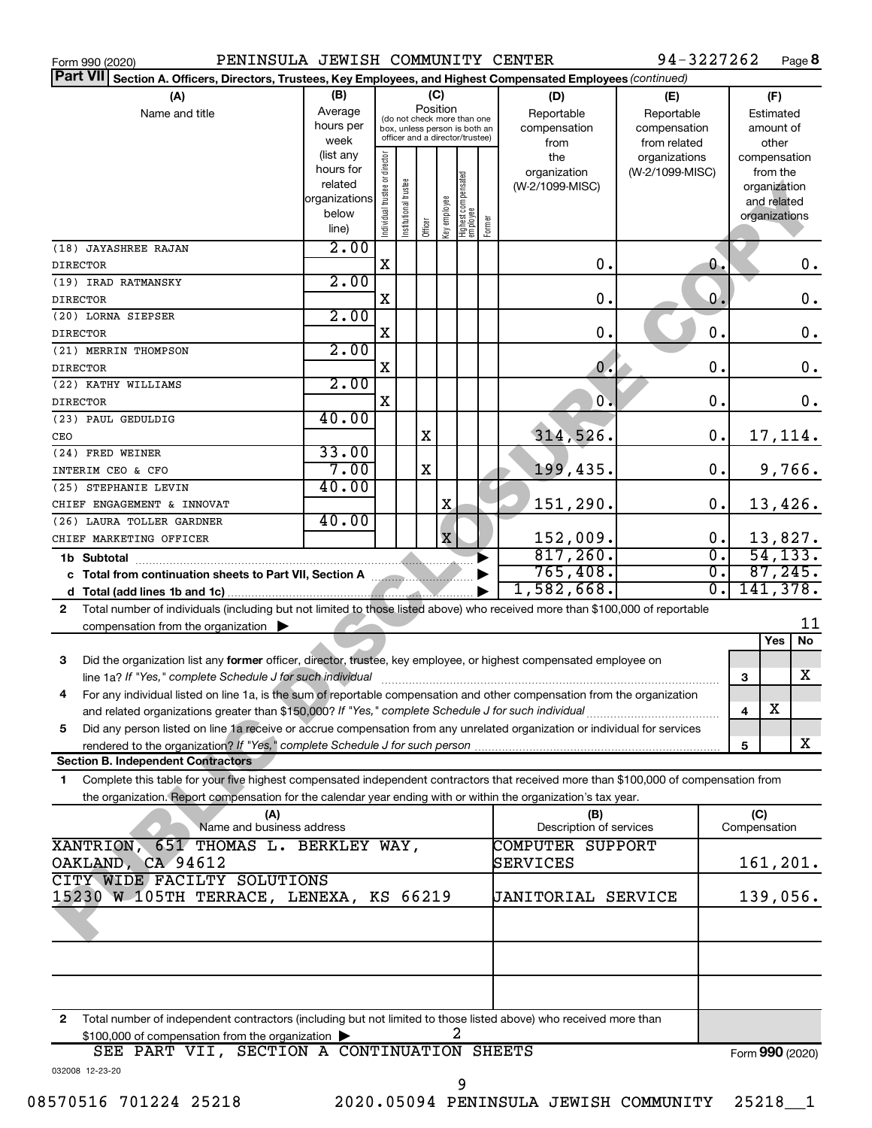| PENINSULA JEWISH COMMUNITY CENTER<br>Form 990 (2020)                                                                                      |               |                                |                       |          |              |                                                              |        |                           | 94-3227262       |              | Page 8               |
|-------------------------------------------------------------------------------------------------------------------------------------------|---------------|--------------------------------|-----------------------|----------|--------------|--------------------------------------------------------------|--------|---------------------------|------------------|--------------|----------------------|
| Part VII Section A. Officers, Directors, Trustees, Key Employees, and Highest Compensated Employees (continued)                           |               |                                |                       |          |              |                                                              |        |                           |                  |              |                      |
| (A)                                                                                                                                       | (B)           |                                |                       | (C)      |              |                                                              |        | (D)                       | (E)              |              | (F)                  |
| Name and title                                                                                                                            | Average       |                                |                       | Position |              |                                                              |        | Reportable                | Reportable       |              | Estimated            |
|                                                                                                                                           | hours per     |                                |                       |          |              | (do not check more than one<br>box, unless person is both an |        | compensation              | compensation     |              | amount of            |
|                                                                                                                                           | week          |                                |                       |          |              | officer and a director/trustee)                              |        | from                      | from related     |              | other                |
|                                                                                                                                           | (list any     |                                |                       |          |              |                                                              |        | the                       | organizations    |              | compensation         |
|                                                                                                                                           | hours for     |                                |                       |          |              |                                                              |        | organization              | (W-2/1099-MISC)  |              | from the             |
|                                                                                                                                           | related       |                                |                       |          |              |                                                              |        | (W-2/1099-MISC)           |                  |              | organization         |
|                                                                                                                                           | organizations |                                |                       |          |              |                                                              |        |                           |                  |              | and related          |
|                                                                                                                                           | below         | Individual trustee or director | Institutional trustee |          | Key employee | Highest compensated<br>  employee                            | Former |                           |                  |              | organizations        |
|                                                                                                                                           | line)         |                                |                       | Officer  |              |                                                              |        |                           |                  |              |                      |
| (18) JAYASHREE RAJAN                                                                                                                      | 2.00          |                                |                       |          |              |                                                              |        |                           |                  |              |                      |
| <b>DIRECTOR</b>                                                                                                                           |               | $\mathbf X$                    |                       |          |              |                                                              |        | $\mathbf 0$ .             | О.               |              | 0.                   |
| (19) IRAD RATMANSKY                                                                                                                       | 2.00          |                                |                       |          |              |                                                              |        |                           |                  |              |                      |
| <b>DIRECTOR</b>                                                                                                                           |               | X                              |                       |          |              |                                                              |        | $\mathbf 0$ .             | 0.               |              | $\mathbf 0$ .        |
| (20) LORNA SIEPSER                                                                                                                        | 2.00          |                                |                       |          |              |                                                              |        |                           |                  |              |                      |
| <b>DIRECTOR</b>                                                                                                                           |               | X                              |                       |          |              |                                                              |        | $\mathbf 0$ .             | 0.               |              | $\mathbf 0$ .        |
| (21) MERRIN THOMPSON                                                                                                                      | 2.00          |                                |                       |          |              |                                                              |        |                           |                  |              |                      |
| <b>DIRECTOR</b>                                                                                                                           |               | X                              |                       |          |              |                                                              |        | $\mathbf 0$ .             | 0.               |              | $\mathbf 0$ .        |
| (22) KATHY WILLIAMS                                                                                                                       | 2.00          |                                |                       |          |              |                                                              |        |                           |                  |              |                      |
| <b>DIRECTOR</b>                                                                                                                           |               | X                              |                       |          |              |                                                              |        | $\mathbf{0}$ .            | $\mathbf 0$ .    |              | 0.                   |
| (23) PAUL GEDULDIG                                                                                                                        | 40.00         |                                |                       |          |              |                                                              |        |                           |                  |              |                      |
|                                                                                                                                           |               |                                |                       | X        |              |                                                              |        | 314,526.                  | 0.               |              |                      |
| CEO                                                                                                                                       |               |                                |                       |          |              |                                                              |        |                           |                  |              | 17,114.              |
| (24) FRED WEINER                                                                                                                          | 33.00         |                                |                       |          |              |                                                              |        |                           |                  |              |                      |
| INTERIM CEO & CFO                                                                                                                         | 7.00          |                                |                       | X        |              |                                                              |        | 199,435.                  | $\mathbf 0$ .    |              | 9,766.               |
| (25) STEPHANIE LEVIN                                                                                                                      | 40.00         |                                |                       |          |              |                                                              |        |                           |                  |              |                      |
| CHIEF ENGAGEMENT & INNOVAT                                                                                                                |               |                                |                       |          | X            |                                                              |        | 151,290.                  | 0.               |              | 13,426.              |
| (26) LAURA TOLLER GARDNER                                                                                                                 | 40.00         |                                |                       |          |              |                                                              |        |                           |                  |              |                      |
| CHIEF MARKETING OFFICER                                                                                                                   |               |                                |                       |          | $\mathbf{x}$ |                                                              |        | 152,009.                  | 0.               |              | 13,827.              |
| 1b Subtotal                                                                                                                               |               |                                |                       |          |              |                                                              |        | 817,260.                  | $\overline{0}$ . |              | $\overline{54,133.}$ |
|                                                                                                                                           |               |                                |                       |          |              |                                                              |        | 765,408.                  | σ.               |              | 87,245.              |
|                                                                                                                                           |               |                                |                       |          |              |                                                              |        | 1,582,668.                | σ.               |              | 141,378.             |
| Total number of individuals (including but not limited to those listed above) who received more than \$100,000 of reportable<br>2         |               |                                |                       |          |              |                                                              |        |                           |                  |              |                      |
| compensation from the organization $\blacktriangleright$                                                                                  |               |                                |                       |          |              |                                                              |        |                           |                  |              | 11                   |
|                                                                                                                                           |               |                                |                       |          |              |                                                              |        |                           |                  |              | Yes<br>No            |
| Did the organization list any former officer, director, trustee, key employee, or highest compensated employee on<br>3                    |               |                                |                       |          |              |                                                              |        |                           |                  |              |                      |
|                                                                                                                                           |               |                                |                       |          |              |                                                              |        |                           |                  | 3            | X                    |
|                                                                                                                                           |               |                                |                       |          |              |                                                              |        |                           |                  |              |                      |
| For any individual listed on line 1a, is the sum of reportable compensation and other compensation from the organization                  |               |                                |                       |          |              |                                                              |        |                           |                  |              | х                    |
| and related organizations greater than \$150,000? If "Yes," complete Schedule J for such individual                                       |               |                                |                       |          |              |                                                              |        |                           |                  | 4            |                      |
| Did any person listed on line 1a receive or accrue compensation from any unrelated organization or individual for services<br>5           |               |                                |                       |          |              |                                                              |        |                           |                  |              |                      |
|                                                                                                                                           |               |                                |                       |          |              |                                                              |        |                           |                  | 5            | X                    |
| <b>Section B. Independent Contractors</b>                                                                                                 |               |                                |                       |          |              |                                                              |        |                           |                  |              |                      |
| Complete this table for your five highest compensated independent contractors that received more than \$100,000 of compensation from<br>1 |               |                                |                       |          |              |                                                              |        |                           |                  |              |                      |
| the organization. Report compensation for the calendar year ending with or within the organization's tax year.                            |               |                                |                       |          |              |                                                              |        |                           |                  |              |                      |
| (A)                                                                                                                                       |               |                                |                       |          |              |                                                              |        | (B)                       |                  | (C)          |                      |
| Name and business address                                                                                                                 |               |                                |                       |          |              |                                                              |        | Description of services   |                  | Compensation |                      |
| XANTRION, 651 THOMAS L. BERKLEY WAY,                                                                                                      |               |                                |                       |          |              |                                                              |        | COMPUTER SUPPORT          |                  |              |                      |
| OAKLAND, CA 94612                                                                                                                         |               |                                |                       |          |              |                                                              |        | SERVICES                  |                  |              | 161,201.             |
| CITY WIDE FACILTY SOLUTIONS                                                                                                               |               |                                |                       |          |              |                                                              |        |                           |                  |              |                      |
| 15230 W 105TH TERRACE, LENEXA, KS 66219                                                                                                   |               |                                |                       |          |              |                                                              |        | <b>JANITORIAL SERVICE</b> |                  |              | 139,056.             |
|                                                                                                                                           |               |                                |                       |          |              |                                                              |        |                           |                  |              |                      |
|                                                                                                                                           |               |                                |                       |          |              |                                                              |        |                           |                  |              |                      |
|                                                                                                                                           |               |                                |                       |          |              |                                                              |        |                           |                  |              |                      |
|                                                                                                                                           |               |                                |                       |          |              |                                                              |        |                           |                  |              |                      |
|                                                                                                                                           |               |                                |                       |          |              |                                                              |        |                           |                  |              |                      |
|                                                                                                                                           |               |                                |                       |          |              |                                                              |        |                           |                  |              |                      |
|                                                                                                                                           |               |                                |                       |          |              |                                                              |        |                           |                  |              |                      |
| Total number of independent contractors (including but not limited to those listed above) who received more than<br>$\mathbf{2}$          |               |                                |                       |          |              |                                                              |        |                           |                  |              |                      |
| \$100,000 of compensation from the organization                                                                                           |               |                                |                       |          |              |                                                              |        |                           |                  |              |                      |
| SEE PART VII, SECTION A CONTINUATION SHEETS                                                                                               |               |                                |                       |          |              |                                                              |        |                           |                  |              | Form 990 (2020)      |
| 032008 12-23-20                                                                                                                           |               |                                |                       |          |              |                                                              |        |                           |                  |              |                      |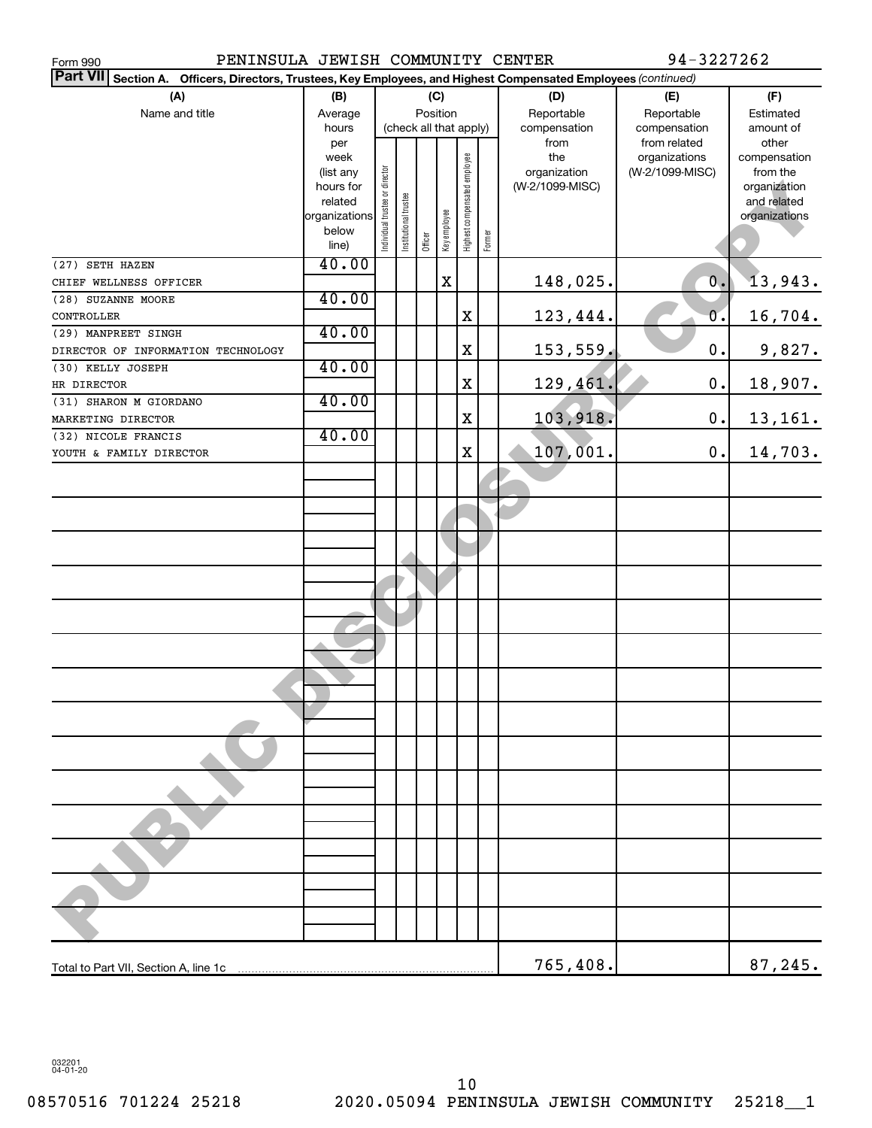| PENINSULA JEWISH COMMUNITY CENTER<br>Form 990                                                                      |                        |                               |                       |                        |              |                              |        |                                 | 94-3227262       |                          |
|--------------------------------------------------------------------------------------------------------------------|------------------------|-------------------------------|-----------------------|------------------------|--------------|------------------------------|--------|---------------------------------|------------------|--------------------------|
| Part VII Section A.<br>Officers, Directors, Trustees, Key Employees, and Highest Compensated Employees (continued) |                        |                               |                       |                        |              |                              |        |                                 |                  |                          |
| (A)                                                                                                                | (B)                    |                               |                       | (C)                    |              |                              |        | (D)                             | (E)              | (F)                      |
| Name and title                                                                                                     | Average                |                               |                       | Position               |              |                              |        | Reportable                      | Reportable       | Estimated                |
|                                                                                                                    | hours                  |                               |                       | (check all that apply) |              |                              |        | compensation                    | compensation     | amount of                |
|                                                                                                                    | per                    |                               |                       |                        |              |                              |        | from                            | from related     | other                    |
|                                                                                                                    | week                   |                               |                       |                        |              |                              |        | the                             | organizations    | compensation             |
|                                                                                                                    | (list any<br>hours for |                               |                       |                        |              |                              |        | organization<br>(W-2/1099-MISC) | (W-2/1099-MISC)  | from the<br>organization |
|                                                                                                                    | related                |                               |                       |                        |              |                              |        |                                 |                  | and related              |
|                                                                                                                    | organizations          |                               |                       |                        |              |                              |        |                                 |                  | organizations            |
|                                                                                                                    | below                  | ndividual trustee or director | Institutional trustee |                        | Key employee | Highest compensated employee |        |                                 |                  |                          |
|                                                                                                                    | line)                  |                               |                       | Officer                |              |                              | Former |                                 |                  |                          |
| (27) SETH HAZEN                                                                                                    | 40.00                  |                               |                       |                        |              |                              |        |                                 |                  |                          |
| CHIEF WELLNESS OFFICER                                                                                             |                        |                               |                       |                        | X            |                              |        | 148,025.                        | $\overline{0}$ . | 13,943.                  |
| (28) SUZANNE MOORE                                                                                                 | 40.00                  |                               |                       |                        |              |                              |        |                                 |                  |                          |
| CONTROLLER                                                                                                         |                        |                               |                       |                        |              | X                            |        | 123,444.                        | 0.               | 16,704.                  |
| (29) MANPREET SINGH                                                                                                | 40.00                  |                               |                       |                        |              |                              |        |                                 |                  |                          |
| DIRECTOR OF INFORMATION TECHNOLOGY                                                                                 |                        |                               |                       |                        |              | X                            |        | 153,559,                        | $0$ .            | 9,827.                   |
| (30) KELLY JOSEPH                                                                                                  | 40.00                  |                               |                       |                        |              |                              |        |                                 |                  |                          |
| HR DIRECTOR                                                                                                        |                        |                               |                       |                        |              | X                            |        | 129,461.                        | $0$ .            | 18,907.                  |
| (31) SHARON M GIORDANO                                                                                             | 40.00                  |                               |                       |                        |              |                              |        |                                 |                  |                          |
| MARKETING DIRECTOR                                                                                                 |                        |                               |                       |                        |              | X                            |        | 103,918.                        | $0$ .            | 13,161.                  |
| (32) NICOLE FRANCIS                                                                                                | 40.00                  |                               |                       |                        |              |                              |        |                                 |                  |                          |
| YOUTH & FAMILY DIRECTOR                                                                                            |                        |                               |                       |                        |              | X                            |        | 107,001.                        | 0.               | 14,703.                  |
|                                                                                                                    |                        |                               |                       |                        |              |                              |        |                                 |                  |                          |
|                                                                                                                    |                        |                               |                       |                        |              |                              |        |                                 |                  |                          |
|                                                                                                                    |                        |                               |                       |                        |              |                              |        |                                 |                  |                          |
|                                                                                                                    |                        |                               |                       |                        |              |                              |        |                                 |                  |                          |
|                                                                                                                    |                        |                               |                       |                        |              |                              |        |                                 |                  |                          |
|                                                                                                                    |                        |                               |                       |                        |              |                              |        |                                 |                  |                          |
|                                                                                                                    |                        |                               |                       |                        |              |                              |        |                                 |                  |                          |
|                                                                                                                    |                        |                               |                       |                        |              |                              |        |                                 |                  |                          |
|                                                                                                                    |                        |                               |                       |                        |              |                              |        |                                 |                  |                          |
|                                                                                                                    |                        |                               |                       |                        |              |                              |        |                                 |                  |                          |
|                                                                                                                    |                        |                               |                       |                        |              |                              |        |                                 |                  |                          |
|                                                                                                                    |                        |                               |                       |                        |              |                              |        |                                 |                  |                          |
|                                                                                                                    |                        |                               |                       |                        |              |                              |        |                                 |                  |                          |
|                                                                                                                    |                        |                               |                       |                        |              |                              |        |                                 |                  |                          |
|                                                                                                                    |                        |                               |                       |                        |              |                              |        |                                 |                  |                          |
|                                                                                                                    |                        |                               |                       |                        |              |                              |        |                                 |                  |                          |
|                                                                                                                    |                        |                               |                       |                        |              |                              |        |                                 |                  |                          |
|                                                                                                                    |                        |                               |                       |                        |              |                              |        |                                 |                  |                          |
|                                                                                                                    |                        |                               |                       |                        |              |                              |        |                                 |                  |                          |
|                                                                                                                    |                        |                               |                       |                        |              |                              |        |                                 |                  |                          |
|                                                                                                                    |                        |                               |                       |                        |              |                              |        |                                 |                  |                          |
|                                                                                                                    |                        |                               |                       |                        |              |                              |        |                                 |                  |                          |
|                                                                                                                    |                        |                               |                       |                        |              |                              |        |                                 |                  |                          |
|                                                                                                                    |                        |                               |                       |                        |              |                              |        |                                 |                  |                          |
|                                                                                                                    |                        |                               |                       |                        |              |                              |        |                                 |                  |                          |
|                                                                                                                    |                        |                               |                       |                        |              |                              |        |                                 |                  |                          |
|                                                                                                                    |                        |                               |                       |                        |              |                              |        |                                 |                  |                          |
|                                                                                                                    |                        |                               |                       |                        |              |                              |        |                                 |                  |                          |
|                                                                                                                    |                        |                               |                       |                        |              |                              |        | 765,408.                        |                  | 87,245.                  |

032201 04-01-20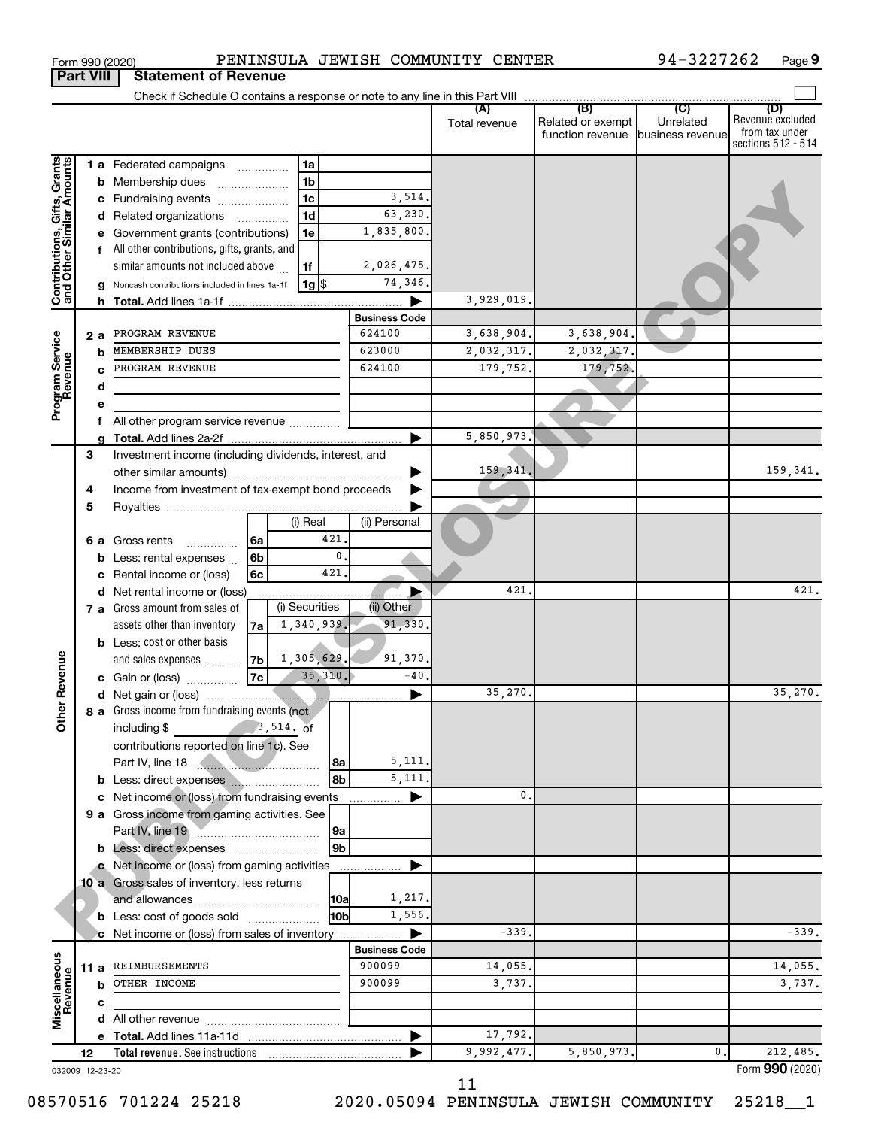| Form 990 (2020) | PENINSULA JEWISH COMMUNITY CENTER     |  | 94-3227262 | Page 9 |
|-----------------|---------------------------------------|--|------------|--------|
|                 | <b>Part VIII Statement of Revenue</b> |  |            |        |

|                                                           |    |   | Check if Schedule O contains a response or note to any line in this Part VIII |                      |               |                                       |                               |                                    |
|-----------------------------------------------------------|----|---|-------------------------------------------------------------------------------|----------------------|---------------|---------------------------------------|-------------------------------|------------------------------------|
|                                                           |    |   |                                                                               |                      |               | (B)                                   | (C)                           | (D)                                |
|                                                           |    |   |                                                                               |                      | Total revenue | Related or exempt<br>function revenue | Unrelated<br>business revenue | Revenue excluded<br>from tax under |
|                                                           |    |   |                                                                               |                      |               |                                       |                               | sections 512 - 514                 |
|                                                           |    |   | 1 a Federated campaigns<br>1a                                                 |                      |               |                                       |                               |                                    |
|                                                           |    |   | 1 <sub>b</sub>                                                                |                      |               |                                       |                               |                                    |
|                                                           |    |   | <b>b</b> Membership dues                                                      |                      |               |                                       |                               |                                    |
|                                                           |    |   | 1 <sub>c</sub><br>c Fundraising events                                        | 3,514.               |               |                                       |                               |                                    |
|                                                           |    |   | 1 <sub>d</sub><br>d Related organizations                                     | 63,230.              |               |                                       |                               |                                    |
|                                                           |    |   | 1e<br>e Government grants (contributions)                                     | 1,835,800.           |               |                                       |                               |                                    |
| Contributions, Gifts, Grants<br>and Other Similar Amounts |    |   | f All other contributions, gifts, grants, and                                 |                      |               |                                       |                               |                                    |
|                                                           |    |   | similar amounts not included above<br>1f                                      | 2,026,475.           |               |                                       |                               |                                    |
|                                                           |    |   | $1g$ \$<br>g Noncash contributions included in lines 1a-1f                    | 74,346.              |               |                                       |                               |                                    |
|                                                           |    |   |                                                                               |                      | 3,929,019     |                                       |                               |                                    |
|                                                           |    |   |                                                                               | <b>Business Code</b> |               |                                       |                               |                                    |
|                                                           | 2а |   | PROGRAM REVENUE                                                               | 624100               | 3,638,904.    | 3,638,904.                            |                               |                                    |
|                                                           |    | b | MEMBERSHIP DUES                                                               | 623000               | 2,032,317.    | 2,032,317.                            |                               |                                    |
| Program Service<br>Revenue                                |    |   | PROGRAM REVENUE                                                               | 624100               | 179,752.      | 179,752.                              |                               |                                    |
|                                                           |    | d |                                                                               |                      |               |                                       |                               |                                    |
|                                                           |    | е |                                                                               |                      |               |                                       |                               |                                    |
|                                                           |    |   | All other program service revenue                                             |                      |               |                                       |                               |                                    |
|                                                           |    |   |                                                                               | ▶                    | 5,850,973.    |                                       |                               |                                    |
|                                                           |    | g |                                                                               |                      |               |                                       |                               |                                    |
|                                                           | 3  |   | Investment income (including dividends, interest, and                         |                      |               |                                       |                               |                                    |
|                                                           |    |   |                                                                               |                      | 159,341       |                                       |                               | 159,341.                           |
|                                                           | 4  |   | Income from investment of tax-exempt bond proceeds                            |                      |               |                                       |                               |                                    |
|                                                           | 5  |   |                                                                               |                      |               |                                       |                               |                                    |
|                                                           |    |   | (i) Real                                                                      | (ii) Personal        |               |                                       |                               |                                    |
|                                                           | 6а |   | 421<br>Gross rents<br>6a                                                      |                      |               |                                       |                               |                                    |
|                                                           |    |   | $\mathbf{0}$<br>6b<br><b>b</b> Less: rental expenses $\ldots$                 |                      |               |                                       |                               |                                    |
|                                                           |    |   | 421<br>6c<br>c Rental income or (loss)                                        |                      |               |                                       |                               |                                    |
|                                                           |    |   | d Net rental income or (loss)                                                 | ▶                    | 421           |                                       |                               | 421.                               |
|                                                           |    |   | (i) Securities<br>7 a Gross amount from sales of                              | (ii) Other           |               |                                       |                               |                                    |
|                                                           |    |   | 1,340,939.<br>assets other than inventory<br>7a                               | 91,330               |               |                                       |                               |                                    |
|                                                           |    |   | <b>b</b> Less: cost or other basis                                            |                      |               |                                       |                               |                                    |
|                                                           |    |   | 1,305,629.<br>and sales expenses<br>7b                                        | 91,370.              |               |                                       |                               |                                    |
|                                                           |    |   | 35, 310.<br>7c<br>c Gain or (loss)                                            | $-40$                |               |                                       |                               |                                    |
| ther Revenue                                              |    |   |                                                                               |                      | 35,270.       |                                       |                               | 35,270.                            |
|                                                           |    |   | 8 a Gross income from fundraising events (not                                 |                      |               |                                       |                               |                                    |
|                                                           |    |   | including $\frac{2}{3}$ , 514. of                                             |                      |               |                                       |                               |                                    |
|                                                           |    |   |                                                                               |                      |               |                                       |                               |                                    |
|                                                           |    |   | contributions reported on line 1c). See                                       | 5,111.               |               |                                       |                               |                                    |
|                                                           |    |   | Part IV, line 18<br>8a                                                        | 5,111.               |               |                                       |                               |                                    |
|                                                           |    |   | 8b                                                                            |                      |               |                                       |                               |                                    |
|                                                           |    |   | c Net income or (loss) from fundraising events                                | ▶                    | 0.            |                                       |                               |                                    |
|                                                           |    |   | 9 a Gross income from gaming activities. See                                  |                      |               |                                       |                               |                                    |
|                                                           |    |   | Part IV, line 19 <b>Manual</b><br> 9a                                         |                      |               |                                       |                               |                                    |
|                                                           |    |   | 9 <sub>b</sub><br>b Less: direct expenses                                     |                      |               |                                       |                               |                                    |
|                                                           |    |   | c Net income or (loss) from gaming activities                                 |                      |               |                                       |                               |                                    |
|                                                           |    |   | 10 a Gross sales of inventory, less returns                                   |                      |               |                                       |                               |                                    |
|                                                           |    |   | <b>10a</b>                                                                    | 1,217.               |               |                                       |                               |                                    |
|                                                           |    |   | 10 <sub>b</sub><br><b>b</b> Less: cost of goods sold                          | 1,556.               |               |                                       |                               |                                    |
|                                                           |    |   | c Net income or (loss) from sales of inventory                                | Þ                    | $-339.$       |                                       |                               | $-339.$                            |
|                                                           |    |   |                                                                               | <b>Business Code</b> |               |                                       |                               |                                    |
|                                                           |    |   | 11 a REIMBURSEMENTS                                                           | 900099               | 14,055.       |                                       |                               | 14,055.                            |
|                                                           |    |   | <b>b</b> OTHER INCOME                                                         | 900099               | 3,737.        |                                       |                               | 3,737.                             |
|                                                           |    | c |                                                                               |                      |               |                                       |                               |                                    |
| Miscellaneous<br>Revenue                                  |    |   |                                                                               |                      |               |                                       |                               |                                    |
|                                                           |    |   |                                                                               | ▶                    | 17,792.       |                                       |                               |                                    |
|                                                           |    |   |                                                                               |                      | 9,992,477.    | 5,850,973.                            | $\mathbf{0}$                  | 212,485.                           |
|                                                           | 12 |   |                                                                               |                      |               |                                       |                               | Form 990 (2020)                    |
| 032009 12-23-20                                           |    |   |                                                                               |                      | 11            |                                       |                               |                                    |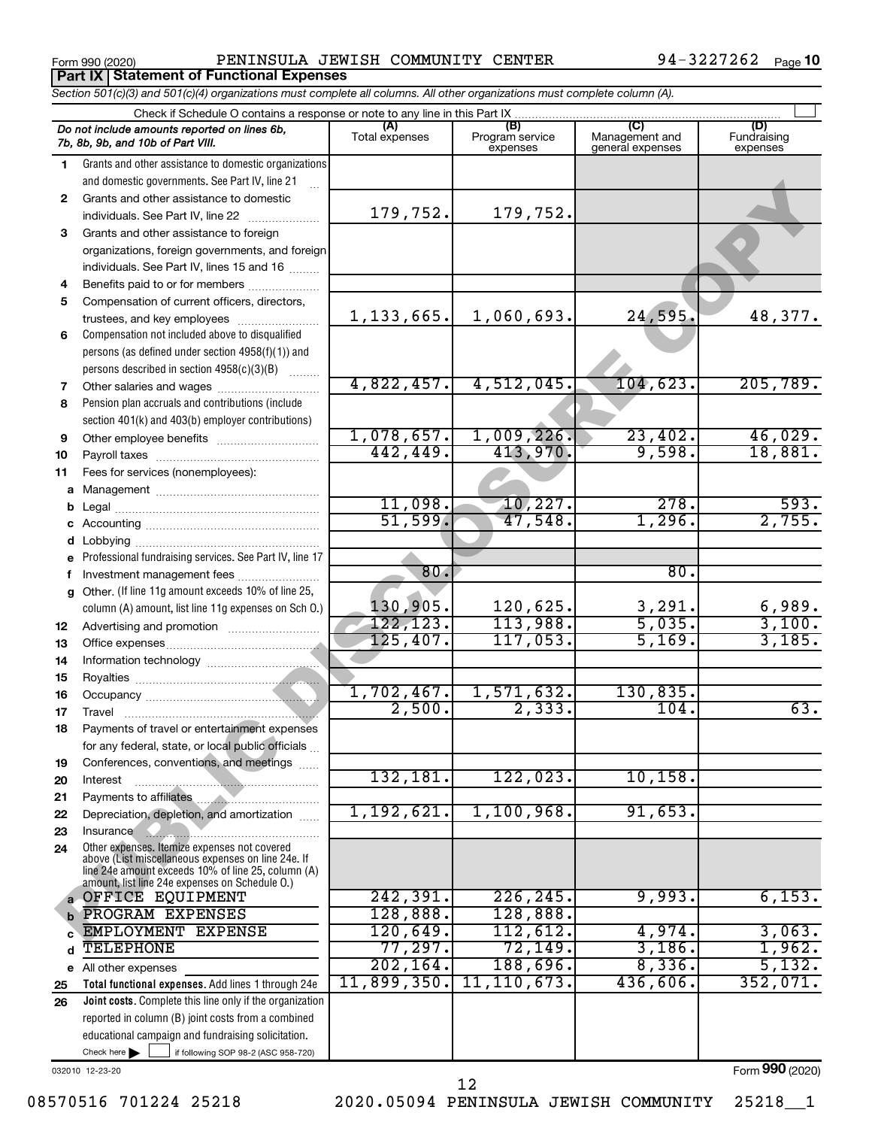**Part IX | Statement of Functional Expenses** 

Form 990 (2020) PENINSULA JEWISH COMMUNITY CENTER 94-3227262 <sub>Page</sub>

|    | Section 501(c)(3) and 501(c)(4) organizations must complete all columns. All other organizations must complete column (A). |                       |                                    |                                           |                                |
|----|----------------------------------------------------------------------------------------------------------------------------|-----------------------|------------------------------------|-------------------------------------------|--------------------------------|
|    | Check if Schedule O contains a response or note to any line in this Part IX.                                               |                       |                                    |                                           |                                |
|    | Do not include amounts reported on lines 6b,<br>7b, 8b, 9b, and 10b of Part VIII.                                          | (A)<br>Total expenses | (B)<br>Program service<br>expenses | (C)<br>Management and<br>general expenses | (D)<br>Fundraising<br>expenses |
| 1  | Grants and other assistance to domestic organizations                                                                      |                       |                                    |                                           |                                |
|    | and domestic governments. See Part IV, line 21                                                                             |                       |                                    |                                           |                                |
| 2  | Grants and other assistance to domestic                                                                                    |                       |                                    |                                           |                                |
|    | individuals. See Part IV, line 22                                                                                          | 179,752.              | 179,752.                           |                                           |                                |
| 3  | Grants and other assistance to foreign                                                                                     |                       |                                    |                                           |                                |
|    | organizations, foreign governments, and foreign                                                                            |                       |                                    |                                           |                                |
|    | individuals. See Part IV, lines 15 and 16                                                                                  |                       |                                    |                                           |                                |
| 4  | Benefits paid to or for members                                                                                            |                       |                                    |                                           |                                |
| 5  | Compensation of current officers, directors,                                                                               |                       |                                    |                                           |                                |
|    | trustees, and key employees                                                                                                | 1, 133, 665.          | 1,060,693.                         | 24,595.                                   | 48,377.                        |
| 6  | Compensation not included above to disqualified                                                                            |                       |                                    |                                           |                                |
|    | persons (as defined under section 4958(f)(1)) and                                                                          |                       |                                    |                                           |                                |
|    | persons described in section 4958(c)(3)(B)                                                                                 |                       |                                    |                                           |                                |
| 7  | Other salaries and wages                                                                                                   | 4,822,457.            | 4,512,045.                         | 104,623.                                  | 205,789.                       |
| 8  | Pension plan accruals and contributions (include                                                                           |                       |                                    |                                           |                                |
|    | section 401(k) and 403(b) employer contributions)                                                                          |                       |                                    |                                           |                                |
| 9  | Other employee benefits                                                                                                    | 1,078,657.            | 1,009,226.                         | 23,402.                                   | 46,029.                        |
| 10 |                                                                                                                            | 442,449.              | 413,970.                           | 9,598.                                    | 18,881.                        |
| 11 | Fees for services (nonemployees):                                                                                          |                       |                                    |                                           |                                |
| a  |                                                                                                                            |                       |                                    |                                           |                                |
|    |                                                                                                                            | 11,098.               | 10,227.                            | 278.                                      | 593.                           |
|    |                                                                                                                            | 51,599.               | 47,548.                            | 1,296.                                    | 2,755.                         |
|    |                                                                                                                            |                       |                                    |                                           |                                |
| е  | Professional fundraising services. See Part IV, line 17                                                                    |                       |                                    |                                           |                                |
| f  | Investment management fees                                                                                                 | 80.                   |                                    | 80.                                       |                                |
| g  | Other. (If line 11g amount exceeds 10% of line 25,                                                                         |                       |                                    |                                           |                                |
|    | column (A) amount, list line 11g expenses on Sch O.)                                                                       | 130,905.<br>122, 123. | 120,625.<br>113,988.               | $\frac{3,291}{5,035}$                     | $\frac{6,989}{3,100}$ .        |
| 12 |                                                                                                                            | 125,407.              | 117,053.                           | 5,169.                                    | 3,185.                         |
| 13 |                                                                                                                            |                       |                                    |                                           |                                |
| 14 |                                                                                                                            |                       |                                    |                                           |                                |
| 15 |                                                                                                                            | 1,702,467.            | 1,571,632.                         | 130,835.                                  |                                |
| 16 |                                                                                                                            | 2,500.                | 2,333.                             | 104.                                      | 63.                            |
| 17 | Payments of travel or entertainment expenses                                                                               |                       |                                    |                                           |                                |
| 18 |                                                                                                                            |                       |                                    |                                           |                                |
| 19 | for any federal, state, or local public officials<br>Conferences, conventions, and meetings                                |                       |                                    |                                           |                                |
| 20 | Interest                                                                                                                   | 132,181.              | 122,023.                           | 10, 158.                                  |                                |
| 21 |                                                                                                                            |                       |                                    |                                           |                                |
| 22 | Depreciation, depletion, and amortization                                                                                  | 1,192,621.            | 1,100,968.                         | 91,653.                                   |                                |
| 23 | Insurance                                                                                                                  |                       |                                    |                                           |                                |
| 24 | Other expenses. Itemize expenses not covered                                                                               |                       |                                    |                                           |                                |
|    | above (List miscellaneous expenses on line 24e. If                                                                         |                       |                                    |                                           |                                |
|    | line 24e amount exceeds 10% of line 25, column (A)<br>amount, list line 24e expenses on Schedule 0.)                       |                       |                                    |                                           |                                |
|    | a OFFICE EQUIPMENT                                                                                                         | 242,391.              | 226, 245.                          | 9,993.                                    | 6,153.                         |
|    | PROGRAM EXPENSES                                                                                                           | 128,888.              | 128,888.                           |                                           |                                |
|    | EMPLOYMENT EXPENSE                                                                                                         | 120,649.              | 112,612.                           | 4,974.                                    | 3,063.                         |
| d  | TELEPHONE                                                                                                                  | 77,297.               | 72,149.                            | 3,186.                                    | 1,962.                         |
|    | e All other expenses                                                                                                       | 202, 164.             | 188,696.                           | 8,336.                                    | 5,132.                         |
| 25 | Total functional expenses. Add lines 1 through 24e                                                                         | 11,899,350.           | 11, 110, 673.                      | 436,606.                                  | 352,071.                       |
| 26 | Joint costs. Complete this line only if the organization                                                                   |                       |                                    |                                           |                                |
|    | reported in column (B) joint costs from a combined                                                                         |                       |                                    |                                           |                                |
|    | educational campaign and fundraising solicitation.                                                                         |                       |                                    |                                           |                                |
|    | Check here $\blacktriangleright$<br>if following SOP 98-2 (ASC 958-720)                                                    |                       |                                    |                                           |                                |

032010 12-23-20

Form (2020) **990**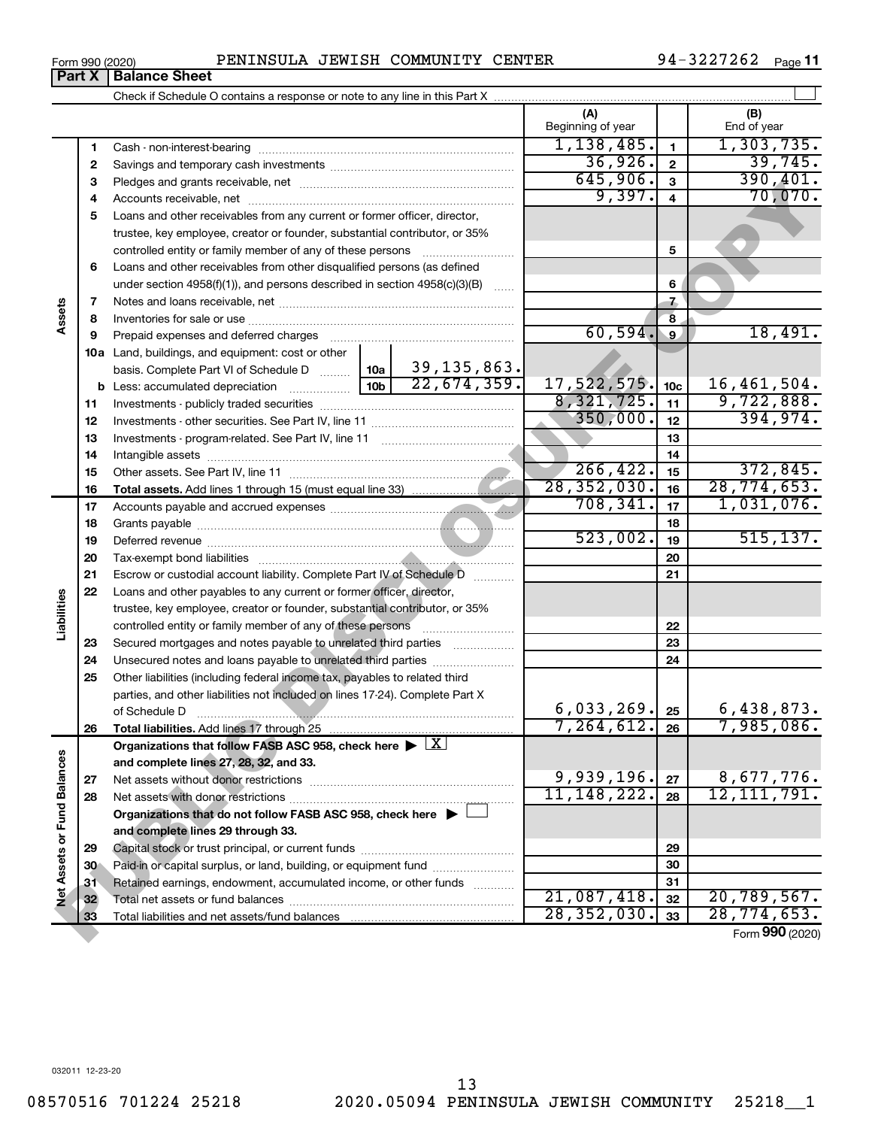#### Form 990 (2020) PENINSULA JEWISH COMMUNITY CENTER 94-3227262 <sub>Page</sub> Check if Schedule O contains a response or note to any line in this Part X **Part X** | Balance Sheet

 $\perp$ 

94-3227262 Page 11

**(A) (B)**

|                            |    |                                                                                            |                 |               | Beginning of year       |                 | End of year     |
|----------------------------|----|--------------------------------------------------------------------------------------------|-----------------|---------------|-------------------------|-----------------|-----------------|
|                            | 1  | Cash - non-interest-bearing                                                                |                 |               | 1,138,485.              | $\mathbf{1}$    | 1,303,735.      |
|                            | 2  |                                                                                            |                 |               | 36,926.                 | $\overline{2}$  | 39,745.         |
|                            | З  |                                                                                            |                 |               | 645,906.                | $\mathbf{3}$    | 390, 401.       |
|                            | 4  |                                                                                            |                 |               | 9,397.                  | $\overline{4}$  | 70,070.         |
|                            | 5  | Loans and other receivables from any current or former officer, director,                  |                 |               |                         |                 |                 |
|                            |    | trustee, key employee, creator or founder, substantial contributor, or 35%                 |                 |               |                         |                 |                 |
|                            |    | controlled entity or family member of any of these persons                                 |                 |               |                         | 5               |                 |
|                            | 6  | Loans and other receivables from other disqualified persons (as defined                    |                 |               |                         |                 |                 |
|                            |    | under section $4958(f)(1)$ , and persons described in section $4958(c)(3)(B)$              |                 | $\ldots$      |                         | 6               |                 |
|                            | 7  |                                                                                            |                 |               |                         | $\overline{1}$  |                 |
| Assets                     | 8  |                                                                                            |                 |               | $\overline{\mathbf{8}}$ |                 |                 |
|                            | 9  | Prepaid expenses and deferred charges                                                      |                 |               | 60,594.                 | $\overline{9}$  | 18,491.         |
|                            |    | 10a Land, buildings, and equipment: cost or other                                          |                 |               |                         |                 |                 |
|                            |    | basis. Complete Part VI of Schedule D                                                      | 10a             | 39, 135, 863. |                         |                 |                 |
|                            |    | <b>b</b> Less: accumulated depreciation                                                    | 10 <sub>b</sub> | 22,674,359.   | 17,522,575.             | 10 <sub>c</sub> | 16,461,504.     |
|                            | 11 |                                                                                            |                 |               | 8,321,725.              | 11              | 9,722,888.      |
|                            | 12 |                                                                                            |                 |               | 350,000.                | 12              | 394,974.        |
|                            | 13 |                                                                                            |                 |               |                         | 13              |                 |
|                            | 14 |                                                                                            |                 |               |                         | 14              |                 |
|                            | 15 |                                                                                            |                 |               | 266, 422.               | 15              | 372,845.        |
|                            | 16 |                                                                                            |                 |               | 28, 352, 030.           | 16              | 28, 774, 653.   |
|                            | 17 |                                                                                            |                 |               | 708, 341.               | 17              | 1,031,076.      |
|                            | 18 |                                                                                            |                 |               |                         | 18              |                 |
|                            | 19 |                                                                                            | 523,002.        | 19            | 515, 137.               |                 |                 |
|                            | 20 |                                                                                            |                 |               |                         | 20              |                 |
|                            | 21 | Escrow or custodial account liability. Complete Part IV of Schedule D                      |                 | 21            |                         |                 |                 |
|                            | 22 | Loans and other payables to any current or former officer, director,                       |                 |               |                         |                 |                 |
| Liabilities                |    | trustee, key employee, creator or founder, substantial contributor, or 35%                 |                 |               |                         |                 |                 |
|                            |    | controlled entity or family member of any of these persons                                 |                 |               |                         | 22              |                 |
|                            | 23 | Secured mortgages and notes payable to unrelated third parties                             |                 |               |                         | 23              |                 |
|                            | 24 |                                                                                            |                 |               |                         | 24              |                 |
|                            | 25 | Other liabilities (including federal income tax, payables to related third                 |                 |               |                         |                 |                 |
|                            |    | parties, and other liabilities not included on lines 17-24). Complete Part X               |                 |               |                         |                 |                 |
|                            |    | of Schedule D                                                                              |                 |               | 6,033,269.              | 25              | 6,438,873.      |
|                            | 26 |                                                                                            |                 |               | 7, 264, 612.            | 26              | 7,985,086.      |
| w                          |    | Organizations that follow FASB ASC 958, check here $\blacktriangleright \lfloor X \rfloor$ |                 |               |                         |                 |                 |
|                            |    | and complete lines 27, 28, 32, and 33.                                                     |                 |               |                         |                 |                 |
|                            | 27 | Net assets without donor restrictions                                                      |                 |               | 9,939,196.              | 27              | 8,677,776.      |
|                            | 28 |                                                                                            |                 |               | 11, 148, 222.           | 28              | 12, 111, 791.   |
|                            |    | Organizations that do not follow FASB ASC 958, check here $\blacktriangleright$            |                 |               |                         |                 |                 |
|                            |    | and complete lines 29 through 33.                                                          |                 |               |                         |                 |                 |
|                            | 29 |                                                                                            |                 |               |                         | 29              |                 |
|                            | 30 | Paid-in or capital surplus, or land, building, or equipment fund                           |                 |               |                         | 30              |                 |
| Net Assets or Fund Balance | 31 | Retained earnings, endowment, accumulated income, or other funds                           |                 |               |                         | 31              |                 |
|                            | 32 |                                                                                            |                 |               | 21,087,418.             | 32              | 20, 789, 567.   |
|                            | 33 |                                                                                            |                 |               | 28, 352, 030.           | 33              | 28,774,653.     |
|                            |    |                                                                                            |                 |               |                         |                 | Form 990 (2020) |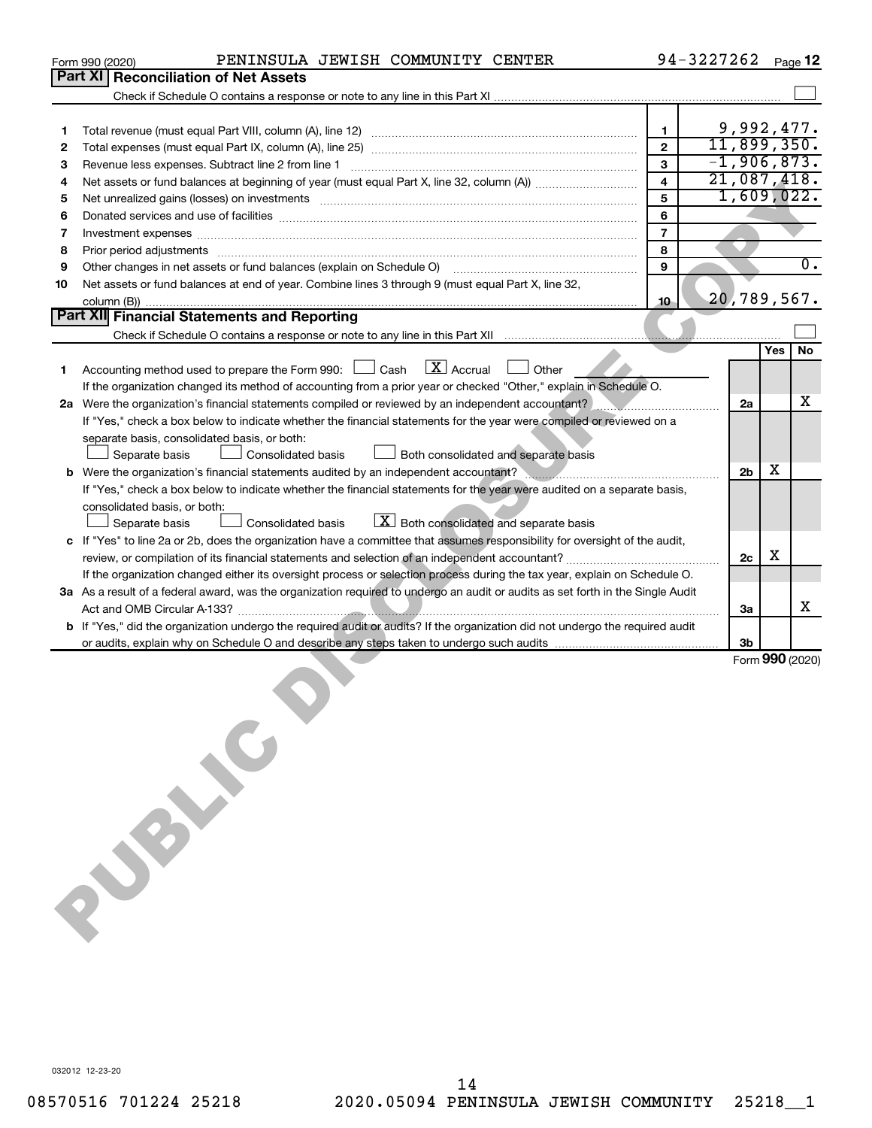|    | PENINSULA JEWISH COMMUNITY CENTER<br>Form 990 (2020)                                                                                                                                                                                |                         | 94-3227262 |                |     | Page 12          |
|----|-------------------------------------------------------------------------------------------------------------------------------------------------------------------------------------------------------------------------------------|-------------------------|------------|----------------|-----|------------------|
|    | Part XI<br><b>Reconciliation of Net Assets</b>                                                                                                                                                                                      |                         |            |                |     |                  |
|    |                                                                                                                                                                                                                                     |                         |            |                |     |                  |
|    |                                                                                                                                                                                                                                     |                         |            |                |     |                  |
| 1  |                                                                                                                                                                                                                                     | 1                       |            | 9,992,477.     |     |                  |
| 2  |                                                                                                                                                                                                                                     | $\overline{2}$          |            | 11,899,350.    |     |                  |
| 3  |                                                                                                                                                                                                                                     | $\overline{3}$          |            | $-1,906,873.$  |     |                  |
| 4  |                                                                                                                                                                                                                                     | $\overline{\mathbf{4}}$ |            | 21,087,418.    |     |                  |
| 5  | Net unrealized gains (losses) on investments [111] matter in the contract of the contract of the contract of the contract of the contract of the contract of the contract of the contract of the contract of the contract of t      | 5                       |            | 1,609,022.     |     |                  |
| 6  |                                                                                                                                                                                                                                     | 6                       |            |                |     |                  |
| 7  | Investment expenses www.communication.com/www.communication.com/www.communication.com/www.com                                                                                                                                       | $\overline{7}$          |            |                |     |                  |
| 8  | Prior period adjustments www.communication.communication.communication.communication.com                                                                                                                                            | 8                       |            |                |     |                  |
| 9  |                                                                                                                                                                                                                                     | 9                       |            |                |     | $\overline{0}$ . |
| 10 | Net assets or fund balances at end of year. Combine lines 3 through 9 (must equal Part X, line 32,                                                                                                                                  |                         |            |                |     |                  |
|    |                                                                                                                                                                                                                                     | $10 -$                  |            | 20,789,567.    |     |                  |
|    | Part XII Financial Statements and Reporting                                                                                                                                                                                         |                         |            |                |     |                  |
|    | Check if Schedule O contains a response or note to any line in this Part XII [11] [11] [11] Check if Schedule O contains a response or note to any line in this Part XII                                                            |                         |            |                |     |                  |
|    |                                                                                                                                                                                                                                     |                         |            |                | Yes | No               |
| 1  | Accounting method used to prepare the Form 990: $\Box$ Cash $\Box$ Accrual $\Box$ Other                                                                                                                                             |                         |            |                |     |                  |
|    | If the organization changed its method of accounting from a prior year or checked "Other," explain in Schedule O.                                                                                                                   |                         |            |                |     |                  |
|    | 2a Were the organization's financial statements compiled or reviewed by an independent accountant?                                                                                                                                  |                         |            | 2a             |     | x                |
|    | If "Yes," check a box below to indicate whether the financial statements for the year were compiled or reviewed on a                                                                                                                |                         |            |                |     |                  |
|    | separate basis, consolidated basis, or both:                                                                                                                                                                                        |                         |            |                |     |                  |
|    | Consolidated basis<br>Separate basis<br>Both consolidated and separate basis                                                                                                                                                        |                         |            |                |     |                  |
|    | b Were the organization's financial statements audited by an independent accountant?                                                                                                                                                |                         |            | 2 <sub>b</sub> | х   |                  |
|    | If "Yes," check a box below to indicate whether the financial statements for the year were audited on a separate basis,                                                                                                             |                         |            |                |     |                  |
|    | consolidated basis, or both:                                                                                                                                                                                                        |                         |            |                |     |                  |
|    | $X$ Both consolidated and separate basis<br>Separate basis<br><b>Consolidated basis</b>                                                                                                                                             |                         |            |                |     |                  |
|    | c If "Yes" to line 2a or 2b, does the organization have a committee that assumes responsibility for oversight of the audit,                                                                                                         |                         |            | 2c             | х   |                  |
|    | If the organization changed either its oversight process or selection process during the tax year, explain on Schedule O.                                                                                                           |                         |            |                |     |                  |
|    | 3a As a result of a federal award, was the organization required to undergo an audit or audits as set forth in the Single Audit                                                                                                     |                         |            |                |     |                  |
|    |                                                                                                                                                                                                                                     |                         |            | За             |     | x                |
|    | b If "Yes," did the organization undergo the required audit or audits? If the organization did not undergo the required audit                                                                                                       |                         |            |                |     |                  |
|    |                                                                                                                                                                                                                                     |                         |            | 3b             |     |                  |
|    |                                                                                                                                                                                                                                     |                         |            |                |     | Form 990 (2020)  |
|    |                                                                                                                                                                                                                                     |                         |            |                |     |                  |
|    |                                                                                                                                                                                                                                     |                         |            |                |     |                  |
|    |                                                                                                                                                                                                                                     |                         |            |                |     |                  |
|    |                                                                                                                                                                                                                                     |                         |            |                |     |                  |
|    |                                                                                                                                                                                                                                     |                         |            |                |     |                  |
|    |                                                                                                                                                                                                                                     |                         |            |                |     |                  |
|    |                                                                                                                                                                                                                                     |                         |            |                |     |                  |
|    |                                                                                                                                                                                                                                     |                         |            |                |     |                  |
|    |                                                                                                                                                                                                                                     |                         |            |                |     |                  |
|    |                                                                                                                                                                                                                                     |                         |            |                |     |                  |
|    |                                                                                                                                                                                                                                     |                         |            |                |     |                  |
|    |                                                                                                                                                                                                                                     |                         |            |                |     |                  |
|    |                                                                                                                                                                                                                                     |                         |            |                |     |                  |
|    |                                                                                                                                                                                                                                     |                         |            |                |     |                  |
|    | did the Line Line why on Burney<br>the explain why on Burney<br>and the contract of the contract of the contract of the contract of the contract of the contract of the contract of the contract of the contract of the contract of |                         |            |                |     |                  |
|    |                                                                                                                                                                                                                                     |                         |            |                |     |                  |
|    |                                                                                                                                                                                                                                     |                         |            |                |     |                  |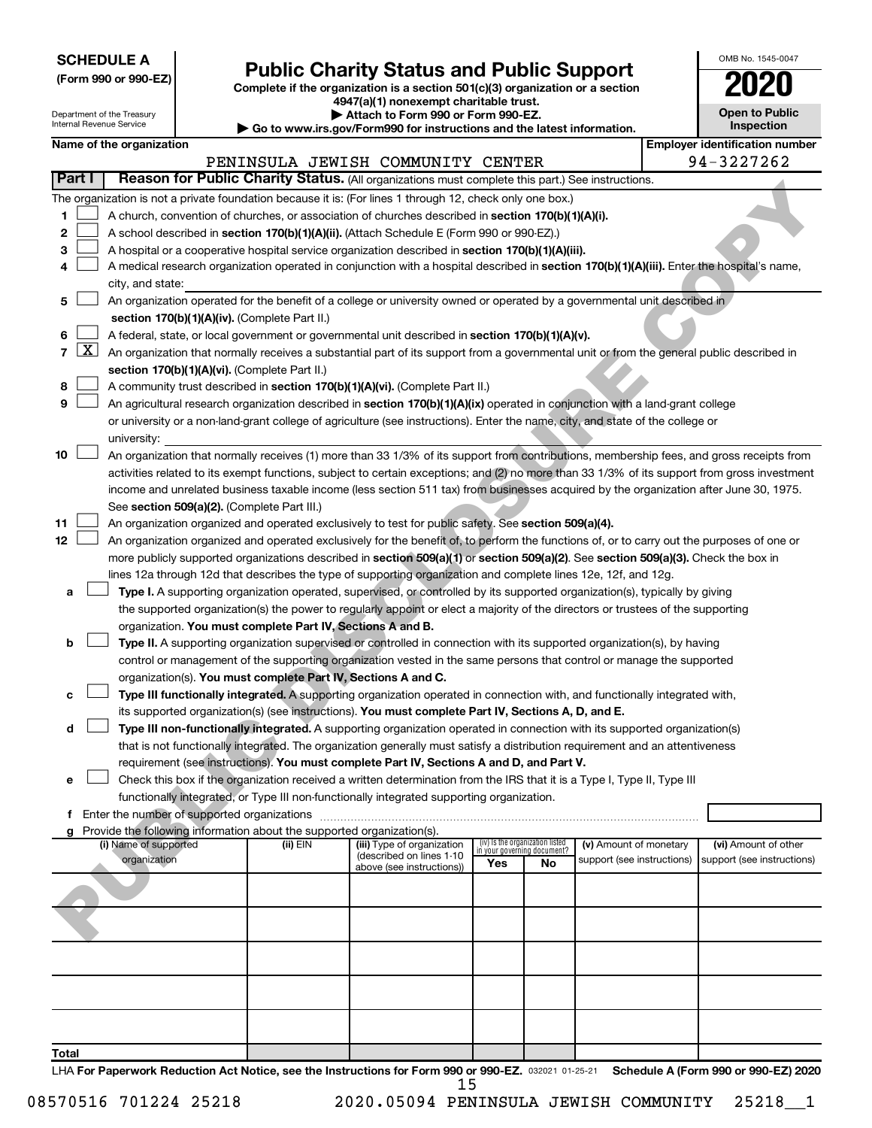| <b>SCHEDULE A</b> |  |
|-------------------|--|
|-------------------|--|

| (Form 990 or 990-EZ) |  |  |  |  |
|----------------------|--|--|--|--|
|----------------------|--|--|--|--|

# **(Form 990 or 990-EZ) Complete if the organization is a section 501(c)(3) organization or a section Public Charity Status and Public Support 2020**

**4947(a)(1) nonexempt charitable trust.**

| 2020                                |  |
|-------------------------------------|--|
| <b>Open to Public</b><br>Inspection |  |
|                                     |  |

OMB No. 1545-0047

|       | Attach to Form 990 or Form 990-EZ.<br>Department of the Treasury<br>Internal Revenue Service<br>Go to www.irs.gov/Form990 for instructions and the latest information. |                          |  |                                                                                    | <b>Open to Public</b><br>Inspection                                                                                                          |                                 |                                   |                            |  |                                       |  |
|-------|------------------------------------------------------------------------------------------------------------------------------------------------------------------------|--------------------------|--|------------------------------------------------------------------------------------|----------------------------------------------------------------------------------------------------------------------------------------------|---------------------------------|-----------------------------------|----------------------------|--|---------------------------------------|--|
|       |                                                                                                                                                                        | Name of the organization |  |                                                                                    |                                                                                                                                              |                                 |                                   |                            |  | <b>Employer identification number</b> |  |
|       |                                                                                                                                                                        |                          |  |                                                                                    | PENINSULA JEWISH COMMUNITY CENTER                                                                                                            |                                 |                                   |                            |  | 94-3227262                            |  |
|       | Part I                                                                                                                                                                 |                          |  |                                                                                    | Reason for Public Charity Status. (All organizations must complete this part.) See instructions.                                             |                                 |                                   |                            |  |                                       |  |
|       |                                                                                                                                                                        |                          |  |                                                                                    | The organization is not a private foundation because it is: (For lines 1 through 12, check only one box.)                                    |                                 |                                   |                            |  |                                       |  |
| 1     |                                                                                                                                                                        |                          |  |                                                                                    | A church, convention of churches, or association of churches described in section 170(b)(1)(A)(i).                                           |                                 |                                   |                            |  |                                       |  |
| 2     |                                                                                                                                                                        |                          |  |                                                                                    | A school described in section 170(b)(1)(A)(ii). (Attach Schedule E (Form 990 or 990-EZ).)                                                    |                                 |                                   |                            |  |                                       |  |
| з     |                                                                                                                                                                        |                          |  |                                                                                    | A hospital or a cooperative hospital service organization described in section 170(b)(1)(A)(iii).                                            |                                 |                                   |                            |  |                                       |  |
| 4     |                                                                                                                                                                        |                          |  |                                                                                    | A medical research organization operated in conjunction with a hospital described in section 170(b)(1)(A)(iii). Enter the hospital's name,   |                                 |                                   |                            |  |                                       |  |
|       |                                                                                                                                                                        | city, and state:         |  |                                                                                    |                                                                                                                                              |                                 |                                   |                            |  |                                       |  |
| 5     |                                                                                                                                                                        |                          |  |                                                                                    | An organization operated for the benefit of a college or university owned or operated by a governmental unit described in                    |                                 |                                   |                            |  |                                       |  |
|       |                                                                                                                                                                        |                          |  | section 170(b)(1)(A)(iv). (Complete Part II.)                                      |                                                                                                                                              |                                 |                                   |                            |  |                                       |  |
| 6     |                                                                                                                                                                        |                          |  |                                                                                    | A federal, state, or local government or governmental unit described in section 170(b)(1)(A)(v).                                             |                                 |                                   |                            |  |                                       |  |
|       | $7 \mid X \mid$                                                                                                                                                        |                          |  |                                                                                    | An organization that normally receives a substantial part of its support from a governmental unit or from the general public described in    |                                 |                                   |                            |  |                                       |  |
| 8     |                                                                                                                                                                        |                          |  | section 170(b)(1)(A)(vi). (Complete Part II.)                                      | A community trust described in section 170(b)(1)(A)(vi). (Complete Part II.)                                                                 |                                 |                                   |                            |  |                                       |  |
| 9     |                                                                                                                                                                        |                          |  |                                                                                    | An agricultural research organization described in section 170(b)(1)(A)(ix) operated in conjunction with a land-grant college                |                                 |                                   |                            |  |                                       |  |
|       |                                                                                                                                                                        |                          |  |                                                                                    | or university or a non-land-grant college of agriculture (see instructions). Enter the name, city, and state of the college or               |                                 |                                   |                            |  |                                       |  |
|       |                                                                                                                                                                        | university:              |  |                                                                                    |                                                                                                                                              |                                 |                                   |                            |  |                                       |  |
| 10    |                                                                                                                                                                        |                          |  |                                                                                    | An organization that normally receives (1) more than 33 1/3% of its support from contributions, membership fees, and gross receipts from     |                                 |                                   |                            |  |                                       |  |
|       |                                                                                                                                                                        |                          |  |                                                                                    | activities related to its exempt functions, subject to certain exceptions; and (2) no more than 33 1/3% of its support from gross investment |                                 |                                   |                            |  |                                       |  |
|       |                                                                                                                                                                        |                          |  |                                                                                    | income and unrelated business taxable income (less section 511 tax) from businesses acquired by the organization after June 30, 1975.        |                                 |                                   |                            |  |                                       |  |
|       |                                                                                                                                                                        |                          |  | See section 509(a)(2). (Complete Part III.)                                        |                                                                                                                                              |                                 |                                   |                            |  |                                       |  |
| 11    |                                                                                                                                                                        |                          |  |                                                                                    | An organization organized and operated exclusively to test for public safety. See section 509(a)(4).                                         |                                 |                                   |                            |  |                                       |  |
| 12    |                                                                                                                                                                        |                          |  |                                                                                    | An organization organized and operated exclusively for the benefit of, to perform the functions of, or to carry out the purposes of one or   |                                 |                                   |                            |  |                                       |  |
|       |                                                                                                                                                                        |                          |  |                                                                                    | more publicly supported organizations described in section 509(a)(1) or section 509(a)(2). See section 509(a)(3). Check the box in           |                                 |                                   |                            |  |                                       |  |
|       |                                                                                                                                                                        |                          |  |                                                                                    | lines 12a through 12d that describes the type of supporting organization and complete lines 12e, 12f, and 12g.                               |                                 |                                   |                            |  |                                       |  |
| а     |                                                                                                                                                                        |                          |  |                                                                                    | Type I. A supporting organization operated, supervised, or controlled by its supported organization(s), typically by giving                  |                                 |                                   |                            |  |                                       |  |
|       |                                                                                                                                                                        |                          |  | organization. You must complete Part IV, Sections A and B.                         | the supported organization(s) the power to regularly appoint or elect a majority of the directors or trustees of the supporting              |                                 |                                   |                            |  |                                       |  |
| b     |                                                                                                                                                                        |                          |  |                                                                                    | Type II. A supporting organization supervised or controlled in connection with its supported organization(s), by having                      |                                 |                                   |                            |  |                                       |  |
|       |                                                                                                                                                                        |                          |  |                                                                                    | control or management of the supporting organization vested in the same persons that control or manage the supported                         |                                 |                                   |                            |  |                                       |  |
|       |                                                                                                                                                                        |                          |  | organization(s). You must complete Part IV, Sections A and C.                      |                                                                                                                                              |                                 |                                   |                            |  |                                       |  |
| с     |                                                                                                                                                                        |                          |  |                                                                                    | Type III functionally integrated. A supporting organization operated in connection with, and functionally integrated with,                   |                                 |                                   |                            |  |                                       |  |
|       |                                                                                                                                                                        |                          |  |                                                                                    | its supported organization(s) (see instructions). You must complete Part IV, Sections A, D, and E.                                           |                                 |                                   |                            |  |                                       |  |
| d     |                                                                                                                                                                        |                          |  |                                                                                    | Type III non-functionally integrated. A supporting organization operated in connection with its supported organization(s)                    |                                 |                                   |                            |  |                                       |  |
|       |                                                                                                                                                                        |                          |  |                                                                                    | that is not functionally integrated. The organization generally must satisfy a distribution requirement and an attentiveness                 |                                 |                                   |                            |  |                                       |  |
|       |                                                                                                                                                                        |                          |  |                                                                                    | requirement (see instructions). You must complete Part IV, Sections A and D, and Part V.                                                     |                                 |                                   |                            |  |                                       |  |
| е     |                                                                                                                                                                        |                          |  |                                                                                    | Check this box if the organization received a written determination from the IRS that it is a Type I, Type II, Type III                      |                                 |                                   |                            |  |                                       |  |
|       |                                                                                                                                                                        |                          |  |                                                                                    | functionally integrated, or Type III non-functionally integrated supporting organization.                                                    |                                 |                                   |                            |  |                                       |  |
|       |                                                                                                                                                                        |                          |  |                                                                                    |                                                                                                                                              |                                 |                                   |                            |  |                                       |  |
|       |                                                                                                                                                                        | (i) Name of supported    |  | Provide the following information about the supported organization(s).<br>(ii) EIN | (iii) Type of organization                                                                                                                   | (iv) Is the organization listed |                                   | (v) Amount of monetary     |  | (vi) Amount of other                  |  |
|       |                                                                                                                                                                        | organization             |  |                                                                                    | (described on lines 1-10<br>above (see instructions))                                                                                        | Yes                             | in vour aovernina document?<br>No | support (see instructions) |  | support (see instructions)            |  |
|       |                                                                                                                                                                        |                          |  |                                                                                    |                                                                                                                                              |                                 |                                   |                            |  |                                       |  |
|       |                                                                                                                                                                        |                          |  |                                                                                    |                                                                                                                                              |                                 |                                   |                            |  |                                       |  |
|       |                                                                                                                                                                        |                          |  |                                                                                    |                                                                                                                                              |                                 |                                   |                            |  |                                       |  |
|       |                                                                                                                                                                        |                          |  |                                                                                    |                                                                                                                                              |                                 |                                   |                            |  |                                       |  |
|       |                                                                                                                                                                        |                          |  |                                                                                    |                                                                                                                                              |                                 |                                   |                            |  |                                       |  |
|       |                                                                                                                                                                        |                          |  |                                                                                    |                                                                                                                                              |                                 |                                   |                            |  |                                       |  |
|       |                                                                                                                                                                        |                          |  |                                                                                    |                                                                                                                                              |                                 |                                   |                            |  |                                       |  |
|       |                                                                                                                                                                        |                          |  |                                                                                    |                                                                                                                                              |                                 |                                   |                            |  |                                       |  |
|       |                                                                                                                                                                        |                          |  |                                                                                    |                                                                                                                                              |                                 |                                   |                            |  |                                       |  |
|       |                                                                                                                                                                        |                          |  |                                                                                    |                                                                                                                                              |                                 |                                   |                            |  |                                       |  |
| Total |                                                                                                                                                                        |                          |  |                                                                                    |                                                                                                                                              |                                 |                                   |                            |  |                                       |  |

LHA For Paperwork Reduction Act Notice, see the Instructions for Form 990 or 990-EZ. 032021 01-25-21 Schedule A (Form 990 or 990-EZ) 2020 15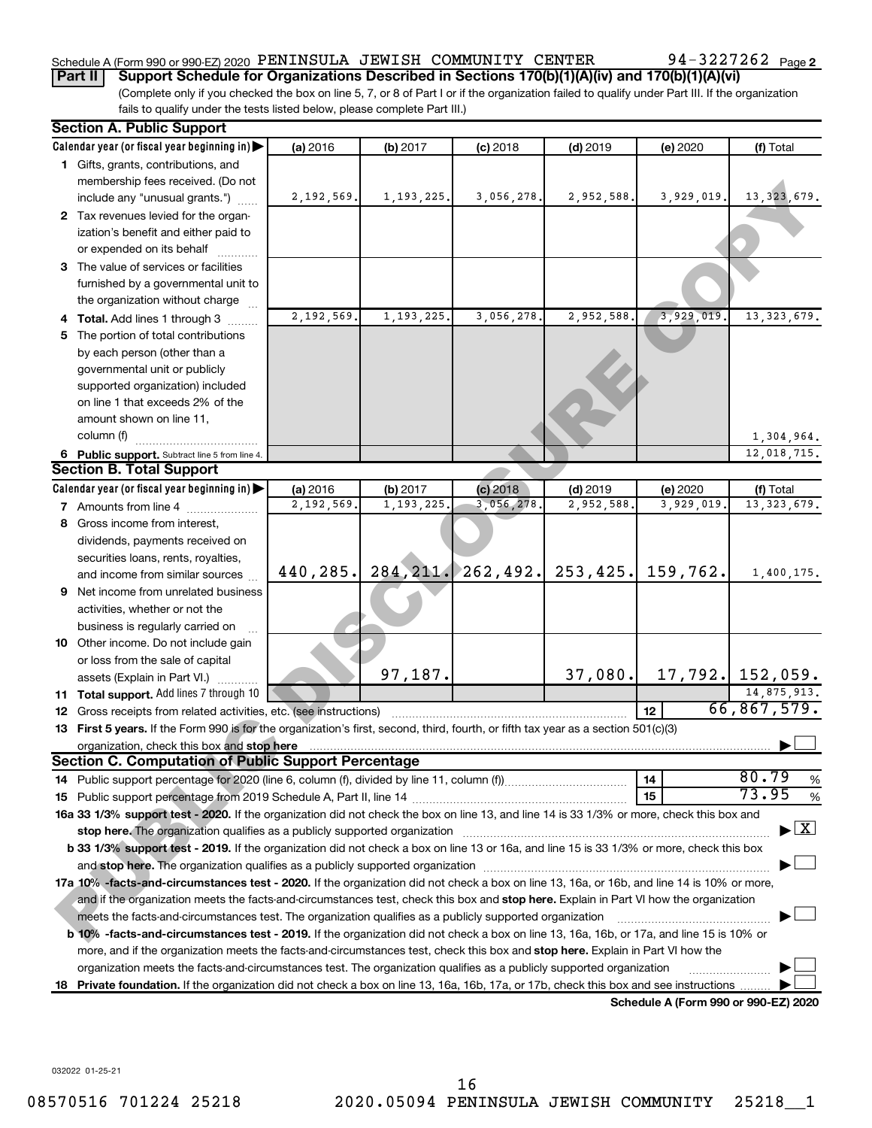### Schedule A (Form 990 or 990-EZ) 2020  $\,$  PENINSULA JEWISH  $\,$  COMMUNITY  $\,$  CENTER  $\,$  94 – 3227262  $\,$  Page

**Part II** | Support Schedule for Organizations Described in Sections 170(b)(1)(A)(iv) and 170(b)(1)(A)(vi)

(Complete only if you checked the box on line 5, 7, or 8 of Part I or if the organization failed to qualify under Part III. If the organization fails to qualify under the tests listed below, please complete Part III.)

|    | <b>Section A. Public Support</b>                                                                                                           |            |              |                     |            |                                      |                                |
|----|--------------------------------------------------------------------------------------------------------------------------------------------|------------|--------------|---------------------|------------|--------------------------------------|--------------------------------|
|    | Calendar year (or fiscal year beginning in)                                                                                                | (a) 2016   | $(b)$ 2017   | $(c)$ 2018          | $(d)$ 2019 | (e) 2020                             | (f) Total                      |
|    | 1 Gifts, grants, contributions, and                                                                                                        |            |              |                     |            |                                      |                                |
|    | membership fees received. (Do not                                                                                                          |            |              |                     |            |                                      |                                |
|    | include any "unusual grants.")                                                                                                             | 2,192,569. | 1, 193, 225. | 3,056,278.          | 2,952,588. | 3,929,019.                           | 13, 323, 679.                  |
|    | 2 Tax revenues levied for the organ-                                                                                                       |            |              |                     |            |                                      |                                |
|    | ization's benefit and either paid to                                                                                                       |            |              |                     |            |                                      |                                |
|    | or expended on its behalf                                                                                                                  |            |              |                     |            |                                      |                                |
|    | 3 The value of services or facilities                                                                                                      |            |              |                     |            |                                      |                                |
|    | furnished by a governmental unit to                                                                                                        |            |              |                     |            |                                      |                                |
|    | the organization without charge                                                                                                            |            |              |                     |            |                                      |                                |
|    | 4 Total. Add lines 1 through 3                                                                                                             | 2,192,569. | 1, 193, 225. | 3,056,278.          | 2,952,588. | 3,929,019.                           | 13, 323, 679.                  |
|    | 5 The portion of total contributions                                                                                                       |            |              |                     |            |                                      |                                |
|    | by each person (other than a                                                                                                               |            |              |                     |            |                                      |                                |
|    | governmental unit or publicly                                                                                                              |            |              |                     |            |                                      |                                |
|    | supported organization) included                                                                                                           |            |              |                     |            |                                      |                                |
|    | on line 1 that exceeds 2% of the                                                                                                           |            |              |                     |            |                                      |                                |
|    | amount shown on line 11,                                                                                                                   |            |              |                     |            |                                      |                                |
|    | column (f)                                                                                                                                 |            |              |                     |            |                                      | 1,304,964.                     |
|    | 6 Public support. Subtract line 5 from line 4.                                                                                             |            |              |                     |            |                                      | 12,018,715.                    |
|    | <b>Section B. Total Support</b>                                                                                                            |            |              |                     |            |                                      |                                |
|    | Calendar year (or fiscal year beginning in)                                                                                                | (a) 2016   | (b) 2017     | $(c)$ 2018          | $(d)$ 2019 | (e) 2020                             | (f) Total                      |
|    | 7 Amounts from line 4                                                                                                                      | 2,192,569  | 1,193,225    | 3,056,278           | 2,952,588  | 3,929,019                            | 13, 323, 679.                  |
| 8  | Gross income from interest,                                                                                                                |            |              |                     |            |                                      |                                |
|    | dividends, payments received on                                                                                                            |            |              |                     |            |                                      |                                |
|    | securities loans, rents, royalties,                                                                                                        |            |              |                     |            |                                      |                                |
|    | and income from similar sources                                                                                                            | 440,285.   |              | 284, 211. 262, 492. | 253, 425.  | 159,762.                             | 1,400,175.                     |
|    | <b>9</b> Net income from unrelated business                                                                                                |            |              |                     |            |                                      |                                |
|    | activities, whether or not the                                                                                                             |            |              |                     |            |                                      |                                |
|    | business is regularly carried on                                                                                                           |            |              |                     |            |                                      |                                |
|    | <b>10</b> Other income. Do not include gain                                                                                                |            |              |                     |            |                                      |                                |
|    | or loss from the sale of capital                                                                                                           |            |              |                     |            |                                      |                                |
|    | assets (Explain in Part VI.)                                                                                                               |            | 97,187.      |                     | 37,080.    |                                      | $17,792.$ 152,059.             |
|    | <b>11 Total support.</b> Add lines 7 through 10                                                                                            |            |              |                     |            |                                      | 14,875,913.                    |
|    | 12 Gross receipts from related activities, etc. (see instructions)                                                                         |            |              |                     |            | 12 <sup>2</sup>                      | 66,867,579.                    |
|    | 13 First 5 years. If the Form 990 is for the organization's first, second, third, fourth, or fifth tax year as a section 501(c)(3)         |            |              |                     |            |                                      |                                |
|    | organization, check this box and stop here                                                                                                 |            |              |                     |            |                                      |                                |
|    | <b>Section C. Computation of Public Support Percentage</b>                                                                                 |            |              |                     |            |                                      | 80.79                          |
|    | 14 Public support percentage for 2020 (line 6, column (f), divided by line 11, column (f)                                                  |            |              |                     |            | 14                                   | %<br>73.95                     |
|    |                                                                                                                                            |            |              |                     |            | 15                                   | $\%$                           |
|    | 16a 33 1/3% support test - 2020. If the organization did not check the box on line 13, and line 14 is 33 1/3% or more, check this box and  |            |              |                     |            |                                      | $\blacktriangleright$ $\mid$ X |
|    |                                                                                                                                            |            |              |                     |            |                                      |                                |
|    | b 33 1/3% support test - 2019. If the organization did not check a box on line 13 or 16a, and line 15 is 33 1/3% or more, check this box   |            |              |                     |            |                                      |                                |
|    |                                                                                                                                            |            |              |                     |            |                                      |                                |
|    | 17a 10% -facts-and-circumstances test - 2020. If the organization did not check a box on line 13, 16a, or 16b, and line 14 is 10% or more, |            |              |                     |            |                                      |                                |
|    | and if the organization meets the facts-and-circumstances test, check this box and stop here. Explain in Part VI how the organization      |            |              |                     |            |                                      |                                |
|    | meets the facts-and-circumstances test. The organization qualifies as a publicly supported organization                                    |            |              |                     |            |                                      |                                |
|    | b 10% -facts-and-circumstances test - 2019. If the organization did not check a box on line 13, 16a, 16b, or 17a, and line 15 is 10% or    |            |              |                     |            |                                      |                                |
|    | more, and if the organization meets the facts-and-circumstances test, check this box and stop here. Explain in Part VI how the             |            |              |                     |            |                                      |                                |
|    | organization meets the facts-and-circumstances test. The organization qualifies as a publicly supported organization                       |            |              |                     |            |                                      |                                |
| 18 | Private foundation. If the organization did not check a box on line 13, 16a, 16b, 17a, or 17b, check this box and see instructions         |            |              |                     |            | Schedule A (Form 990 or 990-EZ) 2020 |                                |
|    |                                                                                                                                            |            |              |                     |            |                                      |                                |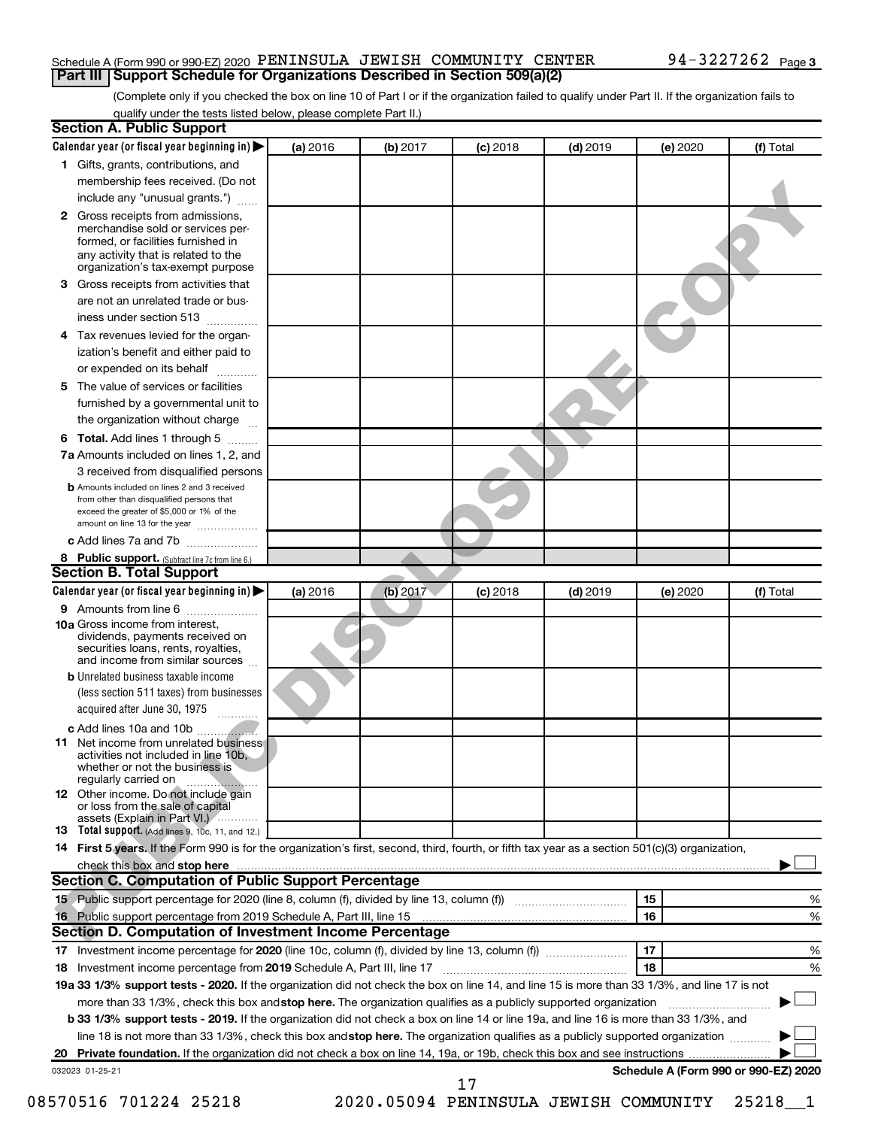#### Schedule A (Form 990 or 990-EZ) 2020  $\,$  PENINSULA JEWISH  $\,$  COMMUNITY  $\,$  CENTER  $\,$  94 – 3227262  $\,$  Page **Part III | Support Schedule for Organizations Described in Section 509(a)(2)**

(Complete only if you checked the box on line 10 of Part I or if the organization failed to qualify under Part II. If the organization fails to qualify under the tests listed below, please complete Part II.)

|              | Calendar year (or fiscal year beginning in)                                                                                                                                            | (a) 2016 | (b) 2017 | $(c)$ 2018                            | $(d)$ 2019 |    | (e) 2020 | (f) Total                            |
|--------------|----------------------------------------------------------------------------------------------------------------------------------------------------------------------------------------|----------|----------|---------------------------------------|------------|----|----------|--------------------------------------|
|              | 1 Gifts, grants, contributions, and                                                                                                                                                    |          |          |                                       |            |    |          |                                      |
|              | membership fees received. (Do not                                                                                                                                                      |          |          |                                       |            |    |          |                                      |
|              | include any "unusual grants.")                                                                                                                                                         |          |          |                                       |            |    |          |                                      |
| $\mathbf{2}$ | Gross receipts from admissions,<br>merchandise sold or services per-<br>formed, or facilities furnished in<br>any activity that is related to the<br>organization's tax-exempt purpose |          |          |                                       |            |    |          |                                      |
| З.           |                                                                                                                                                                                        |          |          |                                       |            |    |          |                                      |
|              | Gross receipts from activities that<br>are not an unrelated trade or bus-                                                                                                              |          |          |                                       |            |    |          |                                      |
|              | iness under section 513                                                                                                                                                                |          |          |                                       |            |    |          |                                      |
| 4            | Tax revenues levied for the organ-                                                                                                                                                     |          |          |                                       |            |    |          |                                      |
|              | ization's benefit and either paid to<br>or expended on its behalf<br>.                                                                                                                 |          |          |                                       |            |    |          |                                      |
| 5            | The value of services or facilities                                                                                                                                                    |          |          |                                       |            |    |          |                                      |
|              | furnished by a governmental unit to                                                                                                                                                    |          |          |                                       |            |    |          |                                      |
|              | the organization without charge                                                                                                                                                        |          |          |                                       |            |    |          |                                      |
| 6            | Total. Add lines 1 through 5                                                                                                                                                           |          |          |                                       |            |    |          |                                      |
|              | 7a Amounts included on lines 1, 2, and                                                                                                                                                 |          |          |                                       |            |    |          |                                      |
|              | 3 received from disqualified persons                                                                                                                                                   |          |          |                                       |            |    |          |                                      |
|              | <b>b</b> Amounts included on lines 2 and 3 received<br>from other than disqualified persons that<br>exceed the greater of \$5,000 or 1% of the<br>amount on line 13 for the year       |          |          |                                       |            |    |          |                                      |
|              | c Add lines 7a and 7b                                                                                                                                                                  |          |          |                                       |            |    |          |                                      |
|              | 8 Public support. (Subtract line 7c from line 6.)                                                                                                                                      |          |          |                                       |            |    |          |                                      |
|              | <b>Section B. Total Support</b>                                                                                                                                                        |          |          |                                       |            |    |          |                                      |
|              | Calendar year (or fiscal year beginning in)                                                                                                                                            | (a) 2016 | (b) 2017 | $(c)$ 2018                            | $(d)$ 2019 |    | (e) 2020 | (f) Total                            |
|              | 9 Amounts from line 6                                                                                                                                                                  |          |          |                                       |            |    |          |                                      |
|              | <b>10a</b> Gross income from interest,<br>dividends, payments received on<br>securities loans, rents, royalties,<br>and income from similar sources                                    |          |          |                                       |            |    |          |                                      |
|              | <b>b</b> Unrelated business taxable income                                                                                                                                             |          |          |                                       |            |    |          |                                      |
|              | (less section 511 taxes) from businesses<br>acquired after June 30, 1975<br>$\cdots$                                                                                                   |          |          |                                       |            |    |          |                                      |
|              |                                                                                                                                                                                        |          |          |                                       |            |    |          |                                      |
|              | 11 Net income from unrelated business<br>activities not included in line 10b.<br>whether or not the business is<br>regularly carried on                                                |          |          |                                       |            |    |          |                                      |
|              | 12 Other income. Do not include gain<br>or loss from the sale of capital<br>assets (Explain in Part VI.)                                                                               |          |          |                                       |            |    |          |                                      |
|              | 13 Total support. (Add lines 9, 10c, 11, and 12.)                                                                                                                                      |          |          |                                       |            |    |          |                                      |
|              | 14 First 5 years. If the Form 990 is for the organization's first, second, third, fourth, or fifth tax year as a section 501(c)(3) organization,                                       |          |          |                                       |            |    |          |                                      |
|              | <b>Section C. Computation of Public Support Percentage</b>                                                                                                                             |          |          |                                       |            |    |          |                                      |
|              |                                                                                                                                                                                        |          |          |                                       |            | 15 |          | %                                    |
| 16.          |                                                                                                                                                                                        |          |          |                                       |            | 16 |          | %                                    |
|              | Section D. Computation of Investment Income Percentage                                                                                                                                 |          |          |                                       |            |    |          |                                      |
|              |                                                                                                                                                                                        |          |          |                                       |            | 17 |          | %                                    |
|              |                                                                                                                                                                                        |          |          |                                       |            | 18 |          |                                      |
|              | 19a 33 1/3% support tests - 2020. If the organization did not check the box on line 14, and line 15 is more than 33 1/3%, and line 17 is not                                           |          |          |                                       |            |    |          | %                                    |
|              | more than 33 1/3%, check this box and stop here. The organization qualifies as a publicly supported organization                                                                       |          |          |                                       |            |    |          |                                      |
|              | <b>b 33 1/3% support tests - 2019.</b> If the organization did not check a box on line 14 or line 19a, and line 16 is more than 33 1/3%, and                                           |          |          |                                       |            |    |          |                                      |
|              | line 18 is not more than 33 1/3%, check this box and stop here. The organization qualifies as a publicly supported organization                                                        |          |          |                                       |            |    |          |                                      |
|              |                                                                                                                                                                                        |          |          |                                       |            |    |          |                                      |
|              | 032023 01-25-21                                                                                                                                                                        |          |          | 17                                    |            |    |          | Schedule A (Form 990 or 990-EZ) 2020 |
|              | 08570516 701224 25218                                                                                                                                                                  |          |          | 2020.05094 PENINSULA JEWISH COMMUNITY |            |    |          |                                      |
|              |                                                                                                                                                                                        |          |          |                                       |            |    |          | 25218                                |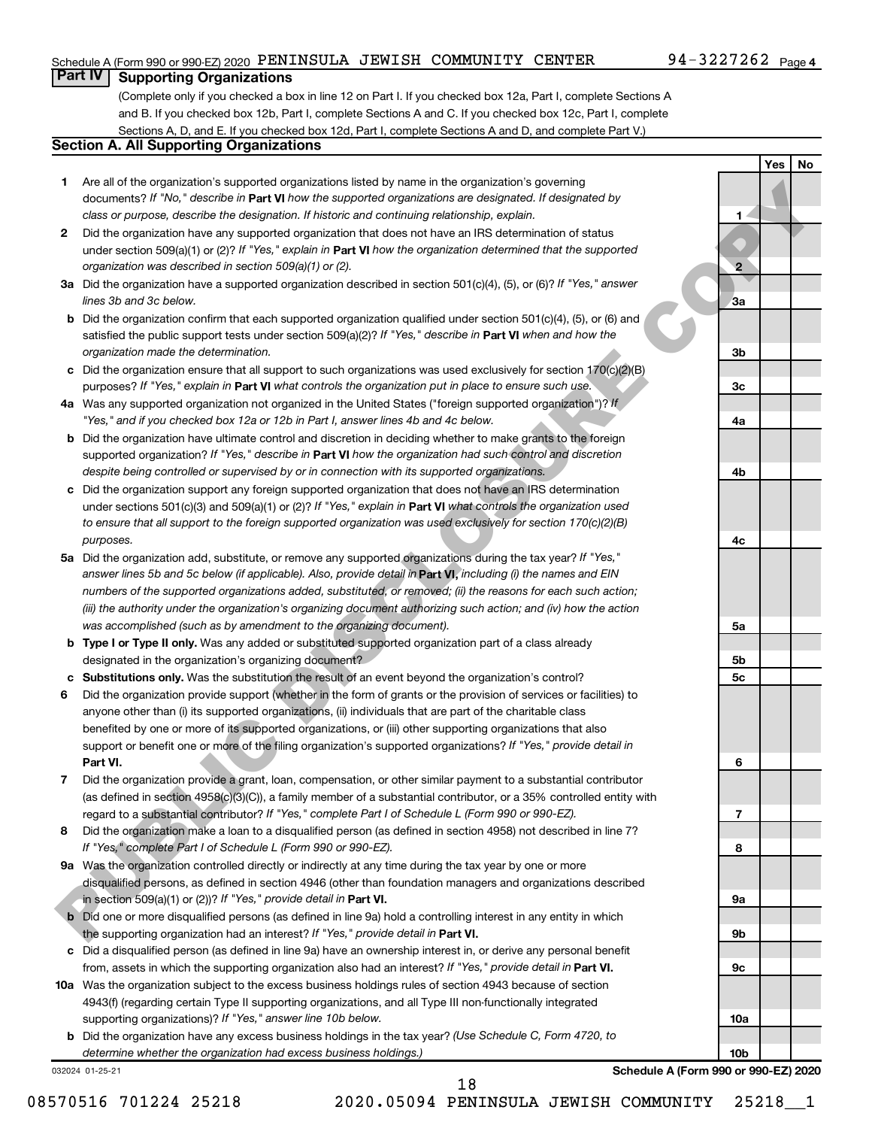#### Schedule A (Form 990 or 990-EZ) 2020  $\,$  PENINSULA JEWISH  $\,$  COMMUNITY  $\,$  CENTER  $\,$  94 – 3227262  $\,$  Page

**1**

**2**

**3a**

**3b**

**3c**

**4a**

**4b**

**4c**

**5a**

**5b 5c**

**6**

**7**

**8**

**9a**

**9b**

**9c**

**10a**

**10b**

**Yes No**

#### **Part IV Supporting Organizations**

(Complete only if you checked a box in line 12 on Part I. If you checked box 12a, Part I, complete Sections A and B. If you checked box 12b, Part I, complete Sections A and C. If you checked box 12c, Part I, complete Sections A, D, and E. If you checked box 12d, Part I, complete Sections A and D, and complete Part V.)

#### **Section A. All Supporting Organizations**

- **1** Are all of the organization's supported organizations listed by name in the organization's governing documents? If "No," describe in Part VI how the supported organizations are designated. If designated by *class or purpose, describe the designation. If historic and continuing relationship, explain.*
- **2** Did the organization have any supported organization that does not have an IRS determination of status under section 509(a)(1) or (2)? If "Yes," explain in Part **VI** how the organization determined that the supported *organization was described in section 509(a)(1) or (2).*
- **3a** Did the organization have a supported organization described in section 501(c)(4), (5), or (6)? If "Yes," answer *lines 3b and 3c below.*
- **b** Did the organization confirm that each supported organization qualified under section 501(c)(4), (5), or (6) and satisfied the public support tests under section 509(a)(2)? If "Yes," describe in Part VI when and how the *organization made the determination.*
- **c** Did the organization ensure that all support to such organizations was used exclusively for section 170(c)(2)(B) purposes? If "Yes," explain in Part VI what controls the organization put in place to ensure such use.
- **4 a** *If* Was any supported organization not organized in the United States ("foreign supported organization")? *"Yes," and if you checked box 12a or 12b in Part I, answer lines 4b and 4c below.*
- **b** Did the organization have ultimate control and discretion in deciding whether to make grants to the foreign supported organization? If "Yes," describe in Part VI how the organization had such control and discretion *despite being controlled or supervised by or in connection with its supported organizations.*
- **c** Did the organization support any foreign supported organization that does not have an IRS determination under sections 501(c)(3) and 509(a)(1) or (2)? If "Yes," explain in Part VI what controls the organization used *to ensure that all support to the foreign supported organization was used exclusively for section 170(c)(2)(B) purposes.*
- **5a** Did the organization add, substitute, or remove any supported organizations during the tax year? If "Yes," answer lines 5b and 5c below (if applicable). Also, provide detail in **Part VI,** including (i) the names and EIN *numbers of the supported organizations added, substituted, or removed; (ii) the reasons for each such action; (iii) the authority under the organization's organizing document authorizing such action; and (iv) how the action was accomplished (such as by amendment to the organizing document).*
- **b** Type I or Type II only. Was any added or substituted supported organization part of a class already designated in the organization's organizing document?
- **c Substitutions only.**  Was the substitution the result of an event beyond the organization's control?
- **6** Did the organization provide support (whether in the form of grants or the provision of services or facilities) to **Part VI.** support or benefit one or more of the filing organization's supported organizations? If "Yes," provide detail in anyone other than (i) its supported organizations, (ii) individuals that are part of the charitable class benefited by one or more of its supported organizations, or (iii) other supporting organizations that also 1 ARM all the originarism support to the method is the byther in the distinction of power-<br>
PUBLIC DISCLOSURE COPY (Copyright) and the method of the state of the method is the method of the state of the state of the meth
- **7** Did the organization provide a grant, loan, compensation, or other similar payment to a substantial contributor regard to a substantial contributor? If "Yes," complete Part I of Schedule L (Form 990 or 990-EZ). (as defined in section 4958(c)(3)(C)), a family member of a substantial contributor, or a 35% controlled entity with
- **8** Did the organization make a loan to a disqualified person (as defined in section 4958) not described in line 7? *If "Yes," complete Part I of Schedule L (Form 990 or 990-EZ).*
- **9a** Was the organization controlled directly or indirectly at any time during the tax year by one or more in section 509(a)(1) or (2))? If "Yes," provide detail in **Part VI.** disqualified persons, as defined in section 4946 (other than foundation managers and organizations described
- **b** Did one or more disqualified persons (as defined in line 9a) hold a controlling interest in any entity in which the supporting organization had an interest? If "Yes," provide detail in Part VI.
- **c** Did a disqualified person (as defined in line 9a) have an ownership interest in, or derive any personal benefit from, assets in which the supporting organization also had an interest? If "Yes," provide detail in Part VI.
- **10 a** Was the organization subject to the excess business holdings rules of section 4943 because of section supporting organizations)? If "Yes," answer line 10b below. 4943(f) (regarding certain Type II supporting organizations, and all Type III non-functionally integrated
	- **b** Did the organization have any excess business holdings in the tax year? (Use Schedule C, Form 4720, to *determine whether the organization had excess business holdings.)*

032024 01-25-21

**Schedule A (Form 990 or 990-EZ) 2020**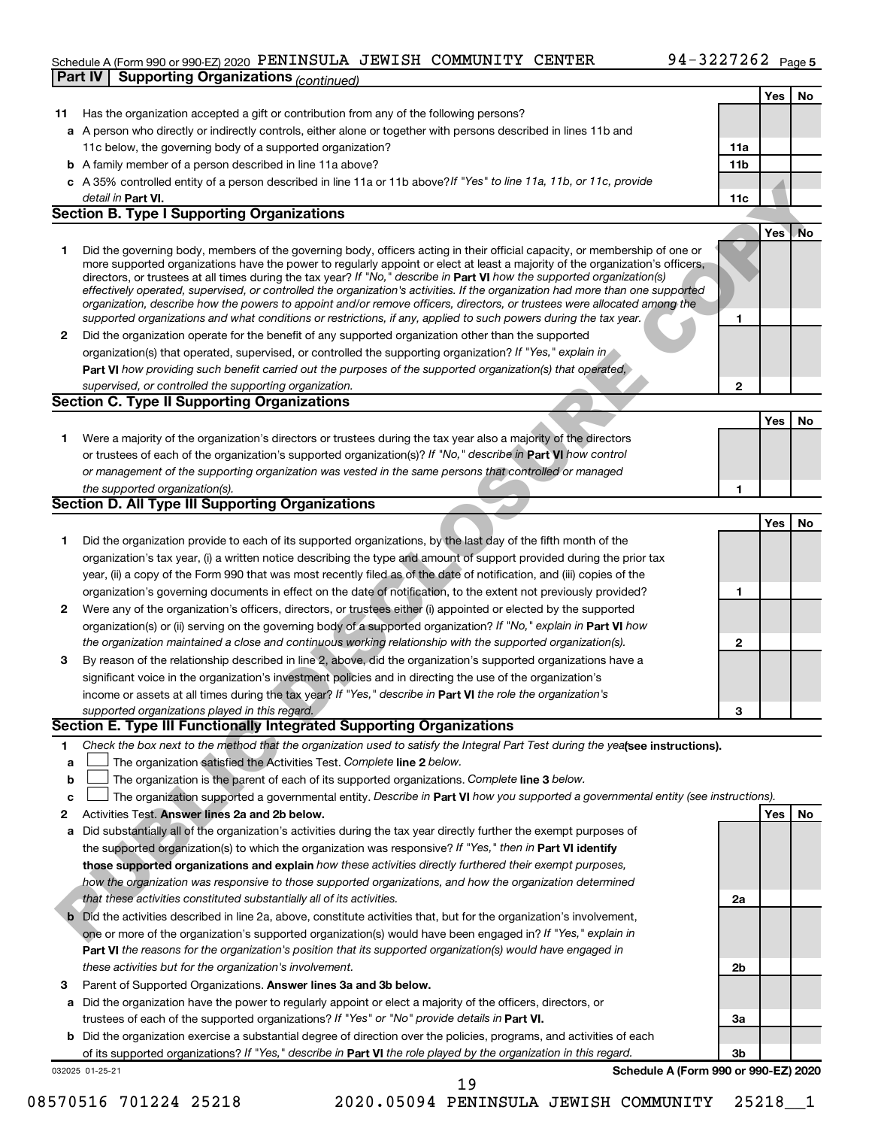#### Schedule A (Form 990 or 990-EZ) 2020  $\,$  PENINSULA JEWISH  $\,$  COMMUNITY  $\,$  CENTER  $\,$  94 – 3227262  $\,$  Page **Part IV | Supporting Organizations** (continued)

|              |                                                                                                                                                                                                                                                          |              | Yes | No  |
|--------------|----------------------------------------------------------------------------------------------------------------------------------------------------------------------------------------------------------------------------------------------------------|--------------|-----|-----|
| 11           | Has the organization accepted a gift or contribution from any of the following persons?                                                                                                                                                                  |              |     |     |
|              | a A person who directly or indirectly controls, either alone or together with persons described in lines 11b and                                                                                                                                         |              |     |     |
|              | 11c below, the governing body of a supported organization?                                                                                                                                                                                               | 11a          |     |     |
|              | <b>b</b> A family member of a person described in line 11a above?                                                                                                                                                                                        | 11b          |     |     |
|              | c A 35% controlled entity of a person described in line 11a or 11b above?If "Yes" to line 11a, 11b, or 11c, provide                                                                                                                                      |              |     |     |
|              | detail in Part VI.                                                                                                                                                                                                                                       | 11c          |     |     |
|              | <b>Section B. Type I Supporting Organizations</b>                                                                                                                                                                                                        |              |     |     |
|              |                                                                                                                                                                                                                                                          |              | Yes | .No |
| 1            | Did the governing body, members of the governing body, officers acting in their official capacity, or membership of one or                                                                                                                               |              |     |     |
|              | more supported organizations have the power to regularly appoint or elect at least a majority of the organization's officers,<br>directors, or trustees at all times during the tax year? If "No," describe in Part VI how the supported organization(s) |              |     |     |
|              | effectively operated, supervised, or controlled the organization's activities. If the organization had more than one supported                                                                                                                           |              |     |     |
|              | organization, describe how the powers to appoint and/or remove officers, directors, or trustees were allocated among the                                                                                                                                 |              |     |     |
|              | supported organizations and what conditions or restrictions, if any, applied to such powers during the tax year.                                                                                                                                         | 1            |     |     |
| $\mathbf{2}$ | Did the organization operate for the benefit of any supported organization other than the supported                                                                                                                                                      |              |     |     |
|              | organization(s) that operated, supervised, or controlled the supporting organization? If "Yes," explain in                                                                                                                                               |              |     |     |
|              | Part VI how providing such benefit carried out the purposes of the supported organization(s) that operated,                                                                                                                                              |              |     |     |
|              | supervised, or controlled the supporting organization.<br><b>Section C. Type II Supporting Organizations</b>                                                                                                                                             | 2            |     |     |
|              |                                                                                                                                                                                                                                                          |              |     | No  |
| 1.           | Were a majority of the organization's directors or trustees during the tax year also a majority of the directors                                                                                                                                         |              | Yes |     |
|              | or trustees of each of the organization's supported organization(s)? If "No," describe in Part VI how control                                                                                                                                            |              |     |     |
|              | or management of the supporting organization was vested in the same persons that controlled or managed                                                                                                                                                   |              |     |     |
|              | the supported organization(s).                                                                                                                                                                                                                           | 1            |     |     |
|              | <b>Section D. All Type III Supporting Organizations</b>                                                                                                                                                                                                  |              |     |     |
|              |                                                                                                                                                                                                                                                          |              | Yes | No  |
| 1            | Did the organization provide to each of its supported organizations, by the last day of the fifth month of the                                                                                                                                           |              |     |     |
|              | organization's tax year, (i) a written notice describing the type and amount of support provided during the prior tax                                                                                                                                    |              |     |     |
|              | year, (ii) a copy of the Form 990 that was most recently filed as of the date of notification, and (iii) copies of the                                                                                                                                   |              |     |     |
|              | organization's governing documents in effect on the date of notification, to the extent not previously provided?                                                                                                                                         | 1            |     |     |
| 2            | Were any of the organization's officers, directors, or trustees either (i) appointed or elected by the supported                                                                                                                                         |              |     |     |
|              | organization(s) or (ii) serving on the governing body of a supported organization? If "No," explain in Part VI how                                                                                                                                       |              |     |     |
|              | the organization maintained a close and continuous working relationship with the supported organization(s).                                                                                                                                              | $\mathbf{2}$ |     |     |
| 3            | By reason of the relationship described in line 2, above, did the organization's supported organizations have a                                                                                                                                          |              |     |     |
|              | significant voice in the organization's investment policies and in directing the use of the organization's                                                                                                                                               |              |     |     |
|              | income or assets at all times during the tax year? If "Yes," describe in Part VI the role the organization's                                                                                                                                             |              |     |     |
|              | supported organizations played in this regard.<br>Section E. Type III Functionally Integrated Supporting Organizations                                                                                                                                   | 3            |     |     |
|              |                                                                                                                                                                                                                                                          |              |     |     |
| 1            | Check the box next to the method that the organization used to satisfy the Integral Part Test during the yealsee instructions).<br>The organization satisfied the Activities Test. Complete line 2 below.                                                |              |     |     |
| a<br>b       | The organization is the parent of each of its supported organizations. Complete line 3 below.                                                                                                                                                            |              |     |     |
| c            | The organization supported a governmental entity. Describe in Part VI how you supported a governmental entity (see instructions).                                                                                                                        |              |     |     |
| 2            | Activities Test. Answer lines 2a and 2b below.                                                                                                                                                                                                           |              | Yes | No  |
| a            | Did substantially all of the organization's activities during the tax year directly further the exempt purposes of                                                                                                                                       |              |     |     |
|              | the supported organization(s) to which the organization was responsive? If "Yes," then in Part VI identify                                                                                                                                               |              |     |     |
|              | those supported organizations and explain how these activities directly furthered their exempt purposes,                                                                                                                                                 |              |     |     |
|              | how the organization was responsive to those supported organizations, and how the organization determined                                                                                                                                                |              |     |     |
|              | that these activities constituted substantially all of its activities.                                                                                                                                                                                   | 2a           |     |     |
|              | Did the activities described in line 2a, above, constitute activities that, but for the organization's involvement,                                                                                                                                      |              |     |     |
|              | one or more of the organization's supported organization(s) would have been engaged in? If "Yes," explain in                                                                                                                                             |              |     |     |
|              | Part VI the reasons for the organization's position that its supported organization(s) would have engaged in                                                                                                                                             |              |     |     |
|              | these activities but for the organization's involvement.                                                                                                                                                                                                 | 2b           |     |     |
| З            | Parent of Supported Organizations. Answer lines 3a and 3b below.                                                                                                                                                                                         |              |     |     |
| а            | Did the organization have the power to regularly appoint or elect a majority of the officers, directors, or                                                                                                                                              |              |     |     |
|              | trustees of each of the supported organizations? If "Yes" or "No" provide details in Part VI.                                                                                                                                                            | За           |     |     |
|              | <b>b</b> Did the organization exercise a substantial degree of direction over the policies, programs, and activities of each                                                                                                                             | 3b           |     |     |
|              | of its supported organizations? If "Yes," describe in Part VI the role played by the organization in this regard.<br>Schedule A (Form 990 or 990-EZ) 2020<br>032025 01-25-21                                                                             |              |     |     |
|              | 19                                                                                                                                                                                                                                                       |              |     |     |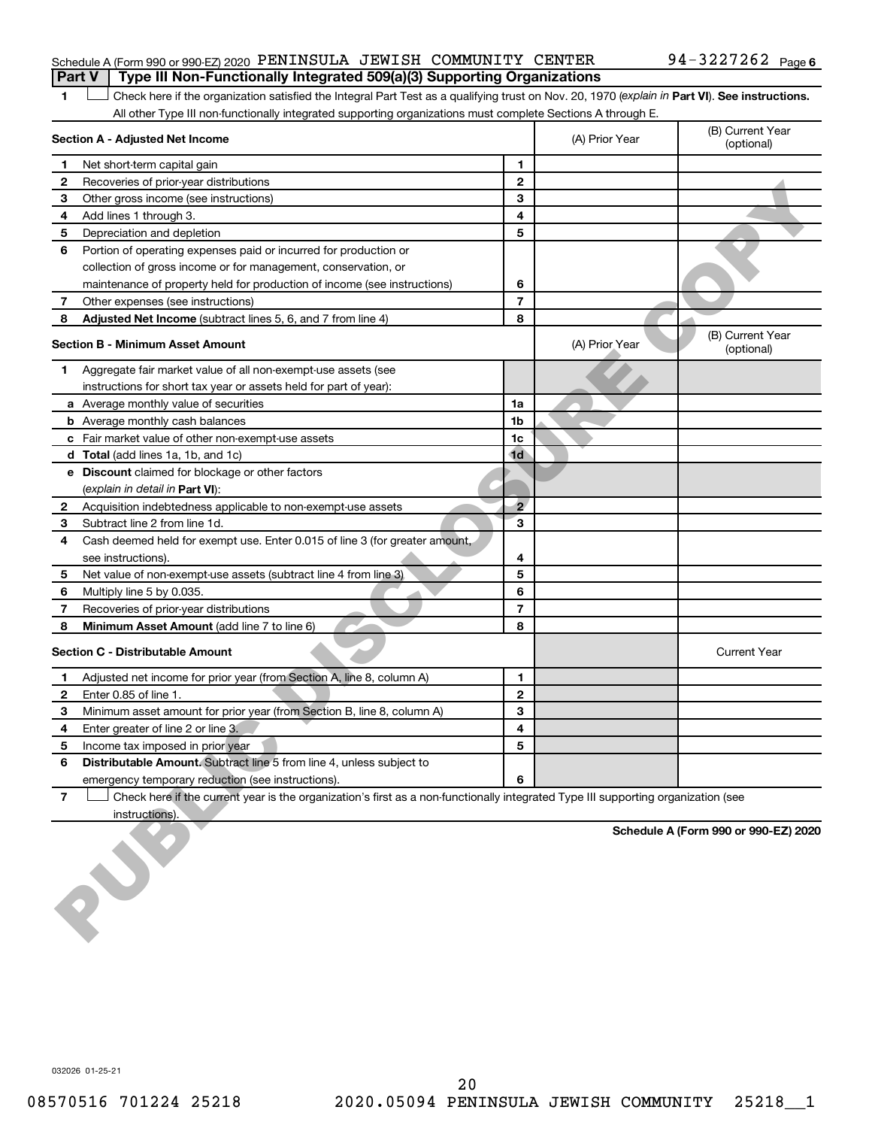#### Schedule A (Form 990 or 990-EZ) 2020  $\,$  PENINSULA JEWISH <code>COMMUNITY</code> <code>CENTER</code>  $94$  –  $3227262$  <code>Page</code> **Part V** | Type III Non-Functionally Integrated 509(a)(3) Supporting Organizations

1 Check here if the organization satisfied the Integral Part Test as a qualifying trust on Nov. 20, 1970 (explain in Part VI). See instructions. All other Type III non-functionally integrated supporting organizations must complete Sections A through E.

|   | Section A - Adjusted Net Income                                                                                                   |                | (A) Prior Year | (B) Current Year<br>(optional)       |
|---|-----------------------------------------------------------------------------------------------------------------------------------|----------------|----------------|--------------------------------------|
| 1 | Net short-term capital gain                                                                                                       | 1              |                |                                      |
| 2 | Recoveries of prior-year distributions                                                                                            | $\mathbf{2}$   |                |                                      |
| 3 | Other gross income (see instructions)                                                                                             | 3              |                |                                      |
| 4 | Add lines 1 through 3.                                                                                                            | 4              |                |                                      |
| 5 | Depreciation and depletion                                                                                                        | 5              |                |                                      |
| 6 | Portion of operating expenses paid or incurred for production or                                                                  |                |                |                                      |
|   | collection of gross income or for management, conservation, or                                                                    |                |                |                                      |
|   | maintenance of property held for production of income (see instructions)                                                          | 6              |                |                                      |
| 7 | Other expenses (see instructions)                                                                                                 | $\overline{7}$ |                |                                      |
| 8 | Adjusted Net Income (subtract lines 5, 6, and 7 from line 4)                                                                      | 8              |                |                                      |
|   | <b>Section B - Minimum Asset Amount</b>                                                                                           |                | (A) Prior Year | (B) Current Year<br>(optional)       |
| 1 | Aggregate fair market value of all non-exempt-use assets (see                                                                     |                |                |                                      |
|   | instructions for short tax year or assets held for part of year):                                                                 |                |                |                                      |
|   | a Average monthly value of securities                                                                                             | 1a             |                |                                      |
|   | <b>b</b> Average monthly cash balances                                                                                            | 1b             |                |                                      |
|   | c Fair market value of other non-exempt-use assets                                                                                | 1c             |                |                                      |
|   | d Total (add lines 1a, 1b, and 1c)                                                                                                | 1 <sub>d</sub> |                |                                      |
|   | e Discount claimed for blockage or other factors                                                                                  |                |                |                                      |
|   | (explain in detail in Part VI):                                                                                                   |                |                |                                      |
| 2 | Acquisition indebtedness applicable to non-exempt-use assets                                                                      | $\overline{2}$ |                |                                      |
| 3 | Subtract line 2 from line 1d.                                                                                                     | 3              |                |                                      |
| 4 | Cash deemed held for exempt use. Enter 0.015 of line 3 (for greater amount,                                                       |                |                |                                      |
|   | see instructions).                                                                                                                | 4              |                |                                      |
| 5 |                                                                                                                                   | 5              |                |                                      |
| 6 | Net value of non-exempt-use assets (subtract line 4 from line 3)                                                                  | 6              |                |                                      |
|   | Multiply line 5 by 0.035.                                                                                                         | $\overline{7}$ |                |                                      |
| 7 | Recoveries of prior-year distributions                                                                                            | 8              |                |                                      |
| 8 | Minimum Asset Amount (add line 7 to line 6)<br><b>Section C - Distributable Amount</b>                                            |                |                | <b>Current Year</b>                  |
| 1 | Adjusted net income for prior year (from Section A, line 8, column A)                                                             | 1              |                |                                      |
| 2 | Enter 0.85 of line 1.                                                                                                             | $\mathbf{2}$   |                |                                      |
| 3 | Minimum asset amount for prior year (from Section B, line 8, column A)                                                            | 3              |                |                                      |
| 4 | Enter greater of line 2 or line 3.                                                                                                | 4              |                |                                      |
| 5 | Income tax imposed in prior year                                                                                                  | 5              |                |                                      |
|   | Distributable Amount. Subtract line 5 from line 4, unless subject to                                                              |                |                |                                      |
|   | emergency temporary reduction (see instructions).                                                                                 | 6              |                |                                      |
| 7 | Check here if the current year is the organization's first as a non-functionally integrated Type III supporting organization (see |                |                |                                      |
|   | instructions).                                                                                                                    |                |                |                                      |
|   |                                                                                                                                   |                |                | Schedule A (Form 990 or 990-EZ) 2020 |
|   |                                                                                                                                   |                |                |                                      |

032026 01-25-21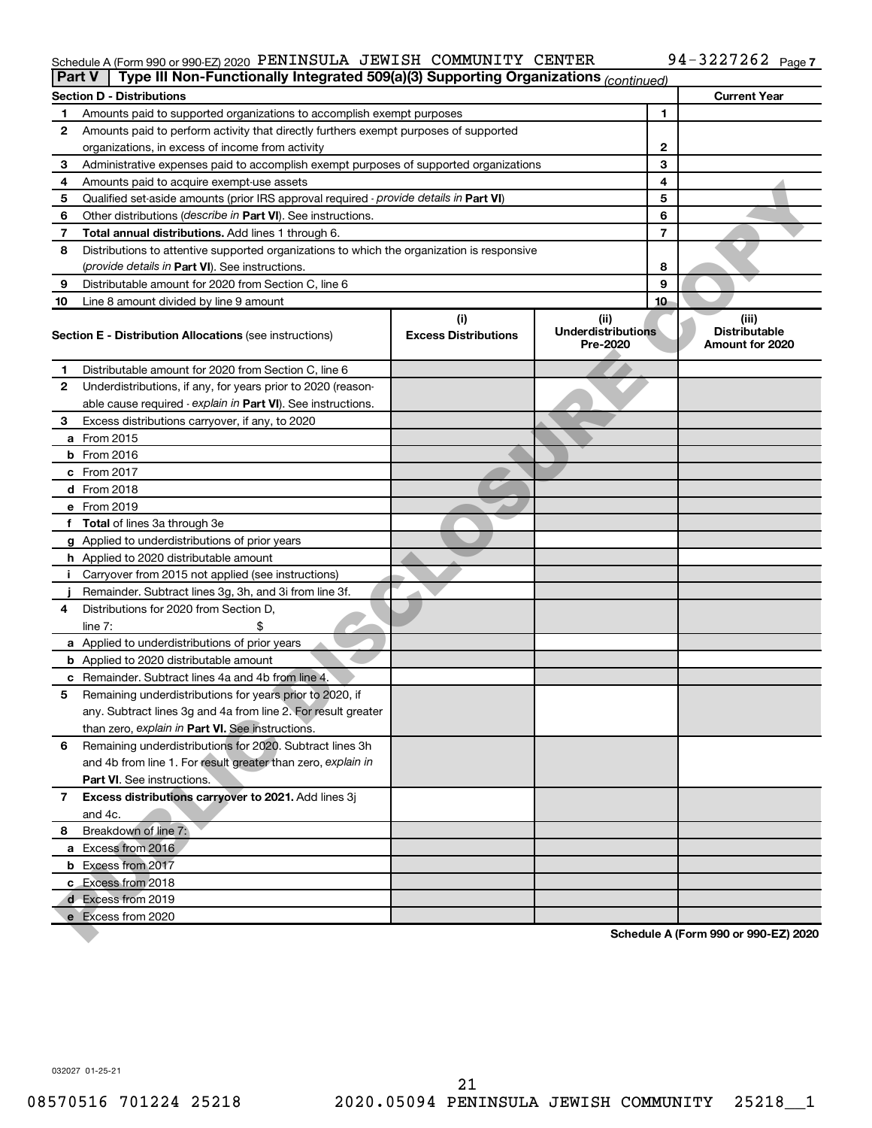#### Schedule A (Form 990 or 990-EZ) 2020 PENINSULA JEWISH COMMUNITY CENTER 94-3227262 Page PENINSULA JEWISH COMMUNITY CENTER 94-3227262

| Part V | Type III Non-Functionally Integrated 509(a)(3) Supporting Organizations (continued)        |                                    |                                               |    |                                                  |
|--------|--------------------------------------------------------------------------------------------|------------------------------------|-----------------------------------------------|----|--------------------------------------------------|
|        | <b>Section D - Distributions</b>                                                           |                                    |                                               |    | <b>Current Year</b>                              |
| 1      | Amounts paid to supported organizations to accomplish exempt purposes                      |                                    | 1                                             |    |                                                  |
| 2      | Amounts paid to perform activity that directly furthers exempt purposes of supported       |                                    |                                               |    |                                                  |
|        | organizations, in excess of income from activity                                           |                                    | 2                                             |    |                                                  |
| 3      | Administrative expenses paid to accomplish exempt purposes of supported organizations      |                                    |                                               | 3  |                                                  |
| 4      | Amounts paid to acquire exempt-use assets                                                  |                                    |                                               | 4  |                                                  |
| 5      | Qualified set-aside amounts (prior IRS approval required - provide details in Part VI)     |                                    |                                               | 5  |                                                  |
| 6      | Other distributions ( <i>describe in Part VI</i> ). See instructions.                      |                                    |                                               | 6  |                                                  |
| 7      | Total annual distributions. Add lines 1 through 6.                                         |                                    |                                               | 7  |                                                  |
| 8      | Distributions to attentive supported organizations to which the organization is responsive |                                    |                                               |    |                                                  |
|        | ( <i>provide details in Part VI</i> ). See instructions.                                   |                                    |                                               | 8  |                                                  |
| 9      | Distributable amount for 2020 from Section C, line 6                                       |                                    |                                               | 9  |                                                  |
| 10     | Line 8 amount divided by line 9 amount                                                     |                                    |                                               | 10 |                                                  |
|        | <b>Section E - Distribution Allocations (see instructions)</b>                             | (i)<br><b>Excess Distributions</b> | (ii)<br><b>Underdistributions</b><br>Pre-2020 |    | (iii)<br><b>Distributable</b><br>Amount for 2020 |
| 1      | Distributable amount for 2020 from Section C, line 6                                       |                                    |                                               |    |                                                  |
| 2      | Underdistributions, if any, for years prior to 2020 (reason-                               |                                    |                                               |    |                                                  |
|        | able cause required - explain in Part VI). See instructions.                               |                                    |                                               |    |                                                  |
| З      | Excess distributions carryover, if any, to 2020                                            |                                    |                                               |    |                                                  |
|        | a From 2015                                                                                |                                    |                                               |    |                                                  |
|        | $b$ From 2016                                                                              |                                    |                                               |    |                                                  |
|        | c From 2017                                                                                |                                    |                                               |    |                                                  |
|        | <b>d</b> From 2018                                                                         |                                    |                                               |    |                                                  |
|        | e From 2019                                                                                |                                    |                                               |    |                                                  |
|        | f Total of lines 3a through 3e                                                             |                                    |                                               |    |                                                  |
|        | g Applied to underdistributions of prior years                                             |                                    |                                               |    |                                                  |
|        | <b>h</b> Applied to 2020 distributable amount                                              |                                    |                                               |    |                                                  |
| Ť.     | Carryover from 2015 not applied (see instructions)                                         |                                    |                                               |    |                                                  |
|        | Remainder. Subtract lines 3g, 3h, and 3i from line 3f.                                     |                                    |                                               |    |                                                  |
| 4      | Distributions for 2020 from Section D,                                                     |                                    |                                               |    |                                                  |
|        | line 7:                                                                                    |                                    |                                               |    |                                                  |
|        | a Applied to underdistributions of prior years                                             |                                    |                                               |    |                                                  |
|        | <b>b</b> Applied to 2020 distributable amount                                              |                                    |                                               |    |                                                  |
|        | c Remainder. Subtract lines 4a and 4b from line 4.                                         |                                    |                                               |    |                                                  |
| 5      | Remaining underdistributions for years prior to 2020, if                                   |                                    |                                               |    |                                                  |
|        | any. Subtract lines 3g and 4a from line 2. For result greater                              |                                    |                                               |    |                                                  |
|        | than zero, explain in Part VI. See instructions.                                           |                                    |                                               |    |                                                  |
| 6      | Remaining underdistributions for 2020. Subtract lines 3h                                   |                                    |                                               |    |                                                  |
|        | and 4b from line 1. For result greater than zero, explain in                               |                                    |                                               |    |                                                  |
|        | <b>Part VI.</b> See instructions.                                                          |                                    |                                               |    |                                                  |
| 7      | Excess distributions carryover to 2021. Add lines 3j                                       |                                    |                                               |    |                                                  |
|        | and 4c.                                                                                    |                                    |                                               |    |                                                  |
| 8      | Breakdown of line 7:                                                                       |                                    |                                               |    |                                                  |
|        | a Excess from 2016                                                                         |                                    |                                               |    |                                                  |
|        | <b>b</b> Excess from 2017                                                                  |                                    |                                               |    |                                                  |
|        | c Excess from 2018                                                                         |                                    |                                               |    |                                                  |
|        | d Excess from 2019                                                                         |                                    |                                               |    |                                                  |
|        | e Excess from 2020                                                                         |                                    |                                               |    |                                                  |
|        |                                                                                            |                                    |                                               |    | Schedule A (Form 990 or 990-EZ) 2020             |

032027 01-25-21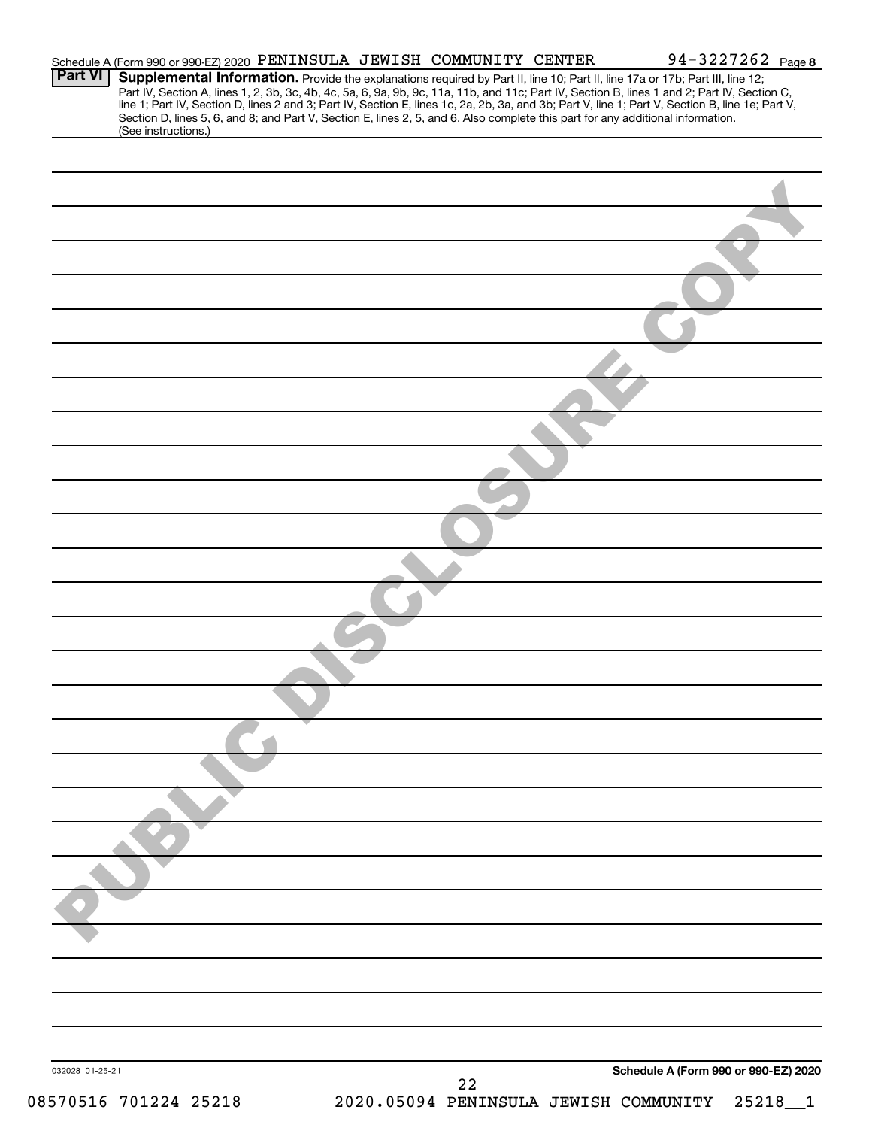|                 |                     |  | Schedule A (Form 990 or 990-EZ) 2020 PENINSULA JEWISH COMMUNITY CENTER | 94-3227262 Page 8                                                                                                                                                                                                                                                                                                                                                                                                                                                                                    |
|-----------------|---------------------|--|------------------------------------------------------------------------|------------------------------------------------------------------------------------------------------------------------------------------------------------------------------------------------------------------------------------------------------------------------------------------------------------------------------------------------------------------------------------------------------------------------------------------------------------------------------------------------------|
| <b>Part VI</b>  | (See instructions.) |  |                                                                        | Supplemental Information. Provide the explanations required by Part II, line 10; Part II, line 17a or 17b; Part III, line 12;<br>Part IV, Section A, lines 1, 2, 3b, 3c, 4b, 4c, 5a, 6, 9a, 9b, 9c, 11a, 11b, and 11c, Part IV, Section B, lines 1 and 2; Part IV, Section C,<br>line 1; Part IV, Section D, lines 2 and 3; Part IV, Section E, lines 1c, 2a, 2b,<br>Section D, lines 5, 6, and 8; and Part V, Section E, lines 2, 5, and 6. Also complete this part for any additional information. |
|                 |                     |  |                                                                        |                                                                                                                                                                                                                                                                                                                                                                                                                                                                                                      |
|                 |                     |  |                                                                        |                                                                                                                                                                                                                                                                                                                                                                                                                                                                                                      |
|                 |                     |  |                                                                        |                                                                                                                                                                                                                                                                                                                                                                                                                                                                                                      |
|                 |                     |  |                                                                        |                                                                                                                                                                                                                                                                                                                                                                                                                                                                                                      |
|                 |                     |  |                                                                        |                                                                                                                                                                                                                                                                                                                                                                                                                                                                                                      |
|                 |                     |  |                                                                        |                                                                                                                                                                                                                                                                                                                                                                                                                                                                                                      |
|                 |                     |  |                                                                        |                                                                                                                                                                                                                                                                                                                                                                                                                                                                                                      |
|                 |                     |  |                                                                        |                                                                                                                                                                                                                                                                                                                                                                                                                                                                                                      |
|                 |                     |  |                                                                        |                                                                                                                                                                                                                                                                                                                                                                                                                                                                                                      |
|                 |                     |  |                                                                        |                                                                                                                                                                                                                                                                                                                                                                                                                                                                                                      |
|                 |                     |  |                                                                        |                                                                                                                                                                                                                                                                                                                                                                                                                                                                                                      |
|                 |                     |  |                                                                        |                                                                                                                                                                                                                                                                                                                                                                                                                                                                                                      |
|                 |                     |  |                                                                        |                                                                                                                                                                                                                                                                                                                                                                                                                                                                                                      |
|                 |                     |  |                                                                        |                                                                                                                                                                                                                                                                                                                                                                                                                                                                                                      |
|                 |                     |  |                                                                        |                                                                                                                                                                                                                                                                                                                                                                                                                                                                                                      |
|                 |                     |  |                                                                        |                                                                                                                                                                                                                                                                                                                                                                                                                                                                                                      |
|                 |                     |  |                                                                        |                                                                                                                                                                                                                                                                                                                                                                                                                                                                                                      |
|                 |                     |  |                                                                        |                                                                                                                                                                                                                                                                                                                                                                                                                                                                                                      |
|                 |                     |  |                                                                        |                                                                                                                                                                                                                                                                                                                                                                                                                                                                                                      |
|                 |                     |  |                                                                        |                                                                                                                                                                                                                                                                                                                                                                                                                                                                                                      |
|                 |                     |  |                                                                        |                                                                                                                                                                                                                                                                                                                                                                                                                                                                                                      |
|                 |                     |  |                                                                        |                                                                                                                                                                                                                                                                                                                                                                                                                                                                                                      |
|                 |                     |  |                                                                        |                                                                                                                                                                                                                                                                                                                                                                                                                                                                                                      |
|                 |                     |  |                                                                        |                                                                                                                                                                                                                                                                                                                                                                                                                                                                                                      |
|                 |                     |  |                                                                        |                                                                                                                                                                                                                                                                                                                                                                                                                                                                                                      |
| 032028 01-25-21 |                     |  |                                                                        | Schedule A (Form 990 or 990-EZ) 2020                                                                                                                                                                                                                                                                                                                                                                                                                                                                 |
|                 |                     |  | 22                                                                     |                                                                                                                                                                                                                                                                                                                                                                                                                                                                                                      |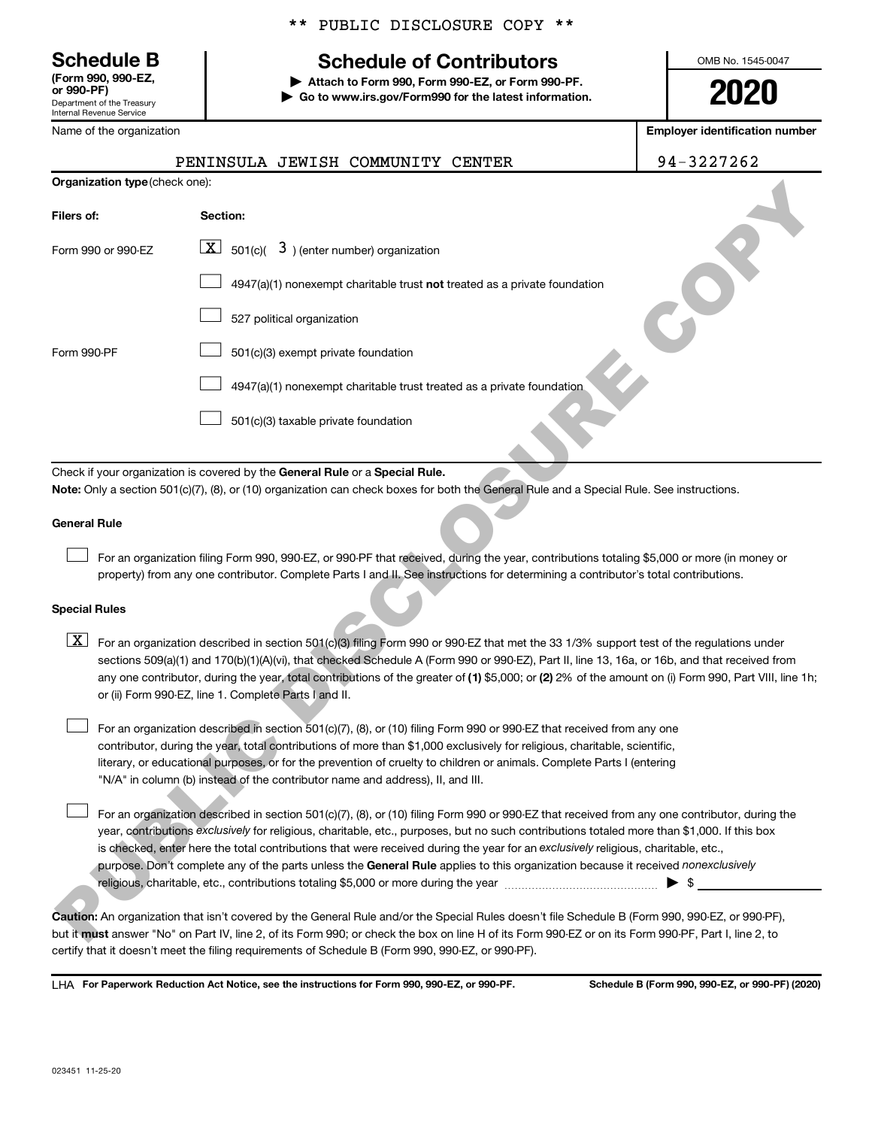**(Form 990, 990-EZ,**

Department of the Treasury Internal Revenue Service Name of the organization

|  | ** PUBLIC DISCLOSURE COPY ** |  |
|--|------------------------------|--|
|  |                              |  |

## **Schedule B Schedule of Contributors**

**or 990-PF) | Attach to Form 990, Form 990-EZ, or Form 990-PF. | Go to www.irs.gov/Form990 for the latest information.** OMB No. 1545-0047

**2020**

**Employer identification number**

|                                       |           | PENINSULA JEWISH COMMUNITY CENTER | 94-3227262 |
|---------------------------------------|-----------|-----------------------------------|------------|
| <b>Organization type (check one):</b> |           |                                   |            |
| Filers of:                            | Section:  |                                   |            |
|                                       | <b>TE</b> |                                   |            |

| Organization type (check one): |                                                                                                                                                                                                                                                                                                                                                                                                                                                                                                                                                                                                   |
|--------------------------------|---------------------------------------------------------------------------------------------------------------------------------------------------------------------------------------------------------------------------------------------------------------------------------------------------------------------------------------------------------------------------------------------------------------------------------------------------------------------------------------------------------------------------------------------------------------------------------------------------|
| Filers of:                     | Section:                                                                                                                                                                                                                                                                                                                                                                                                                                                                                                                                                                                          |
| Form 990 or 990-EZ             | $\lfloor x \rfloor$ 501(c)( 3) (enter number) organization                                                                                                                                                                                                                                                                                                                                                                                                                                                                                                                                        |
|                                | $4947(a)(1)$ nonexempt charitable trust not treated as a private foundation                                                                                                                                                                                                                                                                                                                                                                                                                                                                                                                       |
|                                | 527 political organization                                                                                                                                                                                                                                                                                                                                                                                                                                                                                                                                                                        |
| Form 990-PF                    | 501(c)(3) exempt private foundation                                                                                                                                                                                                                                                                                                                                                                                                                                                                                                                                                               |
|                                | 4947(a)(1) nonexempt charitable trust treated as a private foundation.                                                                                                                                                                                                                                                                                                                                                                                                                                                                                                                            |
|                                | 501(c)(3) taxable private foundation                                                                                                                                                                                                                                                                                                                                                                                                                                                                                                                                                              |
|                                | Check if your organization is covered by the General Rule or a Special Rule.                                                                                                                                                                                                                                                                                                                                                                                                                                                                                                                      |
|                                | Note: Only a section 501(c)(7), (8), or (10) organization can check boxes for both the General Rule and a Special Rule. See instructions.                                                                                                                                                                                                                                                                                                                                                                                                                                                         |
| General Rule                   |                                                                                                                                                                                                                                                                                                                                                                                                                                                                                                                                                                                                   |
|                                | For an organization filing Form 990, 990-EZ, or 990-PF that received, during the year, contributions totaling \$5,000 or more (in money or<br>property) from any one contributor. Complete Parts I and II. See instructions for determining a contributor's total contributions.                                                                                                                                                                                                                                                                                                                  |
| <b>Special Rules</b>           |                                                                                                                                                                                                                                                                                                                                                                                                                                                                                                                                                                                                   |
| $\lfloor x \rfloor$            | For an organization described in section 501(c)(3) filing Form 990 or 990-EZ that met the 33 1/3% support test of the regulations under<br>sections 509(a)(1) and 170(b)(1)(A)(vi), that checked Schedule A (Form 990 or 990-EZ), Part II, line 13, 16a, or 16b, and that received from<br>any one contributor, during the year, total contributions of the greater of (1) \$5,000; or (2) 2% of the amount on (i) Form 990, Part VIII, line 1h;<br>or (ii) Form 990-EZ, line 1. Complete Parts I and II.                                                                                         |
|                                | For an organization described in section 501(c)(7), (8), or (10) filing Form 990 or 990 EZ that received from any one<br>contributor, during the year, total contributions of more than \$1,000 exclusively for religious, charitable, scientific,<br>literary, or educational purposes, or for the prevention of cruelty to children or animals. Complete Parts I (entering<br>"N/A" in column (b) instead of the contributor name and address), II, and III.                                                                                                                                    |
|                                | For an organization described in section 501(c)(7), (8), or (10) filing Form 990 or 990-EZ that received from any one contributor, during the<br>year, contributions exclusively for religious, charitable, etc., purposes, but no such contributions totaled more than \$1,000. If this box<br>is checked, enter here the total contributions that were received during the year for an exclusively religious, charitable, etc.,<br>purpose. Don't complete any of the parts unless the General Rule applies to this organization because it received nonexclusively<br>$\blacktriangleright$ \$ |
|                                | Caution: An organization that isn't covered by the General Rule and/or the Special Rules doesn't file Schedule B (Form 990, 990-EZ, or 990-PF),<br>but it must answer "No" on Part IV, line 2, of its Form 990; or check the box on line H of its Form 990-EZ or on its Form 990-PF, Part I, line 2, to                                                                                                                                                                                                                                                                                           |

#### **General Rule**

#### **Special Rules**

**Caution:**  An organization that isn't covered by the General Rule and/or the Special Rules doesn't file Schedule B (Form 990, 990-EZ, or 990-PF),  **must** but it answer "No" on Part IV, line 2, of its Form 990; or check the box on line H of its Form 990-EZ or on its Form 990-PF, Part I, line 2, to certify that it doesn't meet the filing requirements of Schedule B (Form 990, 990-EZ, or 990-PF).

**For Paperwork Reduction Act Notice, see the instructions for Form 990, 990-EZ, or 990-PF. Schedule B (Form 990, 990-EZ, or 990-PF) (2020)** LHA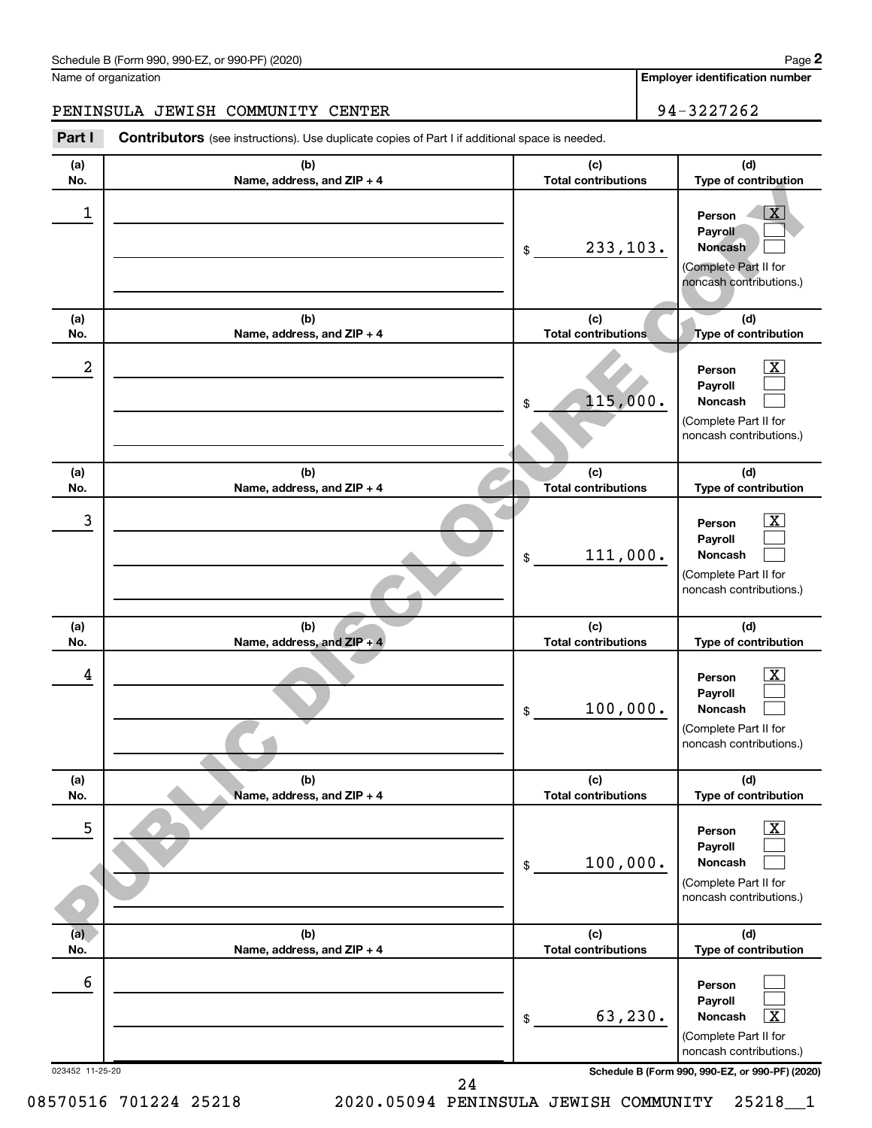Name of organization

**Employer identification number**

**(a) No. (b) Name, address, and ZIP + 4 (c) Total contributions (d) Type of contribution Person Payroll Noncash (a) No. (b) Name, address, and ZIP + 4 (c) Total contributions (d) Type of contribution Person Payroll Noncash (a) No. (b) Name, address, and ZIP + 4 (c) Total contributions (d) Type of contribution Person Payroll Noncash (a) No. (b) Name, address, and ZIP + 4 (c) Total contributions (d) Type of contribution Person Payroll Noncash (a) No. (b) Name, address, and ZIP + 4 (c) Total contributions (d) Type of contribution Person Payroll Noncash (a) No. (b) Name, address, and ZIP + 4 (c) Total contributions (d) Type of contribution Person Payroll Noncash** Part I Contributors (see instructions). Use duplicate copies of Part I if additional space is needed. \$ (Complete Part II for noncash contributions.) \$ (Complete Part II for noncash contributions.) \$ (Complete Part II for noncash contributions.) \$ (Complete Part II for noncash contributions.) \$ (Complete Part II for noncash contributions.) \$ (Complete Part II for noncash contributions.)  $|X|$  $\Box$  $\Box$  $\boxed{\textbf{X}}$  $\Box$  $\Box$  $\boxed{\textbf{X}}$  $\Box$  $\Box$  $\boxed{\textbf{X}}$  $\Box$  $\Box$  $\boxed{\textbf{X}}$  $\Box$  $\Box$  $\Box$  $\Box$  $\boxed{\textbf{X}}$ PENINSULA JEWISH COMMUNITY CENTER **194-3227262**  $\begin{array}{|c|c|c|c|c|}\hline \ \text{1} & \text{Person} & \overline{\text{X}}\ \hline \end{array}$ 233,103.  $2$  Person  $\overline{\text{X}}$ 115,000.  $\overline{3}$  Person  $\overline{X}$ 111,000.  $\frac{1}{4}$  Person  $\overline{\text{X}}$ 100,000.  $\overline{5}$   $\overline{2}$   $\overline{2}$   $\overline{2}$   $\overline{2}$   $\overline{2}$   $\overline{2}$   $\overline{2}$   $\overline{2}$   $\overline{2}$   $\overline{2}$   $\overline{2}$   $\overline{2}$   $\overline{2}$   $\overline{2}$   $\overline{2}$   $\overline{2}$   $\overline{2}$   $\overline{2}$   $\overline{2}$   $\overline{2}$   $\overline{2}$   $\overline{2}$   $\overline{2}$   $\overline{$ 100,000. 6 63,230. X me.<br>  $\frac{1}{10}$ <br>  $\frac{1}{10}$ <br>  $\frac{1}{10}$ <br>  $\frac{1}{10}$ <br>  $\frac{1}{10}$ <br>  $\frac{1}{10}$ <br>  $\frac{1}{10}$ <br>  $\frac{1}{10}$ <br>  $\frac{1}{10}$ <br>  $\frac{1}{10}$ <br>  $\frac{1}{10}$ <br>  $\frac{1}{10}$ <br>  $\frac{1}{10}$ <br>  $\frac{1}{10}$ <br>  $\frac{1}{10}$ <br>  $\frac{1}{10}$ <br>  $\frac{1}{10}$ <br>  $\frac{1}{10}$ <br>

023452 11-25-20 **Schedule B (Form 990, 990-EZ, or 990-PF) (2020)**

24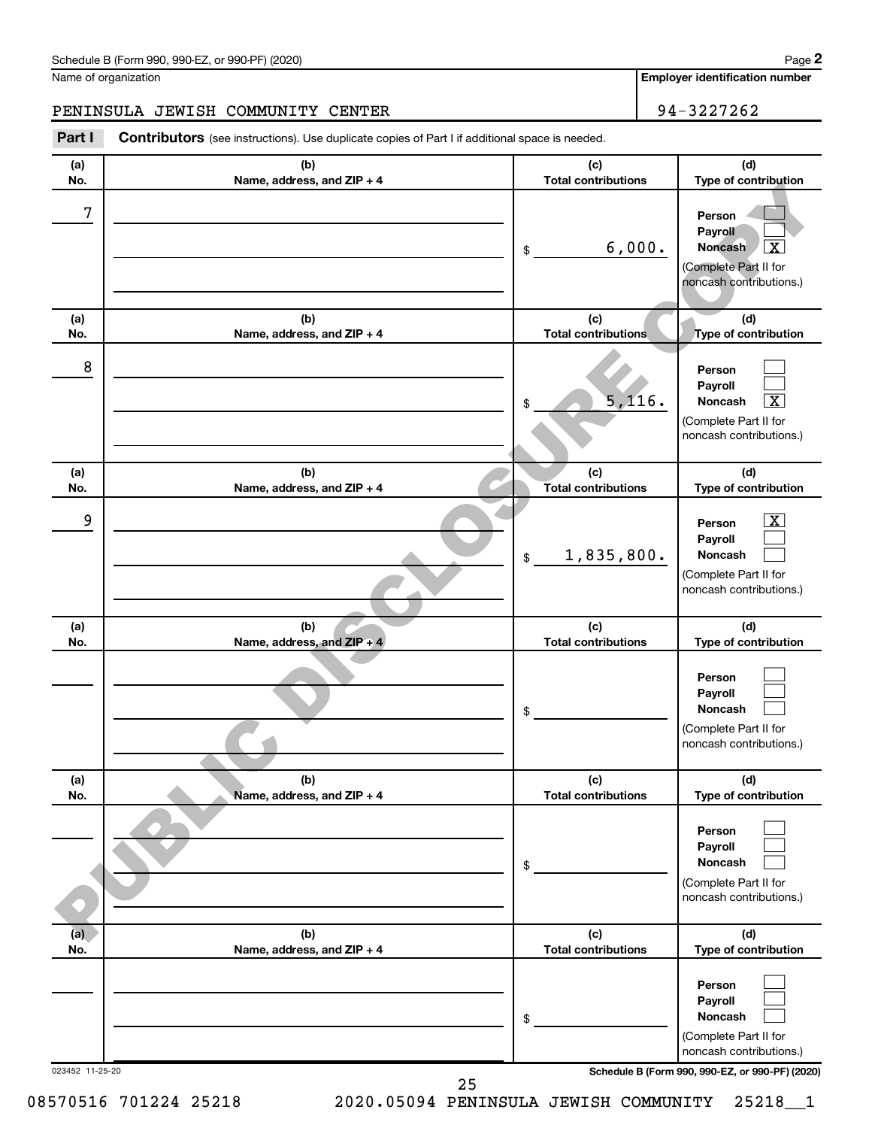Name of organization

**Employer identification number**

## PENINSULA JEWISH COMMUNITY CENTER 94-3227262

Part I Contributors (see instructions). Use duplicate copies of Part I if additional space is needed.

| (a)<br>No.      | (b)<br>Name, address, and ZIP + 4 | (c)<br><b>Total contributions</b> | (d)<br>Type of contribution                                                                               |
|-----------------|-----------------------------------|-----------------------------------|-----------------------------------------------------------------------------------------------------------|
| 7               |                                   | 6,000.<br>\$                      | Person<br>Payroll<br><b>Noncash</b><br>x<br>(Complete Part II for<br>noncash contributions.)              |
| (a)<br>No.      | (b)<br>Name, address, and ZIP + 4 | (c)<br><b>Total contributions</b> | (d)<br>Type of contribution                                                                               |
| 8               |                                   | 5,116.<br>\$                      | Person<br>Payroll<br>Noncash<br>x<br>(Complete Part II for<br>noncash contributions.)                     |
| (a)<br>No.      | (b)<br>Name, address, and ZIP + 4 | (c)<br><b>Total contributions</b> | (d)<br>Type of contribution                                                                               |
| 9               |                                   | 1,835,800.<br>\$                  | $\overline{\text{X}}$<br>Person<br>Payroll<br>Noncash<br>(Complete Part II for<br>noncash contributions.) |
| (a)<br>No.      | (b)<br>Name, address, and ZIP + 4 | (c)<br><b>Total contributions</b> | (d)<br>Type of contribution                                                                               |
|                 |                                   | \$                                | Person<br>Payroll<br>Noncash<br>(Complete Part II for<br>noncash contributions.)                          |
| (a)<br>No.      | (b)<br>Name, address, and ZIP + 4 | (c)<br><b>Total contributions</b> | (d)<br>Type of contribution                                                                               |
|                 |                                   | \$                                | Person<br>Payroll<br>Noncash<br>(Complete Part II for<br>noncash contributions.)                          |
| (a)<br>No.      | (b)<br>Name, address, and ZIP + 4 | (c)<br><b>Total contributions</b> | (d)<br>Type of contribution                                                                               |
|                 |                                   | \$                                | Person<br>Payroll<br>Noncash<br>(Complete Part II for<br>noncash contributions.)                          |
| 023452 11-25-20 | 25                                |                                   | Schedule B (Form 990, 990-EZ, or 990-PF) (2020)                                                           |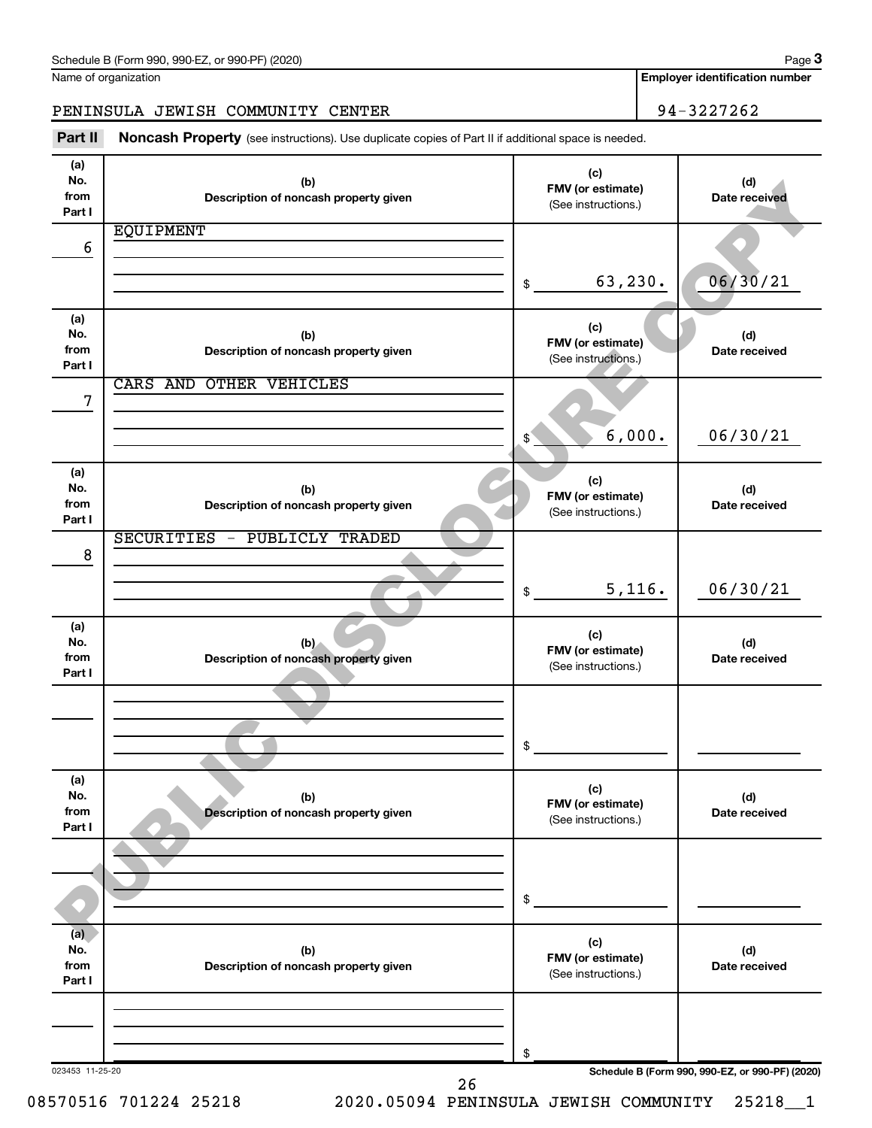Name of organization

**3**

**Employer identification number**

PENINSULA JEWISH COMMUNITY CENTER 94-3227262

Part II Noncash Property (see instructions). Use duplicate copies of Part II if additional space is needed.

| (a)<br>No.<br>from | (b)                                          | (c)<br>FMV (or estimate)                 | (d)                                             |
|--------------------|----------------------------------------------|------------------------------------------|-------------------------------------------------|
| Part I             | Description of noncash property given        | (See instructions.)                      | Date received                                   |
|                    | <b>EQUIPMENT</b>                             |                                          |                                                 |
| 6                  |                                              |                                          |                                                 |
|                    |                                              | 63,230.                                  | 06/30/21                                        |
|                    |                                              | \$                                       |                                                 |
| (a)                |                                              |                                          |                                                 |
| No.                | (b)                                          | (c)<br>FMV (or estimate)                 | (d)                                             |
| from<br>Part I     | Description of noncash property given        | (See instructions.)                      | Date received                                   |
|                    | <b>OTHER VEHICLES</b><br>CARS AND            |                                          |                                                 |
| 7                  |                                              |                                          |                                                 |
|                    |                                              |                                          |                                                 |
|                    |                                              | 6,000.<br>$$^{\circ}$                    | 06/30/21                                        |
| (a)                |                                              |                                          |                                                 |
| No.                | (b)                                          | (c)                                      | (d)                                             |
| from               | Description of noncash property given        | FMV (or estimate)<br>(See instructions.) | Date received                                   |
| Part I             | SECURITIES - PUBLICLY TRADED                 |                                          |                                                 |
| 8                  |                                              |                                          |                                                 |
|                    |                                              |                                          |                                                 |
|                    |                                              | 5,116.<br>\$                             | 06/30/21                                        |
|                    |                                              |                                          |                                                 |
| (a)<br>No.         | (b)                                          | (c)                                      | (d)                                             |
| from               | Description of noncash property given        | FMV (or estimate)<br>(See instructions.) | Date received                                   |
| Part I             |                                              |                                          |                                                 |
|                    |                                              |                                          |                                                 |
|                    |                                              |                                          |                                                 |
|                    |                                              | \$                                       |                                                 |
|                    |                                              |                                          |                                                 |
| (a)                |                                              | (c)                                      |                                                 |
| No.<br>from        | (b)<br>Description of noncash property given | FMV (or estimate)                        | (d)<br>Date received                            |
| Part I             |                                              | (See instructions.)                      |                                                 |
|                    |                                              |                                          |                                                 |
|                    |                                              |                                          |                                                 |
|                    |                                              | \$                                       |                                                 |
|                    |                                              |                                          |                                                 |
| (a)                |                                              | (c)                                      |                                                 |
| No.<br>from        | (b)                                          | FMV (or estimate)                        | (d)                                             |
| Part I             | Description of noncash property given        | (See instructions.)                      | Date received                                   |
|                    |                                              |                                          |                                                 |
|                    |                                              |                                          |                                                 |
|                    |                                              |                                          |                                                 |
| 023453 11-25-20    |                                              | \$                                       | Schedule B (Form 990, 990-EZ, or 990-PF) (2020) |
|                    | 26                                           |                                          |                                                 |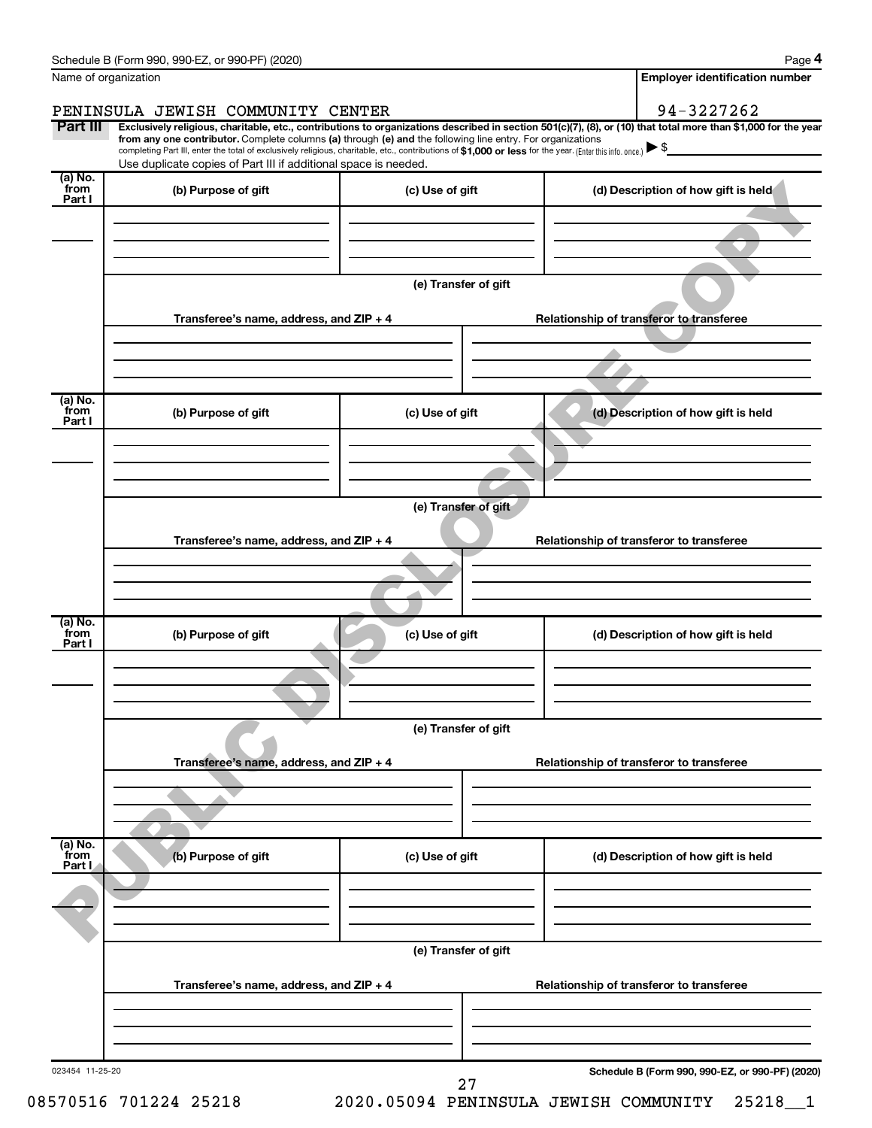|                           |                                                                                                                                                                                                                             |                                          | 94-3227262                                                                                                                                                     |  |  |  |  |
|---------------------------|-----------------------------------------------------------------------------------------------------------------------------------------------------------------------------------------------------------------------------|------------------------------------------|----------------------------------------------------------------------------------------------------------------------------------------------------------------|--|--|--|--|
| Part III                  | PENINSULA JEWISH COMMUNITY CENTER                                                                                                                                                                                           |                                          | Exclusively religious, charitable, etc., contributions to organizations described in section 501(c)(7), (8), or (10) that total more than \$1,000 for the year |  |  |  |  |
|                           | from any one contributor. Complete columns (a) through (e) and the following line entry. For organizations                                                                                                                  |                                          |                                                                                                                                                                |  |  |  |  |
|                           | completing Part III, enter the total of exclusively religious, charitable, etc., contributions of \$1,000 or less for the year. (Enter this info. once.)<br>Use duplicate copies of Part III if additional space is needed. |                                          |                                                                                                                                                                |  |  |  |  |
| (a) No.<br>from<br>Part I | (b) Purpose of gift                                                                                                                                                                                                         | (c) Use of gift                          | (d) Description of how gift is held                                                                                                                            |  |  |  |  |
|                           |                                                                                                                                                                                                                             |                                          |                                                                                                                                                                |  |  |  |  |
|                           |                                                                                                                                                                                                                             |                                          |                                                                                                                                                                |  |  |  |  |
|                           | Transferee's name, address, and ZIP + 4                                                                                                                                                                                     | (e) Transfer of gift                     | Relationship of transferor to transferee                                                                                                                       |  |  |  |  |
|                           |                                                                                                                                                                                                                             |                                          |                                                                                                                                                                |  |  |  |  |
|                           |                                                                                                                                                                                                                             |                                          |                                                                                                                                                                |  |  |  |  |
| (a) No.<br>from           |                                                                                                                                                                                                                             |                                          |                                                                                                                                                                |  |  |  |  |
| Part I                    | (b) Purpose of gift                                                                                                                                                                                                         | (c) Use of gift                          | (d) Description of how gift is held                                                                                                                            |  |  |  |  |
|                           |                                                                                                                                                                                                                             |                                          |                                                                                                                                                                |  |  |  |  |
|                           |                                                                                                                                                                                                                             |                                          |                                                                                                                                                                |  |  |  |  |
|                           |                                                                                                                                                                                                                             | (e) Transfer of gift                     |                                                                                                                                                                |  |  |  |  |
|                           | Transferee's name, address, and ZIP + 4                                                                                                                                                                                     |                                          | Relationship of transferor to transferee                                                                                                                       |  |  |  |  |
|                           |                                                                                                                                                                                                                             |                                          |                                                                                                                                                                |  |  |  |  |
|                           |                                                                                                                                                                                                                             |                                          |                                                                                                                                                                |  |  |  |  |
|                           |                                                                                                                                                                                                                             |                                          |                                                                                                                                                                |  |  |  |  |
| (a) No.<br>from<br>Part I | (b) Purpose of gift                                                                                                                                                                                                         | (c) Use of gift                          | (d) Description of how gift is held                                                                                                                            |  |  |  |  |
|                           |                                                                                                                                                                                                                             |                                          |                                                                                                                                                                |  |  |  |  |
|                           |                                                                                                                                                                                                                             |                                          |                                                                                                                                                                |  |  |  |  |
|                           |                                                                                                                                                                                                                             | (e) Transfer of gift                     |                                                                                                                                                                |  |  |  |  |
|                           | Transferee's name, address, and ZIP + 4                                                                                                                                                                                     |                                          | Relationship of transferor to transferee                                                                                                                       |  |  |  |  |
|                           |                                                                                                                                                                                                                             |                                          |                                                                                                                                                                |  |  |  |  |
|                           |                                                                                                                                                                                                                             |                                          |                                                                                                                                                                |  |  |  |  |
| (a) No.<br>from<br>Part I | (b) Purpose of gift                                                                                                                                                                                                         | (c) Use of gift                          | (d) Description of how gift is held                                                                                                                            |  |  |  |  |
|                           |                                                                                                                                                                                                                             |                                          |                                                                                                                                                                |  |  |  |  |
|                           |                                                                                                                                                                                                                             |                                          |                                                                                                                                                                |  |  |  |  |
|                           | (e) Transfer of gift                                                                                                                                                                                                        |                                          |                                                                                                                                                                |  |  |  |  |
|                           | Transferee's name, address, and ZIP + 4                                                                                                                                                                                     | Relationship of transferor to transferee |                                                                                                                                                                |  |  |  |  |
|                           |                                                                                                                                                                                                                             |                                          |                                                                                                                                                                |  |  |  |  |
|                           |                                                                                                                                                                                                                             |                                          |                                                                                                                                                                |  |  |  |  |
|                           |                                                                                                                                                                                                                             |                                          | Schedule B (Form 990, 990-EZ, or 990-PF) (2020)                                                                                                                |  |  |  |  |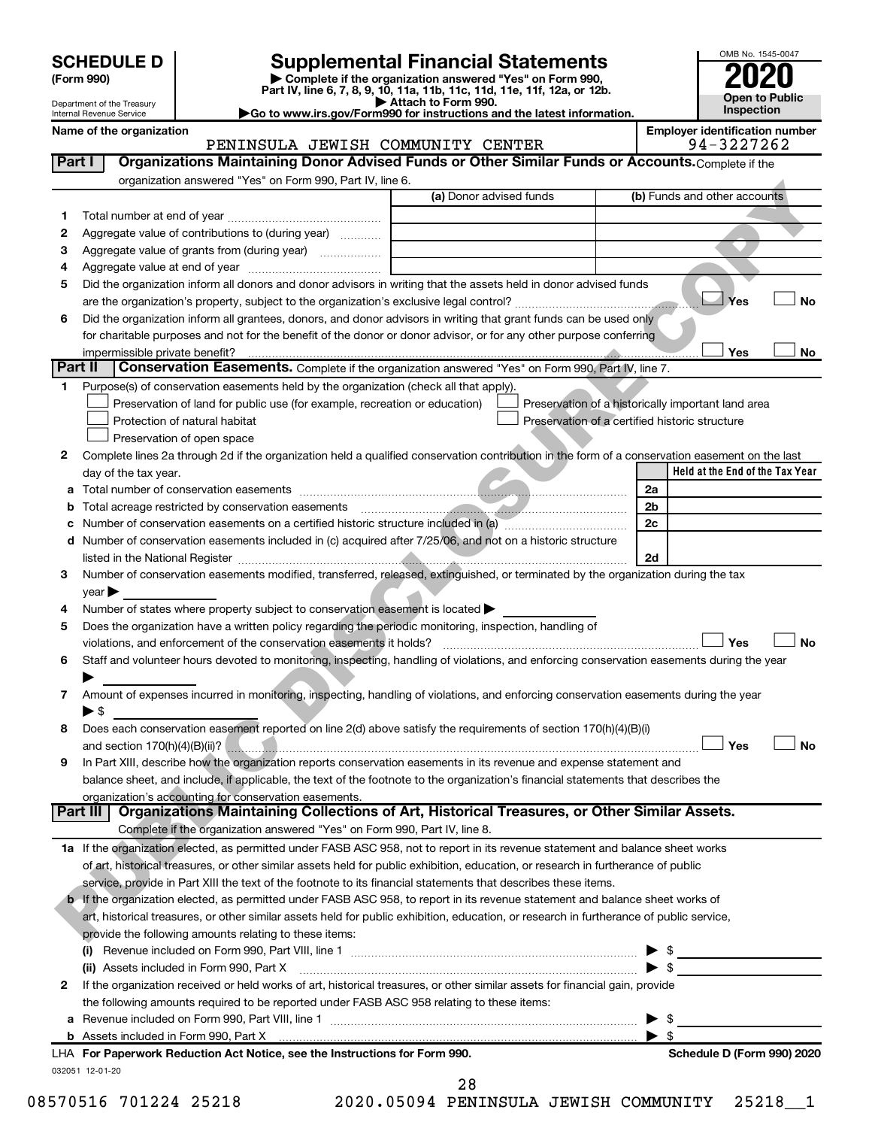# **SCHEDULE D Supplemental Financial Statements**<br> **Form 990 2020**<br> **Part IV** line 6.7.8.9.10, 11a, 11b, 11d, 11d, 11d, 11d, 11d, 12a, 0r, 12b

**(Form 990) | Complete if the organization answered "Yes" on Form 990, Part IV, line 6, 7, 8, 9, 10, 11a, 11b, 11c, 11d, 11e, 11f, 12a, or 12b.**

**| Attach to Form 990. |Go to www.irs.gov/Form990 for instructions and the latest information.**



|    | Department of the Treasury<br>Internal Revenue Service |                                                                                                                                                                                                                                                           | $\blacktriangleright$ Attach to Form 990.<br>Go to www.irs.gov/Form990 for instructions and the latest information. |                                                |                          | Inspection                                         | Open to Fublic |
|----|--------------------------------------------------------|-----------------------------------------------------------------------------------------------------------------------------------------------------------------------------------------------------------------------------------------------------------|---------------------------------------------------------------------------------------------------------------------|------------------------------------------------|--------------------------|----------------------------------------------------|----------------|
|    | Name of the organization                               |                                                                                                                                                                                                                                                           |                                                                                                                     |                                                |                          | <b>Employer identification number</b>              |                |
|    |                                                        | PENINSULA JEWISH COMMUNITY CENTER                                                                                                                                                                                                                         |                                                                                                                     |                                                |                          | 94-3227262                                         |                |
|    | Part I                                                 | Organizations Maintaining Donor Advised Funds or Other Similar Funds or Accounts. Complete if the                                                                                                                                                         |                                                                                                                     |                                                |                          |                                                    |                |
|    |                                                        | organization answered "Yes" on Form 990, Part IV, line 6.                                                                                                                                                                                                 |                                                                                                                     |                                                |                          |                                                    |                |
|    |                                                        |                                                                                                                                                                                                                                                           | (a) Donor advised funds                                                                                             |                                                |                          | (b) Funds and other accounts                       |                |
| 1  |                                                        |                                                                                                                                                                                                                                                           |                                                                                                                     |                                                |                          |                                                    |                |
| 2  |                                                        | Aggregate value of contributions to (during year)                                                                                                                                                                                                         |                                                                                                                     |                                                |                          |                                                    |                |
| З  |                                                        | Aggregate value of grants from (during year)                                                                                                                                                                                                              |                                                                                                                     |                                                |                          |                                                    |                |
| 4  |                                                        |                                                                                                                                                                                                                                                           |                                                                                                                     |                                                |                          |                                                    |                |
| 5  |                                                        | Did the organization inform all donors and donor advisors in writing that the assets held in donor advised funds                                                                                                                                          |                                                                                                                     |                                                |                          |                                                    |                |
|    |                                                        |                                                                                                                                                                                                                                                           |                                                                                                                     |                                                |                          | Yes                                                | <b>No</b>      |
| 6  |                                                        | Did the organization inform all grantees, donors, and donor advisors in writing that grant funds can be used only                                                                                                                                         |                                                                                                                     |                                                |                          |                                                    |                |
|    |                                                        | for charitable purposes and not for the benefit of the donor or donor advisor, or for any other purpose conferring                                                                                                                                        |                                                                                                                     |                                                |                          |                                                    |                |
|    | impermissible private benefit?                         |                                                                                                                                                                                                                                                           |                                                                                                                     |                                                |                          | Yes                                                | No             |
|    | Part II                                                | <b>Conservation Easements.</b> Complete if the organization answered "Yes" on Form 990, Part IV, line 7.                                                                                                                                                  |                                                                                                                     |                                                |                          |                                                    |                |
| 1. |                                                        | Purpose(s) of conservation easements held by the organization (check all that apply).                                                                                                                                                                     |                                                                                                                     |                                                |                          |                                                    |                |
|    |                                                        | Preservation of land for public use (for example, recreation or education)                                                                                                                                                                                |                                                                                                                     |                                                |                          | Preservation of a historically important land area |                |
|    |                                                        | Protection of natural habitat                                                                                                                                                                                                                             |                                                                                                                     | Preservation of a certified historic structure |                          |                                                    |                |
|    |                                                        | Preservation of open space                                                                                                                                                                                                                                |                                                                                                                     |                                                |                          |                                                    |                |
| 2  |                                                        | Complete lines 2a through 2d if the organization held a qualified conservation contribution in the form of a conservation easement on the last                                                                                                            |                                                                                                                     |                                                |                          |                                                    |                |
|    | day of the tax year.                                   |                                                                                                                                                                                                                                                           |                                                                                                                     |                                                |                          | Held at the End of the Tax Year                    |                |
| а  |                                                        |                                                                                                                                                                                                                                                           |                                                                                                                     |                                                | 2a                       |                                                    |                |
| b  |                                                        | Total acreage restricted by conservation easements                                                                                                                                                                                                        |                                                                                                                     |                                                | 2b                       |                                                    |                |
| с  |                                                        |                                                                                                                                                                                                                                                           |                                                                                                                     |                                                | 2c                       |                                                    |                |
| d  |                                                        | Number of conservation easements included in (c) acquired after 7/25/06, and not on a historic structure                                                                                                                                                  |                                                                                                                     |                                                |                          |                                                    |                |
|    |                                                        |                                                                                                                                                                                                                                                           |                                                                                                                     |                                                | 2d                       |                                                    |                |
| 3  |                                                        | Number of conservation easements modified, transferred, released, extinguished, or terminated by the organization during the tax                                                                                                                          |                                                                                                                     |                                                |                          |                                                    |                |
|    | year $\blacktriangleright$                             |                                                                                                                                                                                                                                                           |                                                                                                                     |                                                |                          |                                                    |                |
| 4  |                                                        | Number of states where property subject to conservation easement is located >                                                                                                                                                                             |                                                                                                                     |                                                |                          |                                                    |                |
| 5  |                                                        | Does the organization have a written policy regarding the periodic monitoring, inspection, handling of                                                                                                                                                    |                                                                                                                     |                                                |                          |                                                    |                |
|    |                                                        | violations, and enforcement of the conservation easements it holds?                                                                                                                                                                                       |                                                                                                                     |                                                |                          | Yes                                                | <b>No</b>      |
| 6  |                                                        | Staff and volunteer hours devoted to monitoring, inspecting, handling of violations, and enforcing conservation easements during the year                                                                                                                 |                                                                                                                     |                                                |                          |                                                    |                |
|    |                                                        |                                                                                                                                                                                                                                                           |                                                                                                                     |                                                |                          |                                                    |                |
| 7  |                                                        | Amount of expenses incurred in monitoring, inspecting, handling of violations, and enforcing conservation easements during the year                                                                                                                       |                                                                                                                     |                                                |                          |                                                    |                |
|    | ▶ \$                                                   |                                                                                                                                                                                                                                                           |                                                                                                                     |                                                |                          |                                                    |                |
| 8  |                                                        | Does each conservation easement reported on line 2(d) above satisfy the requirements of section 170(h)(4)(B)(i)                                                                                                                                           |                                                                                                                     |                                                |                          |                                                    |                |
|    |                                                        | and section 170(h)(4)(B)(ii)? <b>Example 2010 CONVERTED ASSESS</b> and section 170(h)(4)(B)(iii)?                                                                                                                                                         |                                                                                                                     |                                                |                          | Yes                                                | No             |
| 9  |                                                        | In Part XIII, describe how the organization reports conservation easements in its revenue and expense statement and                                                                                                                                       |                                                                                                                     |                                                |                          |                                                    |                |
|    |                                                        | balance sheet, and include, if applicable, the text of the footnote to the organization's financial statements that describes the                                                                                                                         |                                                                                                                     |                                                |                          |                                                    |                |
|    |                                                        | organization's accounting for conservation easements.<br>Part III   Organizations Maintaining Collections of Art, Historical Treasures, or Other Similar Assets.                                                                                          |                                                                                                                     |                                                |                          |                                                    |                |
|    |                                                        | Complete if the organization answered "Yes" on Form 990, Part IV, line 8.                                                                                                                                                                                 |                                                                                                                     |                                                |                          |                                                    |                |
|    |                                                        | 1a If the organization elected, as permitted under FASB ASC 958, not to report in its revenue statement and balance sheet works                                                                                                                           |                                                                                                                     |                                                |                          |                                                    |                |
|    |                                                        | of art, historical treasures, or other similar assets held for public exhibition, education, or research in furtherance of public                                                                                                                         |                                                                                                                     |                                                |                          |                                                    |                |
|    |                                                        | service, provide in Part XIII the text of the footnote to its financial statements that describes these items.                                                                                                                                            |                                                                                                                     |                                                |                          |                                                    |                |
|    |                                                        | b If the organization elected, as permitted under FASB ASC 958, to report in its revenue statement and balance sheet works of                                                                                                                             |                                                                                                                     |                                                |                          |                                                    |                |
|    |                                                        | art, historical treasures, or other similar assets held for public exhibition, education, or research in furtherance of public service,                                                                                                                   |                                                                                                                     |                                                |                          |                                                    |                |
|    |                                                        | provide the following amounts relating to these items:                                                                                                                                                                                                    |                                                                                                                     |                                                |                          |                                                    |                |
|    |                                                        |                                                                                                                                                                                                                                                           |                                                                                                                     |                                                |                          |                                                    |                |
|    |                                                        |                                                                                                                                                                                                                                                           |                                                                                                                     |                                                | \$<br>$\triangleright$ s |                                                    |                |
| 2  |                                                        | (ii) Assets included in Form 990, Part X <b>Process and Construction Construction</b> Assets included in Form 990, Part X<br>If the organization received or held works of art, historical treasures, or other similar assets for financial gain, provide |                                                                                                                     |                                                |                          |                                                    |                |
|    |                                                        | the following amounts required to be reported under FASB ASC 958 relating to these items:                                                                                                                                                                 |                                                                                                                     |                                                |                          |                                                    |                |
|    |                                                        |                                                                                                                                                                                                                                                           |                                                                                                                     |                                                | $\blacktriangleright$ \$ |                                                    |                |
|    |                                                        |                                                                                                                                                                                                                                                           |                                                                                                                     |                                                |                          |                                                    |                |

032051 12-01-20

**b** Assets included in Form 990, Part X

| \$

**For Paperwork Reduction Act Notice, see the Instructions for Form 990. Schedule D (Form 990) 2020** LHA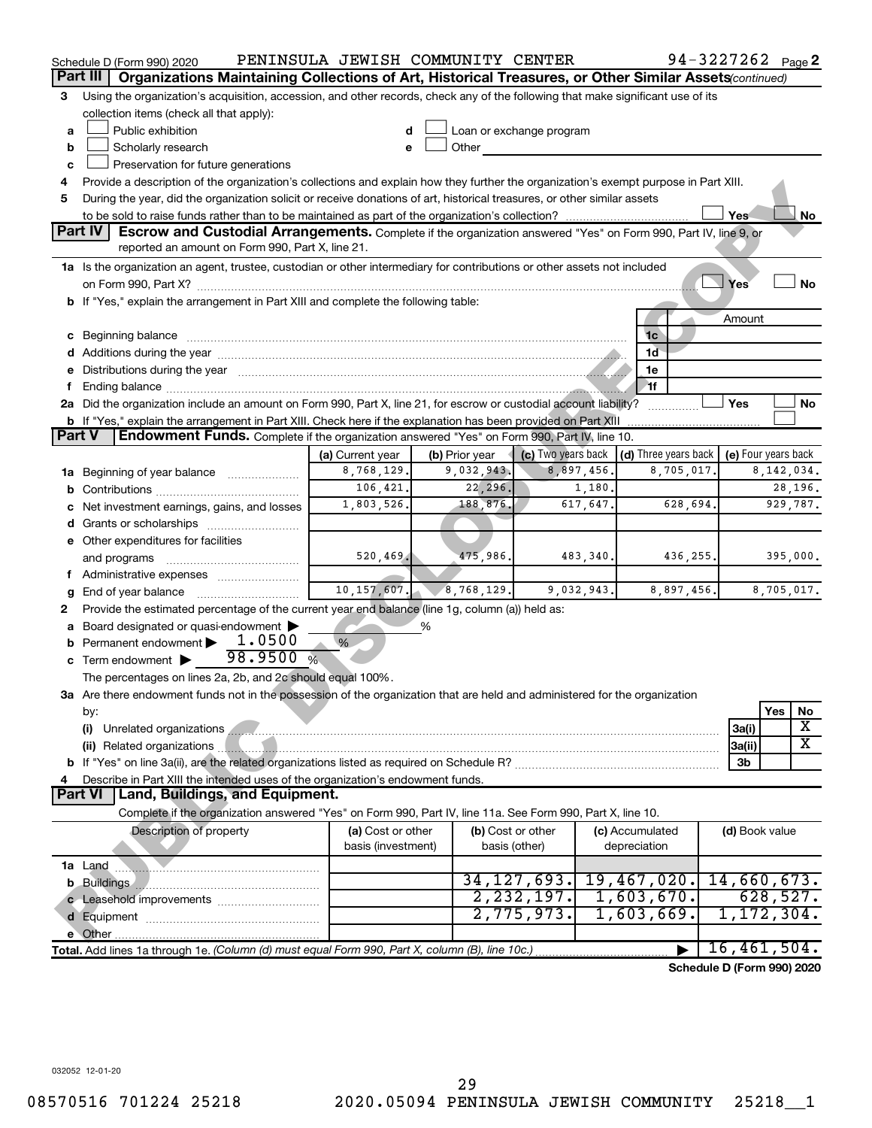|               | Schedule D (Form 990) 2020                                                                                                                                                                                                                             | PENINSULA JEWISH COMMUNITY CENTER |                |                          |            |                                           | 94-3227262 Page 2          |              |                         |
|---------------|--------------------------------------------------------------------------------------------------------------------------------------------------------------------------------------------------------------------------------------------------------|-----------------------------------|----------------|--------------------------|------------|-------------------------------------------|----------------------------|--------------|-------------------------|
|               | Part III<br>Organizations Maintaining Collections of Art, Historical Treasures, or Other Similar Assets (continued)                                                                                                                                    |                                   |                |                          |            |                                           |                            |              |                         |
| 3             | Using the organization's acquisition, accession, and other records, check any of the following that make significant use of its                                                                                                                        |                                   |                |                          |            |                                           |                            |              |                         |
|               | collection items (check all that apply):                                                                                                                                                                                                               |                                   |                |                          |            |                                           |                            |              |                         |
| a             | Public exhibition                                                                                                                                                                                                                                      |                                   |                | Loan or exchange program |            |                                           |                            |              |                         |
| b             | Scholarly research                                                                                                                                                                                                                                     |                                   | Other          |                          |            |                                           |                            |              |                         |
| с             | Preservation for future generations                                                                                                                                                                                                                    |                                   |                |                          |            |                                           |                            |              |                         |
| 4             | Provide a description of the organization's collections and explain how they further the organization's exempt purpose in Part XIII.                                                                                                                   |                                   |                |                          |            |                                           |                            |              |                         |
| 5             | During the year, did the organization solicit or receive donations of art, historical treasures, or other similar assets                                                                                                                               |                                   |                |                          |            |                                           |                            |              |                         |
|               |                                                                                                                                                                                                                                                        |                                   |                |                          |            |                                           | Yes                        |              | No                      |
|               | Part IV<br><b>Escrow and Custodial Arrangements.</b> Complete if the organization answered "Yes" on Form 990, Part IV, line 9, or<br>reported an amount on Form 990, Part X, line 21.                                                                  |                                   |                |                          |            |                                           |                            |              |                         |
|               | 1a Is the organization an agent, trustee, custodian or other intermediary for contributions or other assets not included                                                                                                                               |                                   |                |                          |            |                                           |                            |              |                         |
|               |                                                                                                                                                                                                                                                        |                                   |                |                          |            |                                           | Yes                        |              | <b>No</b>               |
|               | b If "Yes," explain the arrangement in Part XIII and complete the following table:                                                                                                                                                                     |                                   |                |                          |            |                                           |                            |              |                         |
|               |                                                                                                                                                                                                                                                        |                                   |                |                          |            |                                           | Amount                     |              |                         |
|               |                                                                                                                                                                                                                                                        |                                   |                |                          |            | 1c                                        |                            |              |                         |
|               |                                                                                                                                                                                                                                                        |                                   |                |                          |            | 1ď                                        |                            |              |                         |
|               | e Distributions during the year measurements are also according to the year of the set of the set of the set of the set of the set of the set of the set of the set of the set of the set of the set of the set of the set of                          |                                   |                |                          |            | 1e                                        |                            |              |                         |
|               |                                                                                                                                                                                                                                                        |                                   |                |                          |            | $-1f$                                     |                            |              |                         |
|               | 2a Did the organization include an amount on Form 990, Part X, line 21, for escrow or custodial account liability?                                                                                                                                     |                                   |                |                          |            |                                           | Yes                        |              | No                      |
|               | b If "Yes," explain the arrangement in Part XIII. Check here if the explanation has been provided on Part XIII                                                                                                                                         |                                   |                |                          |            |                                           |                            |              |                         |
| <b>Part V</b> | Endowment Funds. Complete if the organization answered "Yes" on Form 990, Part IV, line 10.                                                                                                                                                            |                                   |                |                          |            |                                           |                            |              |                         |
|               |                                                                                                                                                                                                                                                        | (a) Current year                  | (b) Prior year |                          |            | (c) Two years back (d) Three years back   | (e) Four years back        |              |                         |
|               | 1a Beginning of year balance                                                                                                                                                                                                                           | 8,768,129.                        | 9,032,943.     |                          | 8,897,456. | 8,705,017.                                |                            | 8, 142, 034. |                         |
|               |                                                                                                                                                                                                                                                        | 106,421.                          | 22, 296.       |                          | 1,180.     |                                           |                            |              | 28,196.                 |
|               | c Net investment earnings, gains, and losses                                                                                                                                                                                                           | 1,803,526.                        | 188,876.       |                          | 617,647.   | 628,694.                                  |                            |              | 929,787.                |
|               | <b>d</b> Grants or scholarships <i></i>                                                                                                                                                                                                                |                                   |                |                          |            |                                           |                            |              |                         |
|               | e Other expenditures for facilities                                                                                                                                                                                                                    |                                   |                |                          |            |                                           |                            |              |                         |
|               | and programs                                                                                                                                                                                                                                           | 520, 469.                         | 475,986.       |                          | 483,340.   | 436, 255.                                 |                            |              | 395,000.                |
|               | f Administrative expenses                                                                                                                                                                                                                              |                                   |                |                          |            |                                           |                            |              |                         |
| g             |                                                                                                                                                                                                                                                        | 10, 157, 607.                     | 8,768,129.     |                          | 9,032,943. | 8,897,456.                                |                            | 8,705,017.   |                         |
| 2             | Provide the estimated percentage of the current year end balance (line 1g, column (a)) held as:                                                                                                                                                        |                                   |                |                          |            |                                           |                            |              |                         |
| а             | Board designated or quasi-endowment                                                                                                                                                                                                                    |                                   | %              |                          |            |                                           |                            |              |                         |
|               | <b>b</b> Permanent endowment $\blacktriangleright$ 1.0500                                                                                                                                                                                              | %                                 |                |                          |            |                                           |                            |              |                         |
|               | 98.9500%<br>c Term endowment $\blacktriangleright$                                                                                                                                                                                                     |                                   |                |                          |            |                                           |                            |              |                         |
|               | The percentages on lines 2a, 2b, and 2c should equal 100%.                                                                                                                                                                                             |                                   |                |                          |            |                                           |                            |              |                         |
|               | 3a Are there endowment funds not in the possession of the organization that are held and administered for the organization                                                                                                                             |                                   |                |                          |            |                                           |                            |              |                         |
|               | by:                                                                                                                                                                                                                                                    |                                   |                |                          |            |                                           |                            | Yes          | No                      |
|               |                                                                                                                                                                                                                                                        |                                   |                |                          |            |                                           | 3a(i)                      |              | X                       |
|               |                                                                                                                                                                                                                                                        |                                   |                |                          |            |                                           | 3a(ii)                     |              | $\overline{\textbf{x}}$ |
|               |                                                                                                                                                                                                                                                        |                                   |                |                          |            |                                           | 3b                         |              |                         |
| 4             | Describe in Part XIII the intended uses of the organization's endowment funds.                                                                                                                                                                         |                                   |                |                          |            |                                           |                            |              |                         |
|               | Part VI   Land, Buildings, and Equipment.                                                                                                                                                                                                              |                                   |                |                          |            |                                           |                            |              |                         |
|               | Complete if the organization answered "Yes" on Form 990, Part IV, line 11a. See Form 990, Part X, line 10.                                                                                                                                             |                                   |                |                          |            |                                           |                            |              |                         |
|               | Description of property                                                                                                                                                                                                                                | (a) Cost or other                 |                | (b) Cost or other        |            | (c) Accumulated                           | (d) Book value             |              |                         |
|               |                                                                                                                                                                                                                                                        | basis (investment)                |                | basis (other)            |            | depreciation                              |                            |              |                         |
|               | <u> 1980 - Januar Amerikaanse en Amerikaanse foar it fjilde fan it fjilde fan it fjilde fan it fjilde fan it fjilde fan it fjilde fan it fjilde fan it fjilde fan it fjilde fan it fjilde fan it fjilde fan it fjilde fan it fji</u><br><b>1a</b> Land |                                   |                |                          |            |                                           |                            |              |                         |
|               |                                                                                                                                                                                                                                                        |                                   |                |                          |            | 34, 127, 693. 19, 467, 020. 14, 660, 673. |                            |              |                         |
|               |                                                                                                                                                                                                                                                        |                                   |                | 2, 232, 197.             |            | 1,603,670.                                |                            | 628,527.     |                         |
|               |                                                                                                                                                                                                                                                        |                                   |                | 2,775,973.               |            | 1,603,669.                                | 1, 172, 304.               |              |                         |
|               |                                                                                                                                                                                                                                                        |                                   |                |                          |            |                                           |                            |              |                         |
|               | Total. Add lines 1a through 1e. (Column (d) must equal Form 990, Part X, column (B), line 10c.)                                                                                                                                                        |                                   |                |                          |            |                                           | 16,461,504.                |              |                         |
|               |                                                                                                                                                                                                                                                        |                                   |                |                          |            |                                           | Schedule D (Form 990) 2020 |              |                         |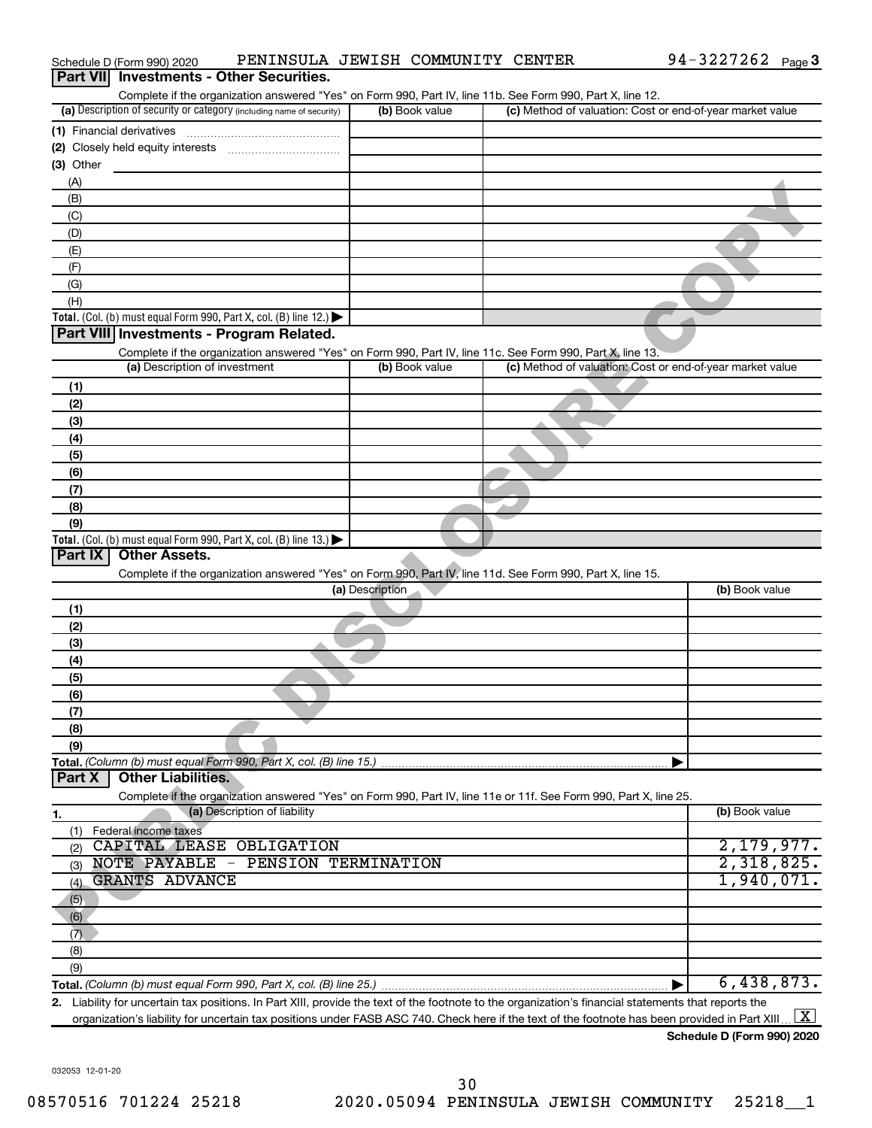|                  | Schedule D (Form 990) 2020    | PENINSULA JEWISH COMMUNITY CENTER                                                                                                                 |                 |                | 94-3227262 Page 3                                                                                                                                    |
|------------------|-------------------------------|---------------------------------------------------------------------------------------------------------------------------------------------------|-----------------|----------------|------------------------------------------------------------------------------------------------------------------------------------------------------|
| <b>Part VIII</b> |                               | <b>Investments - Other Securities.</b>                                                                                                            |                 |                |                                                                                                                                                      |
|                  |                               | Complete if the organization answered "Yes" on Form 990, Part IV, line 11b. See Form 990, Part X, line 12.                                        |                 |                |                                                                                                                                                      |
|                  |                               | (a) Description of security or category (including name of security)                                                                              |                 | (b) Book value | (c) Method of valuation: Cost or end-of-year market value                                                                                            |
|                  | (1) Financial derivatives     |                                                                                                                                                   |                 |                |                                                                                                                                                      |
|                  |                               |                                                                                                                                                   |                 |                |                                                                                                                                                      |
| (3) Other        |                               |                                                                                                                                                   |                 |                |                                                                                                                                                      |
| (A)              |                               |                                                                                                                                                   |                 |                |                                                                                                                                                      |
| (B)              |                               |                                                                                                                                                   |                 |                |                                                                                                                                                      |
| (C)              |                               |                                                                                                                                                   |                 |                |                                                                                                                                                      |
| (D)              |                               |                                                                                                                                                   |                 |                |                                                                                                                                                      |
| (E)              |                               |                                                                                                                                                   |                 |                |                                                                                                                                                      |
| (F)              |                               |                                                                                                                                                   |                 |                |                                                                                                                                                      |
| (G)              |                               |                                                                                                                                                   |                 |                |                                                                                                                                                      |
| (H)              |                               |                                                                                                                                                   |                 |                |                                                                                                                                                      |
|                  |                               | Total. (Col. (b) must equal Form 990, Part X, col. (B) line 12.) $\blacktriangleright$                                                            |                 |                |                                                                                                                                                      |
|                  |                               | Part VIII Investments - Program Related.                                                                                                          |                 |                |                                                                                                                                                      |
|                  |                               | Complete if the organization answered "Yes" on Form 990, Part IV, line 11c. See Form 990, Part X, line 13.                                        |                 |                |                                                                                                                                                      |
|                  | (a) Description of investment |                                                                                                                                                   |                 | (b) Book value | (c) Method of valuation: Cost or end-of-year market value                                                                                            |
| (1)              |                               |                                                                                                                                                   |                 |                |                                                                                                                                                      |
| (2)              |                               |                                                                                                                                                   |                 |                |                                                                                                                                                      |
| (3)              |                               |                                                                                                                                                   |                 |                |                                                                                                                                                      |
| (4)              |                               |                                                                                                                                                   |                 |                |                                                                                                                                                      |
| (5)              |                               |                                                                                                                                                   |                 |                |                                                                                                                                                      |
| (6)              |                               |                                                                                                                                                   |                 |                |                                                                                                                                                      |
| (7)              |                               |                                                                                                                                                   |                 |                |                                                                                                                                                      |
| (8)              |                               |                                                                                                                                                   |                 |                |                                                                                                                                                      |
| (9)              |                               |                                                                                                                                                   |                 |                |                                                                                                                                                      |
|                  |                               | Total. (Col. (b) must equal Form 990, Part X, col. (B) line 13.) $\blacktriangleright$                                                            |                 |                |                                                                                                                                                      |
| Part IX          | <b>Other Assets.</b>          |                                                                                                                                                   |                 |                |                                                                                                                                                      |
|                  |                               | Complete if the organization answered "Yes" on Form 990, Part IV, line 11d. See Form 990, Part X, line 15.                                        |                 |                |                                                                                                                                                      |
|                  |                               |                                                                                                                                                   | (a) Description |                | (b) Book value                                                                                                                                       |
|                  |                               |                                                                                                                                                   |                 |                |                                                                                                                                                      |
| (1)              |                               |                                                                                                                                                   |                 |                |                                                                                                                                                      |
| (2)              |                               |                                                                                                                                                   |                 |                |                                                                                                                                                      |
| (3)              |                               |                                                                                                                                                   |                 |                |                                                                                                                                                      |
| (4)              |                               |                                                                                                                                                   |                 |                |                                                                                                                                                      |
| (5)              |                               |                                                                                                                                                   |                 |                |                                                                                                                                                      |
| (6)              |                               |                                                                                                                                                   |                 |                |                                                                                                                                                      |
| (7)              |                               |                                                                                                                                                   |                 |                |                                                                                                                                                      |
| (8)              |                               |                                                                                                                                                   |                 |                |                                                                                                                                                      |
| (9)              |                               |                                                                                                                                                   |                 |                |                                                                                                                                                      |
| Part X           | <b>Other Liabilities.</b>     | Total. (Column (b) must equal Form 990, Part X, col. (B) line 15.)                                                                                |                 |                |                                                                                                                                                      |
|                  |                               |                                                                                                                                                   |                 |                |                                                                                                                                                      |
|                  |                               | Complete if the organization answered "Yes" on Form 990, Part IV, line 11e or 11f. See Form 990, Part X, line 25.<br>(a) Description of liability |                 |                |                                                                                                                                                      |
| 1.               |                               |                                                                                                                                                   |                 |                | (b) Book value                                                                                                                                       |
| (1)              | Federal income taxes          |                                                                                                                                                   |                 |                | 2,179,977.                                                                                                                                           |
| (2)              |                               | CAPITAL LEASE OBLIGATION                                                                                                                          |                 |                |                                                                                                                                                      |
| (3)              |                               | NOTE PAYABLE - PENSION TERMINATION                                                                                                                |                 |                | 2,318,825.                                                                                                                                           |
| (4)              | <b>GRANTS ADVANCE</b>         |                                                                                                                                                   |                 |                | 1,940,071.                                                                                                                                           |
| (5)              |                               |                                                                                                                                                   |                 |                |                                                                                                                                                      |
| (6)              |                               |                                                                                                                                                   |                 |                |                                                                                                                                                      |
| (7)              |                               |                                                                                                                                                   |                 |                |                                                                                                                                                      |
| (8)              |                               |                                                                                                                                                   |                 |                |                                                                                                                                                      |
| (9)              |                               |                                                                                                                                                   |                 |                |                                                                                                                                                      |
|                  |                               |                                                                                                                                                   |                 |                | 6,438,873.                                                                                                                                           |
|                  |                               |                                                                                                                                                   |                 |                | 2. Liability for uncertain tax positions. In Part XIII, provide the text of the footnote to the organization's financial statements that reports the |

organization's liability for uncertain tax positions under FASB ASC 740. Check here if the text of the footnote has been provided in Part XIII ...  $\fbox{\bf X}$ 

**Schedule D (Form 990) 2020**

032053 12-01-20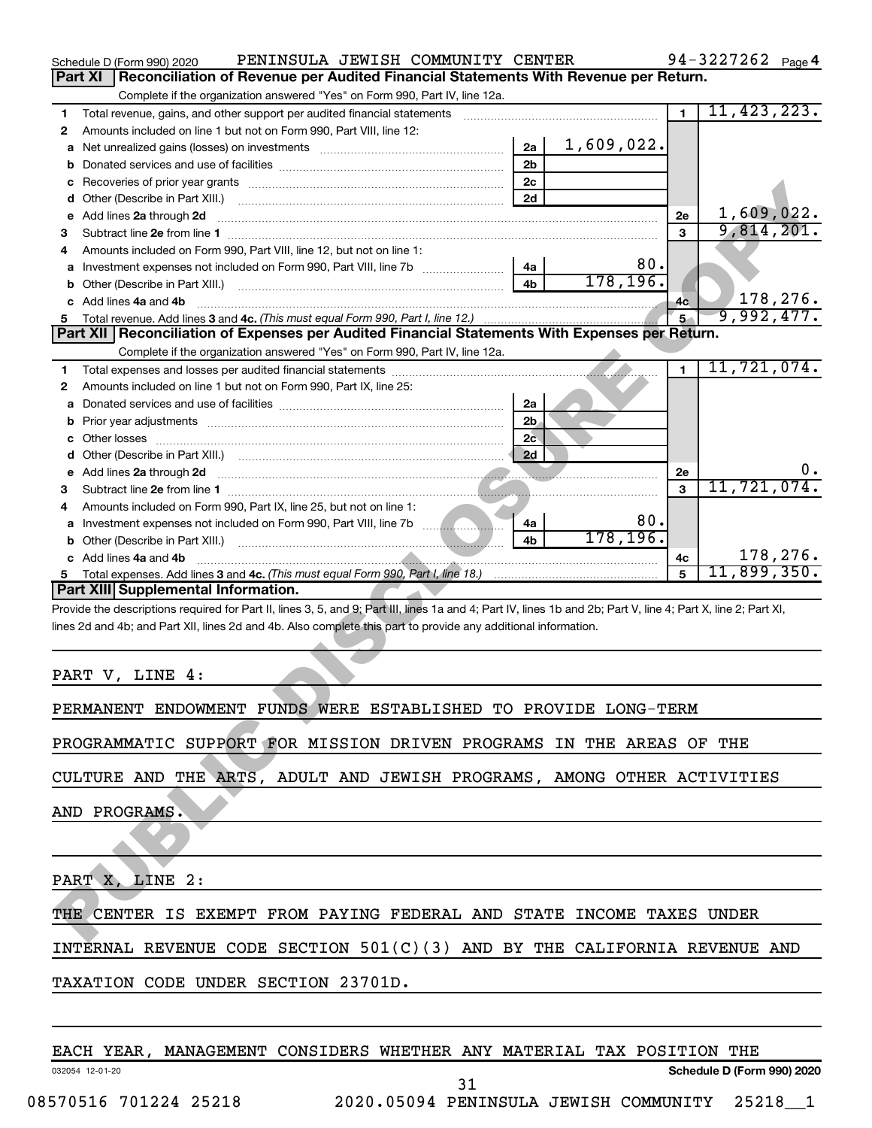|    | PENINSULA JEWISH COMMUNITY CENTER<br>Schedule D (Form 990) 2020                                                                                                |                |            |                | $94 - 3227262$ Page 4 |          |
|----|----------------------------------------------------------------------------------------------------------------------------------------------------------------|----------------|------------|----------------|-----------------------|----------|
|    | <b>Part XI</b><br>Reconciliation of Revenue per Audited Financial Statements With Revenue per Return.                                                          |                |            |                |                       |          |
|    | Complete if the organization answered "Yes" on Form 990, Part IV, line 12a.                                                                                    |                |            |                |                       |          |
| 1  | Total revenue, gains, and other support per audited financial statements                                                                                       |                |            | $\blacksquare$ | 11, 423, 223.         |          |
| 2  | Amounts included on line 1 but not on Form 990, Part VIII, line 12:                                                                                            |                |            |                |                       |          |
| а  |                                                                                                                                                                | 2a             | 1,609,022. |                |                       |          |
| b  |                                                                                                                                                                | 2 <sub>b</sub> |            |                |                       |          |
| с  |                                                                                                                                                                | 2 <sub>c</sub> |            |                |                       |          |
| d  |                                                                                                                                                                | 2d             |            |                |                       |          |
| е  | Add lines 2a through 2d                                                                                                                                        |                |            | 2e             | 1,609,022.            |          |
| З  |                                                                                                                                                                |                |            | 3              | 9,814,201.            |          |
| 4  | Amounts included on Form 990, Part VIII, line 12, but not on line 1:                                                                                           |                |            |                |                       |          |
| а  |                                                                                                                                                                | 4a             | 80.        |                |                       |          |
| b  |                                                                                                                                                                | 4 <sub>h</sub> | 178, 196.  |                |                       |          |
|    | Add lines 4a and 4b                                                                                                                                            |                |            | 4c             |                       | 178,276. |
|    |                                                                                                                                                                |                |            | 5 <sup>2</sup> | 9,992,477.            |          |
|    | Part XII   Reconciliation of Expenses per Audited Financial Statements With Expenses per Return.                                                               |                |            |                |                       |          |
|    | Complete if the organization answered "Yes" on Form 990, Part IV, line 12a.                                                                                    |                |            |                |                       |          |
| 1  |                                                                                                                                                                |                |            | $\blacksquare$ | 11,721,074.           |          |
| 2  | Amounts included on line 1 but not on Form 990, Part IX, line 25:                                                                                              |                |            |                |                       |          |
| а  |                                                                                                                                                                | 2a             |            |                |                       |          |
| b  | Prior year adjustments [111] Prior year adjustments [11] Masseum Masseum Masseum Masseum Masseum Masseum Mass                                                  | 2 <sub>b</sub> |            |                |                       |          |
| с  |                                                                                                                                                                | 2c             |            |                |                       |          |
| d  |                                                                                                                                                                | 2d             |            |                |                       |          |
| е  | Add lines 2a through 2d                                                                                                                                        |                |            | 2e             |                       | υ.       |
| З  |                                                                                                                                                                |                |            | 3              | 11,721,074.           |          |
| 4  | Amounts included on Form 990, Part IX, line 25, but not on line 1:                                                                                             |                |            |                |                       |          |
| а  | Investment expenses not included on Form 990, Part VIII, line 7b                                                                                               | 4a             | 80.        |                |                       |          |
| b  |                                                                                                                                                                | 4b             | 178, 196.  |                |                       |          |
|    | c Add lines 4a and 4b                                                                                                                                          |                |            | 4c             |                       | 178,276. |
| 5. |                                                                                                                                                                |                |            | 5              | 11,899,350.           |          |
|    | <b>Part XIII Supplemental Information.</b>                                                                                                                     |                |            |                |                       |          |
|    | Provide the descriptions required for Part II, lines 3, 5, and 9; Part III, lines 1a and 4; Part IV, lines 1b and 2b; Part V, line 4; Part X, line 2; Part XI, |                |            |                |                       |          |
|    | lines 2d and 4b; and Part XII, lines 2d and 4b. Also complete this part to provide any additional information.                                                 |                |            |                |                       |          |
|    |                                                                                                                                                                |                |            |                |                       |          |
|    |                                                                                                                                                                |                |            |                |                       |          |
|    | PART V, LINE 4:                                                                                                                                                |                |            |                |                       |          |
|    |                                                                                                                                                                |                |            |                |                       |          |
|    | PERMANENT ENDOWMENT FUNDS WERE ESTABLISHED TO PROVIDE LONG-TERM                                                                                                |                |            |                |                       |          |
|    |                                                                                                                                                                |                |            |                |                       |          |
|    | PROGRAMMATIC SUPPORT FOR MISSION DRIVEN PROGRAMS IN THE AREAS OF THE                                                                                           |                |            |                |                       |          |
|    |                                                                                                                                                                |                |            |                |                       |          |
|    | CULTURE AND THE ARTS, ADULT AND JEWISH PROGRAMS, AMONG OTHER ACTIVITIES                                                                                        |                |            |                |                       |          |
|    |                                                                                                                                                                |                |            |                |                       |          |
|    | AND PROGRAMS.                                                                                                                                                  |                |            |                |                       |          |
|    |                                                                                                                                                                |                |            |                |                       |          |
|    |                                                                                                                                                                |                |            |                |                       |          |
|    |                                                                                                                                                                |                |            |                |                       |          |
|    | PART X, LINE 2:                                                                                                                                                |                |            |                |                       |          |
|    |                                                                                                                                                                |                |            |                |                       |          |
|    | THE CENTER IS EXEMPT FROM PAYING FEDERAL AND STATE INCOME TAXES UNDER                                                                                          |                |            |                |                       |          |
|    |                                                                                                                                                                |                |            |                |                       |          |

| <b>PART</b> |  | LINE |  |
|-------------|--|------|--|
|-------------|--|------|--|

INTERNAL REVENUE CODE SECTION 501(C)(3) AND BY THE CALIFORNIA REVENUE AND

TAXATION CODE UNDER SECTION 23701D.

EACH YEAR, MANAGEMENT CONSIDERS WHETHER ANY MATERIAL TAX POSITION THE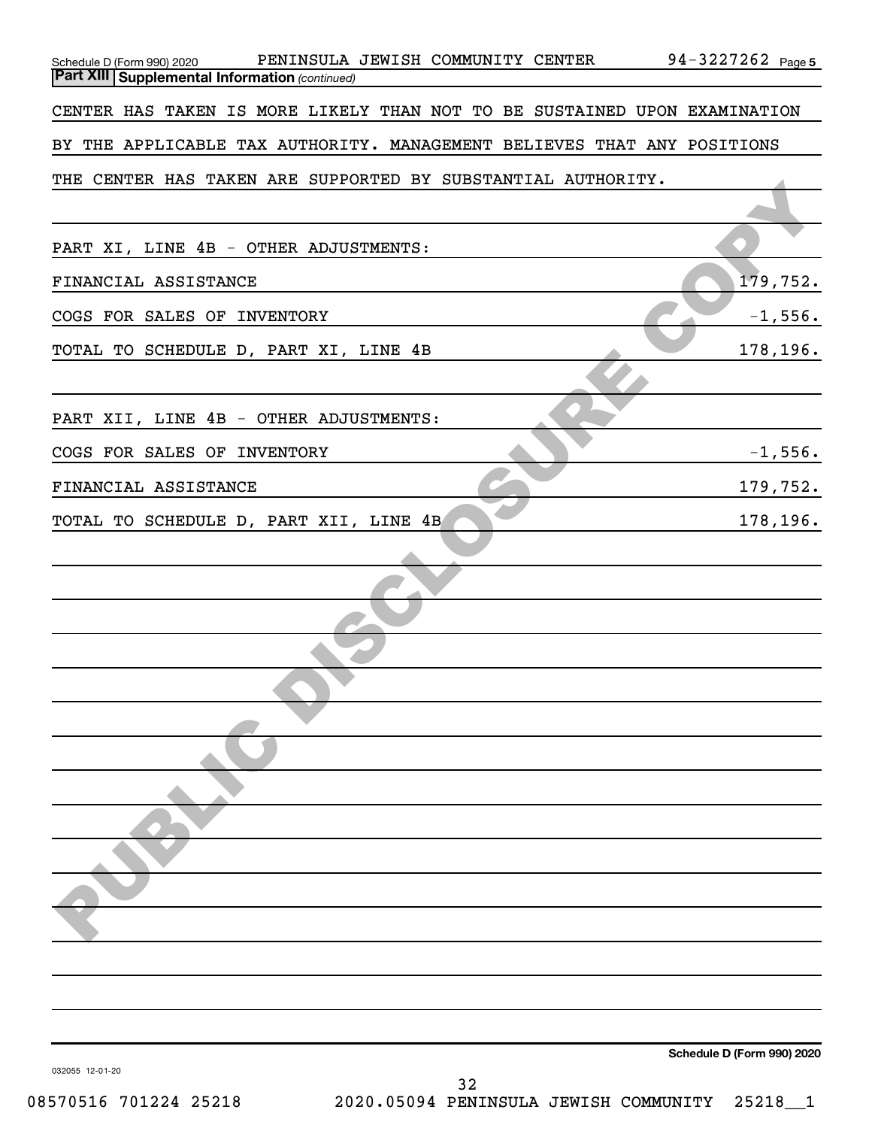| PENINSULA JEWISH COMMUNITY CENTER 94-3227262 Page5<br>Schedule D (Form 990) 2020                                   |                            |
|--------------------------------------------------------------------------------------------------------------------|----------------------------|
| <b>Part XIII Supplemental Information (continued)</b>                                                              |                            |
| CENTER HAS TAKEN IS MORE LIKELY THAN NOT TO BE SUSTAINED UPON EXAMINATION                                          |                            |
| BY THE APPLICABLE TAX AUTHORITY. MANAGEMENT BELIEVES THAT ANY POSITIONS                                            |                            |
| THE CENTER HAS TAKEN ARE SUPPORTED BY SUBSTANTIAL AUTHORITY.                                                       |                            |
|                                                                                                                    |                            |
| PART XI, LINE 4B - OTHER ADJUSTMENTS:                                                                              |                            |
| FINANCIAL ASSISTANCE                                                                                               | 179,752.                   |
| COGS FOR SALES OF INVENTORY                                                                                        | $-1,556.$                  |
| TOTAL TO SCHEDULE D, PART XI, LINE 4B                                                                              | 178,196.                   |
|                                                                                                                    |                            |
| PART XII, LINE 4B - OTHER ADJUSTMENTS:                                                                             |                            |
| COGS FOR SALES OF INVENTORY                                                                                        | $-1,556.$                  |
| FINANCIAL ASSISTANCE                                                                                               | 179,752.                   |
| TOTAL TO SCHEDULE D, PART XII, LINE 4B                                                                             | 178,196.                   |
|                                                                                                                    |                            |
|                                                                                                                    |                            |
|                                                                                                                    |                            |
|                                                                                                                    |                            |
|                                                                                                                    |                            |
|                                                                                                                    |                            |
|                                                                                                                    |                            |
|                                                                                                                    |                            |
|                                                                                                                    |                            |
|                                                                                                                    |                            |
|                                                                                                                    |                            |
|                                                                                                                    |                            |
|                                                                                                                    |                            |
|                                                                                                                    |                            |
|                                                                                                                    | Schedule D (Form 990) 2020 |
| 032055 12-01-20<br>32<br>E70E1 <i>E</i> 701994 9E910<br>AND ARAOA DENTNOTIT A<br>TUMT CU<br>$C$ $\cap$ MMTNT $\pi$ | າ ⊑າ1                      |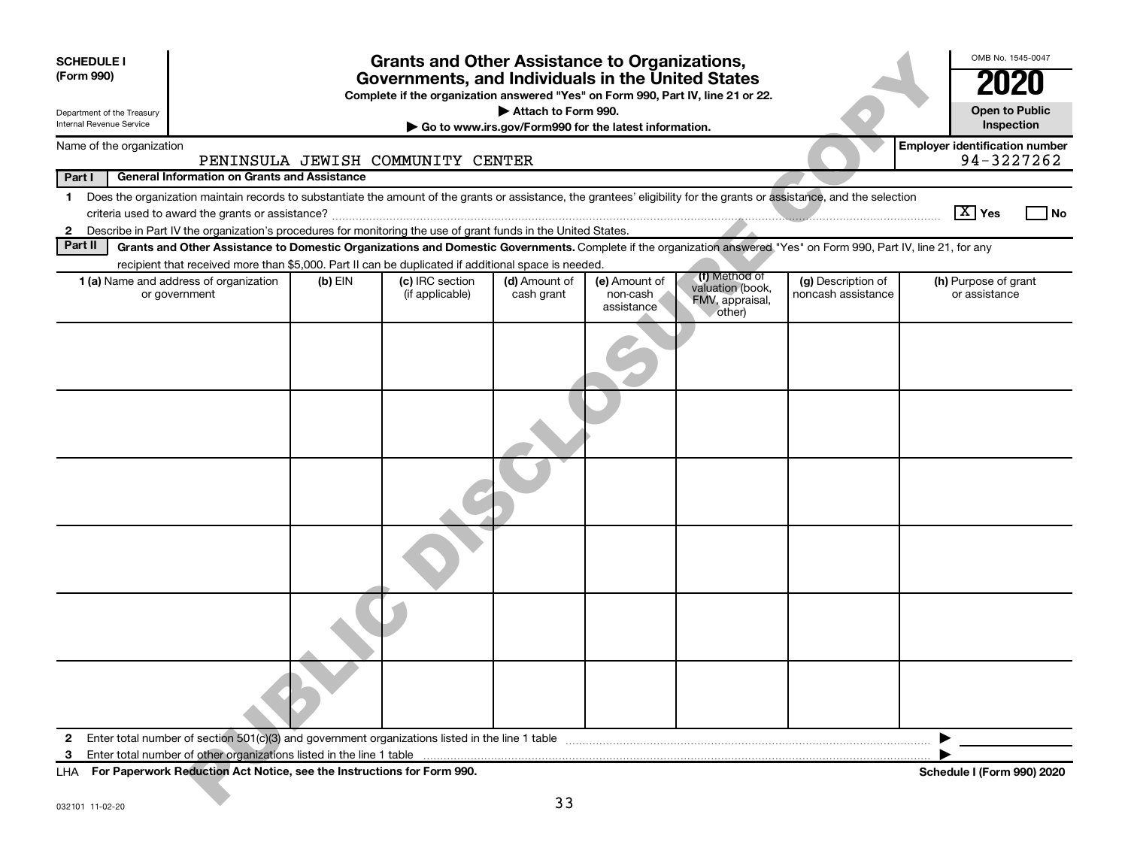| <b>SCHEDULE I</b><br>(Form 990) |                                                                                                                                                                                                                                                                                     |           | <b>Grants and Other Assistance to Organizations,</b><br>Governments, and Individuals in the United States |                                                       |                                         |                                                                |                                          | OMB No. 1545-0047                                   |
|---------------------------------|-------------------------------------------------------------------------------------------------------------------------------------------------------------------------------------------------------------------------------------------------------------------------------------|-----------|-----------------------------------------------------------------------------------------------------------|-------------------------------------------------------|-----------------------------------------|----------------------------------------------------------------|------------------------------------------|-----------------------------------------------------|
|                                 |                                                                                                                                                                                                                                                                                     |           | Complete if the organization answered "Yes" on Form 990, Part IV, line 21 or 22.                          |                                                       |                                         |                                                                |                                          |                                                     |
| Department of the Treasury      |                                                                                                                                                                                                                                                                                     |           |                                                                                                           | Attach to Form 990.                                   |                                         |                                                                |                                          | <b>Open to Public</b>                               |
| Internal Revenue Service        |                                                                                                                                                                                                                                                                                     |           |                                                                                                           | Go to www.irs.gov/Form990 for the latest information. |                                         |                                                                |                                          | Inspection                                          |
| Name of the organization        |                                                                                                                                                                                                                                                                                     |           | PENINSULA JEWISH COMMUNITY CENTER                                                                         |                                                       |                                         |                                                                |                                          | <b>Employer identification number</b><br>94-3227262 |
| Part I                          | <b>General Information on Grants and Assistance</b>                                                                                                                                                                                                                                 |           |                                                                                                           |                                                       |                                         |                                                                |                                          |                                                     |
| $\mathbf 1$                     | Does the organization maintain records to substantiate the amount of the grants or assistance, the grantees' eligibility for the grants or assistance, and the selection                                                                                                            |           |                                                                                                           |                                                       |                                         |                                                                |                                          |                                                     |
|                                 |                                                                                                                                                                                                                                                                                     |           |                                                                                                           |                                                       |                                         |                                                                |                                          | $\boxed{\text{X}}$ Yes<br>  No                      |
| 2<br>Part II                    | Describe in Part IV the organization's procedures for monitoring the use of grant funds in the United States.<br>Grants and Other Assistance to Domestic Organizations and Domestic Governments. Complete if the organization answered "Yes" on Form 990, Part IV, line 21, for any |           |                                                                                                           |                                                       |                                         |                                                                |                                          |                                                     |
|                                 | recipient that received more than \$5,000. Part II can be duplicated if additional space is needed.                                                                                                                                                                                 |           |                                                                                                           |                                                       |                                         |                                                                |                                          |                                                     |
|                                 | 1 (a) Name and address of organization<br>or government                                                                                                                                                                                                                             | $(b)$ EIN | (c) IRC section<br>(if applicable)                                                                        | (d) Amount of<br>cash grant                           | (e) Amount of<br>non-cash<br>assistance | (f) Method of<br>valuation (book,<br>FMV, appraisal,<br>other) | (g) Description of<br>noncash assistance | (h) Purpose of grant<br>or assistance               |
|                                 |                                                                                                                                                                                                                                                                                     |           |                                                                                                           |                                                       |                                         |                                                                |                                          |                                                     |
|                                 |                                                                                                                                                                                                                                                                                     |           |                                                                                                           |                                                       |                                         |                                                                |                                          |                                                     |
|                                 |                                                                                                                                                                                                                                                                                     |           |                                                                                                           |                                                       |                                         |                                                                |                                          |                                                     |
|                                 |                                                                                                                                                                                                                                                                                     |           |                                                                                                           |                                                       |                                         |                                                                |                                          |                                                     |
|                                 |                                                                                                                                                                                                                                                                                     |           |                                                                                                           |                                                       |                                         |                                                                |                                          |                                                     |
|                                 |                                                                                                                                                                                                                                                                                     |           |                                                                                                           |                                                       |                                         |                                                                |                                          |                                                     |
| $\mathbf{2}$                    | Enter total number of section 501(c)(3) and government organizations listed in the line 1 table                                                                                                                                                                                     |           |                                                                                                           |                                                       |                                         |                                                                |                                          |                                                     |
| 3                               | Enter total number of other organizations listed in the line 1 table                                                                                                                                                                                                                |           |                                                                                                           |                                                       |                                         |                                                                |                                          |                                                     |
| LHA                             | For Paperwork Reduction Act Notice, see the Instructions for Form 990.                                                                                                                                                                                                              |           |                                                                                                           | 33                                                    |                                         |                                                                |                                          | Schedule I (Form 990) 2020                          |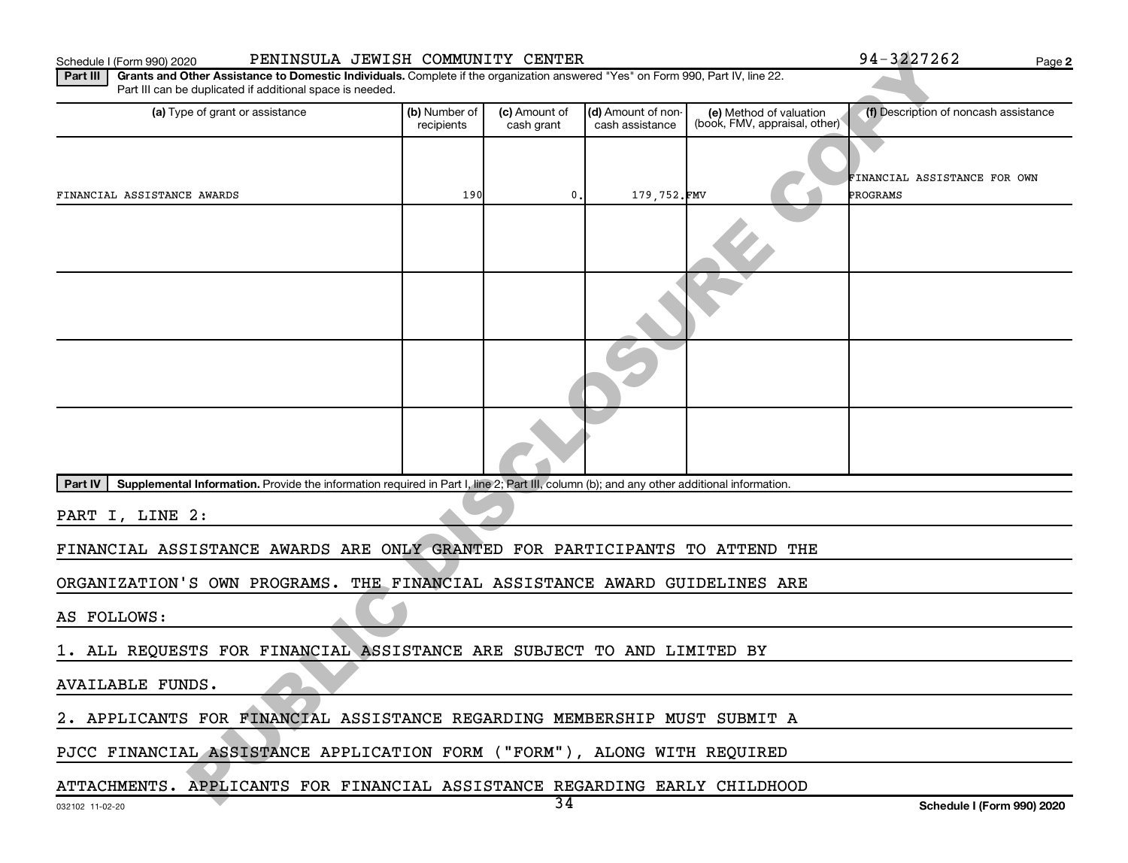#### Schedule I (Form 990) 2020 PENINSULA JEWISH COMMUNITY CENTER 94-3227262 Page

**2**

| PENINSULA JEWISH COMMUNITY CENTER<br>Schedule I (Form 990) 2020                                                                                                                                          |                             |                             |                                       |                                                          | 94-3227262                               | Page 2 |
|----------------------------------------------------------------------------------------------------------------------------------------------------------------------------------------------------------|-----------------------------|-----------------------------|---------------------------------------|----------------------------------------------------------|------------------------------------------|--------|
| Part III<br>Grants and Other Assistance to Domestic Individuals. Complete if the organization answered "Yes" on Form 990, Part IV, line 22.<br>Part III can be duplicated if additional space is needed. |                             |                             |                                       |                                                          |                                          |        |
| (a) Type of grant or assistance                                                                                                                                                                          | (b) Number of<br>recipients | (c) Amount of<br>cash grant | (d) Amount of non-<br>cash assistance | (e) Method of valuation<br>(book, FMV, appraisal, other) | (f) Description of noncash assistance    |        |
|                                                                                                                                                                                                          |                             |                             |                                       |                                                          |                                          |        |
| FINANCIAL ASSISTANCE AWARDS                                                                                                                                                                              | 190                         | 0,                          | 179,752.FMV                           |                                                          | FINANCIAL ASSISTANCE FOR OWN<br>PROGRAMS |        |
|                                                                                                                                                                                                          |                             |                             |                                       |                                                          |                                          |        |
|                                                                                                                                                                                                          |                             |                             |                                       |                                                          |                                          |        |
|                                                                                                                                                                                                          |                             |                             |                                       |                                                          |                                          |        |
|                                                                                                                                                                                                          |                             |                             |                                       |                                                          |                                          |        |
| Supplemental Information. Provide the information required in Part I, line 2; Part III, column (b); and any other additional information.<br><b>Part IV</b>                                              |                             |                             |                                       |                                                          |                                          |        |
| PART I, LINE 2:                                                                                                                                                                                          |                             |                             |                                       |                                                          |                                          |        |
| FINANCIAL ASSISTANCE AWARDS ARE ONLY GRANTED FOR PARTICIPANTS TO ATTEND THE                                                                                                                              |                             |                             |                                       |                                                          |                                          |        |
| ORGANIZATION'S OWN PROGRAMS. THE FINANCIAL ASSISTANCE AWARD GUIDELINES ARE                                                                                                                               |                             |                             |                                       |                                                          |                                          |        |
| AS FOLLOWS:                                                                                                                                                                                              |                             |                             |                                       |                                                          |                                          |        |
| 1. ALL REQUESTS FOR FINANCIAL ASSISTANCE ARE SUBJECT TO AND LIMITED BY                                                                                                                                   |                             |                             |                                       |                                                          |                                          |        |
| <b>AVAILABLE FUNDS.</b>                                                                                                                                                                                  |                             |                             |                                       |                                                          |                                          |        |
| 2. APPLICANTS FOR FINANCIAL ASSISTANCE REGARDING MEMBERSHIP MUST SUBMIT A                                                                                                                                |                             |                             |                                       |                                                          |                                          |        |
| PJCC FINANCIAL ASSISTANCE APPLICATION FORM ("FORM"), ALONG WITH REQUIRED                                                                                                                                 |                             |                             |                                       |                                                          |                                          |        |
| ATTACHMENTS. APPLICANTS FOR FINANCIAL ASSISTANCE REGARDING EARLY CHILDHOOD                                                                                                                               |                             |                             |                                       |                                                          |                                          |        |
|                                                                                                                                                                                                          |                             | $\overline{34}$             |                                       |                                                          | Schodule L (Form 000) 2020               |        |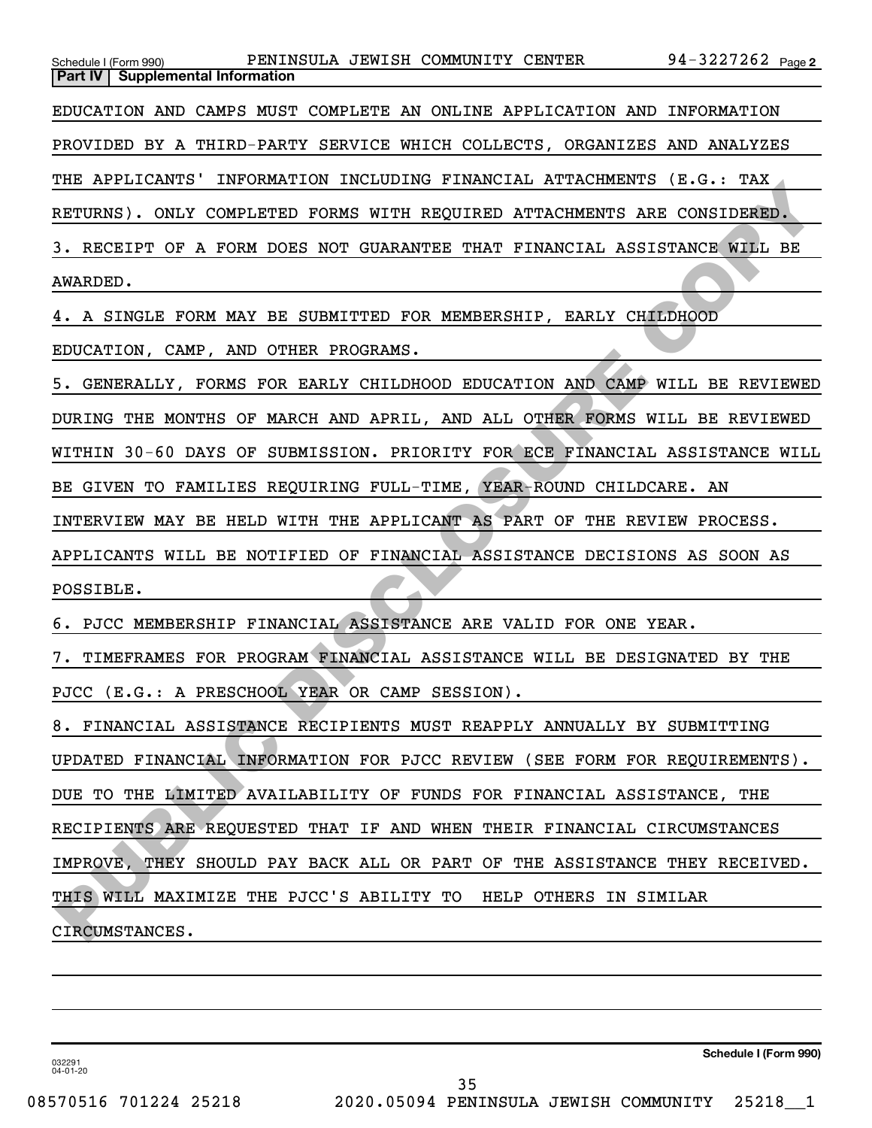| Schedule I (Form 990) PENINSULA JEWISH COMMUNITY CENTER 94-3227262 Page 2<br>Part IV   Supplemental Information |
|-----------------------------------------------------------------------------------------------------------------|
| EDUCATION AND CAMPS MUST COMPLETE AN ONLINE APPLICATION AND INFORMATION                                         |
| PROVIDED BY A THIRD-PARTY SERVICE WHICH COLLECTS, ORGANIZES AND ANALYZES                                        |
| THE APPLICANTS' INFORMATION INCLUDING FINANCIAL ATTACHMENTS (E.G.: TAX                                          |
| RETURNS). ONLY COMPLETED FORMS WITH REQUIRED ATTACHMENTS ARE CONSIDERED.                                        |
| 3. RECEIPT OF A FORM DOES NOT GUARANTEE THAT FINANCIAL ASSISTANCE WILL BE                                       |
| AWARDED.                                                                                                        |
| 4. A SINGLE FORM MAY BE SUBMITTED FOR MEMBERSHIP, EARLY CHILDHOOD                                               |
| EDUCATION, CAMP, AND OTHER PROGRAMS.                                                                            |
| 5. GENERALLY, FORMS FOR EARLY CHILDHOOD EDUCATION AND CAMP WILL BE REVIEWED                                     |
| DURING THE MONTHS OF MARCH AND APRIL, AND ALL OTHER FORMS WILL BE REVIEWED                                      |
| WITHIN 30-60 DAYS OF SUBMISSION. PRIORITY FOR ECE FINANCIAL ASSISTANCE WILL                                     |
| BE GIVEN TO FAMILIES REQUIRING FULL-TIME, YEAR-ROUND CHILDCARE. AN                                              |
| INTERVIEW MAY BE HELD WITH THE APPLICANT AS PART OF THE REVIEW PROCESS.                                         |
| APPLICANTS WILL BE NOTIFIED OF FINANCIAL ASSISTANCE DECISIONS AS SOON AS                                        |
| POSSIBLE.                                                                                                       |
| 6. PJCC MEMBERSHIP FINANCIAL ASSISTANCE ARE VALID FOR ONE YEAR.                                                 |
| 7. TIMEFRAMES FOR PROGRAM FINANCIAL ASSISTANCE WILL BE DESIGNATED BY THE                                        |
| PJCC (E.G.: A PRESCHOOL YEAR OR CAMP SESSION).                                                                  |
| 8. FINANCIAL ASSISTANCE RECIPIENTS MUST REAPPLY ANNUALLY BY SUBMITTING                                          |
| UPDATED FINANCIAL INFORMATION FOR PJCC REVIEW (SEE FORM FOR REQUIREMENTS).                                      |
| DUE TO THE LIMITED AVAILABILITY OF FUNDS FOR FINANCIAL ASSISTANCE, THE                                          |
| RECIPIENTS ARE REQUESTED THAT IF AND WHEN THEIR FINANCIAL CIRCUMSTANCES                                         |
| IMPROVE, THEY SHOULD PAY BACK ALL OR PART OF THE ASSISTANCE THEY RECEIVED.                                      |
| THIS WILL MAXIMIZE THE PJCC'S ABILITY TO<br>HELP OTHERS IN SIMILAR                                              |
| CIRCUMSTANCES.                                                                                                  |
|                                                                                                                 |

**Schedule I (Form 990)**

032291 04-01-20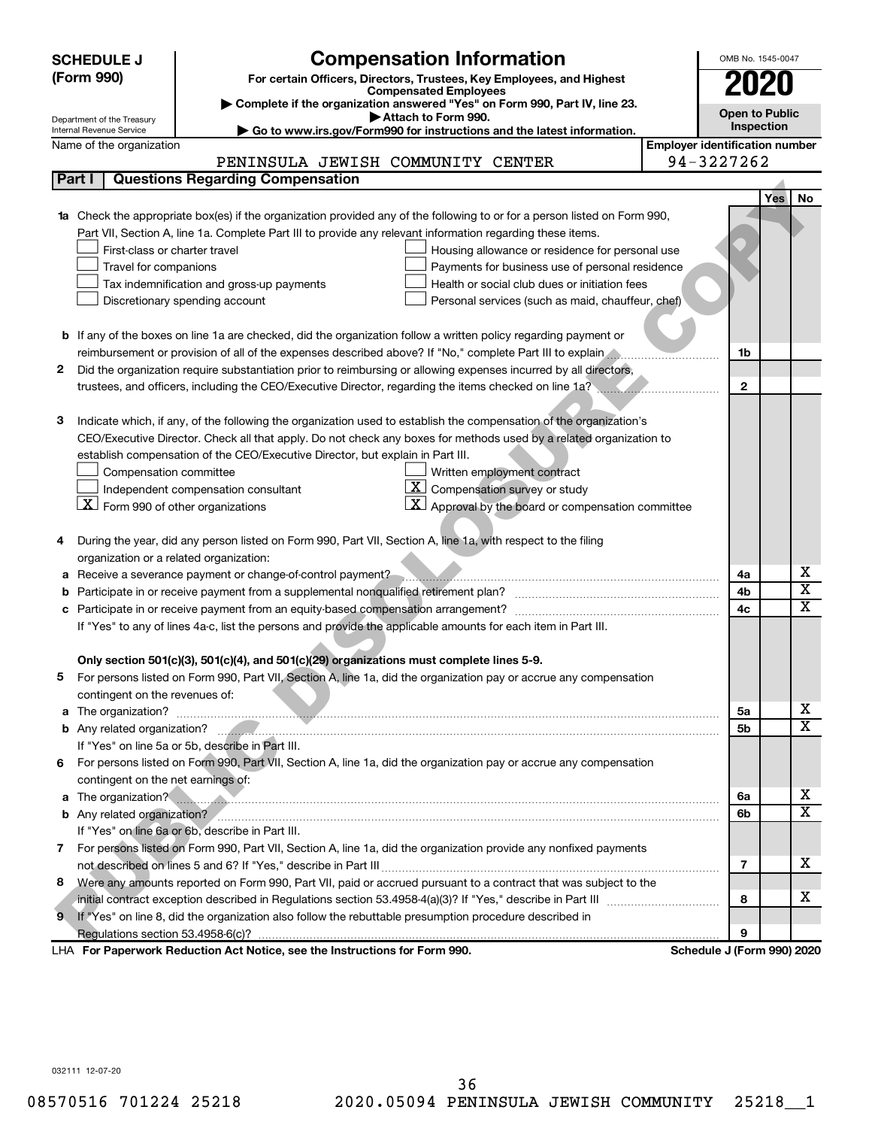|   | <b>Compensation Information</b><br>OMB No. 1545-0047<br><b>SCHEDULE J</b> |                                                                                                                                     |                                       |                       |     |                         |  |  |
|---|---------------------------------------------------------------------------|-------------------------------------------------------------------------------------------------------------------------------------|---------------------------------------|-----------------------|-----|-------------------------|--|--|
|   | (Form 990)                                                                | For certain Officers, Directors, Trustees, Key Employees, and Highest                                                               |                                       | <b>2020</b>           |     |                         |  |  |
|   |                                                                           | <b>Compensated Employees</b>                                                                                                        |                                       |                       |     |                         |  |  |
|   | Department of the Treasury                                                | Complete if the organization answered "Yes" on Form 990, Part IV, line 23.<br>Attach to Form 990.                                   |                                       | <b>Open to Public</b> |     |                         |  |  |
|   | Internal Revenue Service                                                  | Go to www.irs.gov/Form990 for instructions and the latest information.                                                              |                                       | Inspection            |     |                         |  |  |
|   | Name of the organization                                                  |                                                                                                                                     | <b>Employer identification number</b> |                       |     |                         |  |  |
|   |                                                                           | PENINSULA JEWISH COMMUNITY CENTER                                                                                                   | 94-3227262                            |                       |     |                         |  |  |
|   | Part I                                                                    | <b>Questions Regarding Compensation</b>                                                                                             |                                       |                       |     |                         |  |  |
|   |                                                                           |                                                                                                                                     |                                       |                       | Yes | No                      |  |  |
|   |                                                                           | 1a Check the appropriate box(es) if the organization provided any of the following to or for a person listed on Form 990,           |                                       |                       |     |                         |  |  |
|   |                                                                           | Part VII, Section A, line 1a. Complete Part III to provide any relevant information regarding these items.                          |                                       |                       |     |                         |  |  |
|   | First-class or charter travel                                             | Housing allowance or residence for personal use                                                                                     |                                       |                       |     |                         |  |  |
|   | Travel for companions                                                     | Payments for business use of personal residence                                                                                     |                                       |                       |     |                         |  |  |
|   |                                                                           | Health or social club dues or initiation fees<br>Tax indemnification and gross-up payments                                          |                                       |                       |     |                         |  |  |
|   |                                                                           | Discretionary spending account<br>Personal services (such as maid, chauffeur, chef)                                                 |                                       |                       |     |                         |  |  |
|   |                                                                           |                                                                                                                                     |                                       |                       |     |                         |  |  |
|   |                                                                           | <b>b</b> If any of the boxes on line 1a are checked, did the organization follow a written policy regarding payment or              |                                       |                       |     |                         |  |  |
|   |                                                                           | reimbursement or provision of all of the expenses described above? If "No," complete Part III to explain                            |                                       | 1b                    |     |                         |  |  |
| 2 |                                                                           | Did the organization require substantiation prior to reimbursing or allowing expenses incurred by all directors,                    |                                       |                       |     |                         |  |  |
|   |                                                                           | trustees, and officers, including the CEO/Executive Director, regarding the items checked on line 1a?                               |                                       | $\mathbf{2}$          |     |                         |  |  |
|   |                                                                           |                                                                                                                                     |                                       |                       |     |                         |  |  |
| З |                                                                           | Indicate which, if any, of the following the organization used to establish the compensation of the organization's                  |                                       |                       |     |                         |  |  |
|   |                                                                           | CEO/Executive Director. Check all that apply. Do not check any boxes for methods used by a related organization to                  |                                       |                       |     |                         |  |  |
|   |                                                                           | establish compensation of the CEO/Executive Director, but explain in Part III.                                                      |                                       |                       |     |                         |  |  |
|   | Compensation committee                                                    | Written employment contract<br>$\mathbf{X}$                                                                                         |                                       |                       |     |                         |  |  |
|   | $\lfloor x \rfloor$ Form 990 of other organizations                       | Compensation survey or study<br>Independent compensation consultant<br>$\mathbf{X}$ Approval by the board or compensation committee |                                       |                       |     |                         |  |  |
|   |                                                                           |                                                                                                                                     |                                       |                       |     |                         |  |  |
|   |                                                                           |                                                                                                                                     |                                       |                       |     |                         |  |  |
| 4 | organization or a related organization:                                   | During the year, did any person listed on Form 990, Part VII, Section A, line 1a, with respect to the filing                        |                                       |                       |     |                         |  |  |
| а |                                                                           | Receive a severance payment or change-of-control payment?                                                                           |                                       | 4a                    |     | x                       |  |  |
| b |                                                                           |                                                                                                                                     |                                       | 4b                    |     | $\overline{\textbf{x}}$ |  |  |
| c |                                                                           |                                                                                                                                     |                                       | 4c                    |     | X                       |  |  |
|   |                                                                           | If "Yes" to any of lines 4a-c, list the persons and provide the applicable amounts for each item in Part III.                       |                                       |                       |     |                         |  |  |
|   |                                                                           |                                                                                                                                     |                                       |                       |     |                         |  |  |
|   |                                                                           | Only section 501(c)(3), 501(c)(4), and 501(c)(29) organizations must complete lines 5-9.                                            |                                       |                       |     |                         |  |  |
|   |                                                                           | For persons listed on Form 990, Part VII, Section A, line 1a, did the organization pay or accrue any compensation                   |                                       |                       |     |                         |  |  |
|   | contingent on the revenues of:                                            |                                                                                                                                     |                                       |                       |     |                         |  |  |
|   |                                                                           |                                                                                                                                     |                                       | 5a                    |     | x                       |  |  |
|   |                                                                           |                                                                                                                                     |                                       | 5b                    |     | х                       |  |  |
|   |                                                                           | If "Yes" on line 5a or 5b, describe in Part III.                                                                                    |                                       |                       |     |                         |  |  |
|   |                                                                           | 6 For persons listed on Form 990, Part VII, Section A, line 1a, did the organization pay or accrue any compensation                 |                                       |                       |     |                         |  |  |
|   | contingent on the net earnings of:                                        |                                                                                                                                     |                                       |                       |     |                         |  |  |
|   |                                                                           | a The organization?                                                                                                                 |                                       | 6a                    |     | x                       |  |  |
|   |                                                                           |                                                                                                                                     |                                       | 6b                    |     | $\overline{\textbf{X}}$ |  |  |
|   |                                                                           | If "Yes" on line 6a or 6b, describe in Part III.                                                                                    |                                       |                       |     |                         |  |  |
|   |                                                                           | 7 For persons listed on Form 990, Part VII, Section A, line 1a, did the organization provide any nonfixed payments                  |                                       |                       |     |                         |  |  |
|   |                                                                           |                                                                                                                                     |                                       | 7                     |     | x                       |  |  |
| 8 |                                                                           | Were any amounts reported on Form 990, Part VII, paid or accrued pursuant to a contract that was subject to the                     |                                       |                       |     |                         |  |  |
|   |                                                                           |                                                                                                                                     |                                       | 8                     |     | х                       |  |  |
|   |                                                                           | 9 If "Yes" on line 8, did the organization also follow the rebuttable presumption procedure described in                            |                                       |                       |     |                         |  |  |
|   |                                                                           |                                                                                                                                     |                                       | 9                     |     |                         |  |  |
|   |                                                                           | LHA For Paperwork Reduction Act Notice, see the Instructions for Form 990.                                                          | Schedule J (Form 990) 2020            |                       |     |                         |  |  |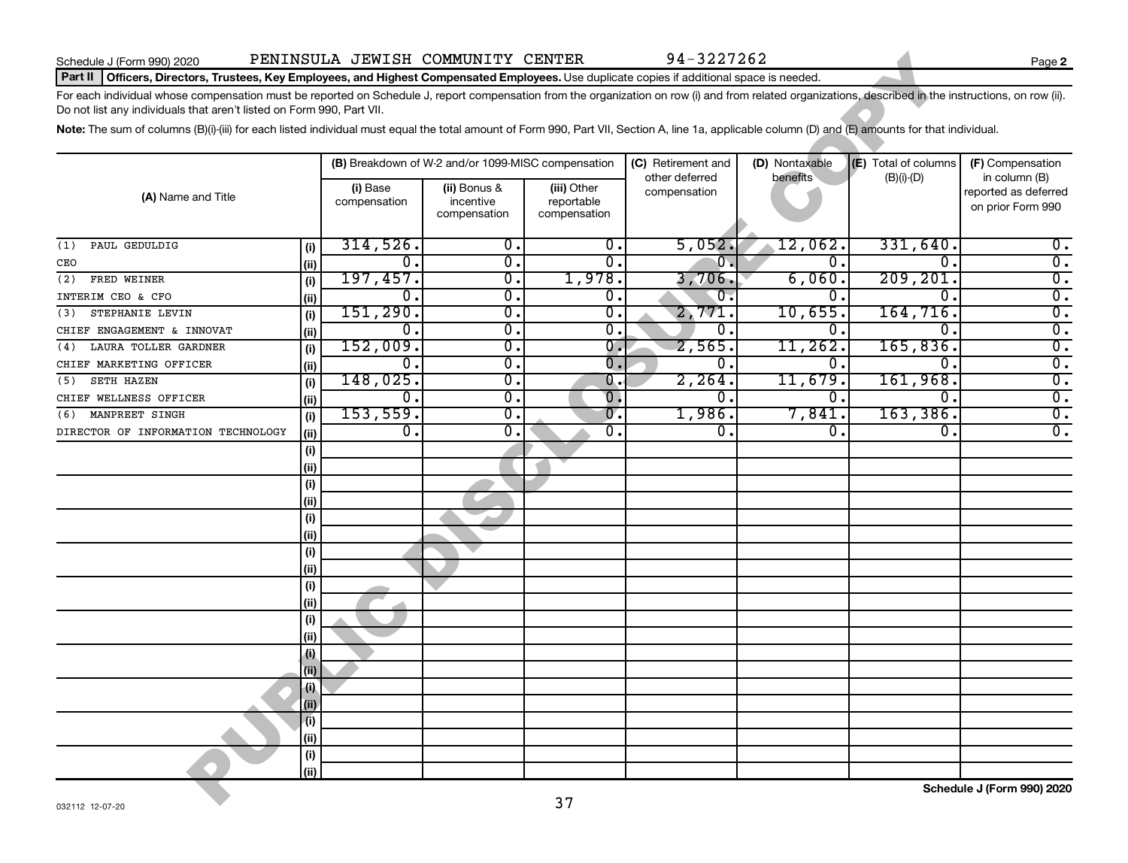#### Part II | Officers, Directors, Trustees, Key Employees, and Highest Compensated Employees. Use duplicate copies if additional space is needed.

| Schedule J (Form 990) 2020                                                                                                                                                                              |                    | PENINSULA JEWISH COMMUNITY CENTER |                                                    |                           | 94-3227262                     |                |                      | Page 2                                |
|---------------------------------------------------------------------------------------------------------------------------------------------------------------------------------------------------------|--------------------|-----------------------------------|----------------------------------------------------|---------------------------|--------------------------------|----------------|----------------------|---------------------------------------|
| Part II   Officers, Directors, Trustees, Key Employees, and Highest Compensated Employees. Use duplicate copies if additional space is needed.                                                          |                    |                                   |                                                    |                           |                                |                |                      |                                       |
| For each individual whose compensation must be reported on Schedule J, report compensation from the organization on row (i) and from related organizations, described in the instructions, on row (ii). |                    |                                   |                                                    |                           |                                |                |                      |                                       |
| Do not list any individuals that aren't listed on Form 990, Part VII.                                                                                                                                   |                    |                                   |                                                    |                           |                                |                |                      |                                       |
| Note: The sum of columns (B)(i)-(iii) for each listed individual must equal the total amount of Form 990, Part VII, Section A, line 1a, applicable column (D) and (E) amounts for that individual.      |                    |                                   |                                                    |                           |                                |                |                      |                                       |
|                                                                                                                                                                                                         |                    |                                   | (B) Breakdown of W-2 and/or 1099-MISC compensation |                           | (C) Retirement and             | (D) Nontaxable | (E) Total of columns | (F) Compensation                      |
|                                                                                                                                                                                                         |                    | (i) Base                          | (ii) Bonus &                                       | (iii) Other               | other deferred<br>compensation | benefits       | $(B)(i)$ - $(D)$     | in column (B)<br>reported as deferred |
| (A) Name and Title                                                                                                                                                                                      |                    | compensation                      | incentive                                          | reportable                |                                |                |                      | on prior Form 990                     |
|                                                                                                                                                                                                         |                    |                                   | compensation                                       | compensation              |                                |                |                      |                                       |
| PAUL GEDULDIG<br>(1)                                                                                                                                                                                    | (i)                | 314,526.                          | 0.                                                 | 0.                        | 5,052.                         | 12,062.        | 331,640.             | $0$ .                                 |
| CEO                                                                                                                                                                                                     | (ii)               | 0.                                | $\overline{0}$ .                                   | 0.                        | $0$ .                          | 0.             | $\overline{0}$ .     | $\overline{0}$ .                      |
| FRED WEINER<br>(2)                                                                                                                                                                                      | (i)                | 197,457.                          | $\overline{0}$ .                                   | 1,978.                    | 3,706.                         | 6,060.         | 209, 201             | $\overline{0}$ .                      |
| INTERIM CEO & CFO                                                                                                                                                                                       | (ii)               | 0.                                | $\overline{0}$ .                                   | 0.                        | $\overline{\mathbf{0}}$ .      | $\Omega$ .     | $\overline{0}$ .     | $\overline{0}$ .                      |
| STEPHANIE LEVIN<br>(3)                                                                                                                                                                                  | (i)                | 151, 290.                         | $\overline{0}$ .                                   | $\overline{\mathbf{0}}$ . | 2,771.                         | 10,655.        | 164, 716.            | $\overline{0}$ .                      |
| CHIEF ENGAGEMENT & INNOVAT                                                                                                                                                                              | (ii)               | 0.                                | $\overline{0}$ .                                   | 0.                        | 0.                             | 0.             | 0.                   | $\overline{0}$ .                      |
| LAURA TOLLER GARDNER<br>(4)                                                                                                                                                                             | (i)                | 152,009.                          | $\overline{0}$ .                                   | $\overline{0}$ .          | 2,565.                         | 11,262.        | 165,836.             | $\overline{0}$ .                      |
| CHIEF MARKETING OFFICER                                                                                                                                                                                 | (ii)               | 0.                                | $\overline{0}$ .                                   | 0.                        | 0.                             | 0.             | 0.                   | $\overline{0}$ .                      |
| <b>SETH HAZEN</b><br>(5)                                                                                                                                                                                | (i)                | 148,025.                          | $\overline{0}$ .                                   | 0.                        | 2, 264.                        | 11,679.        | 161,968.             | $\overline{0}$ .                      |
| CHIEF WELLNESS OFFICER                                                                                                                                                                                  | (ii)               | 0.                                | $\overline{0}$ .                                   | $\overline{0}$ .          | 0.                             | $\Omega$ .     | 0.                   | $\overline{0}$ .                      |
| MANPREET SINGH<br>(6)                                                                                                                                                                                   | (i)                | 153,559.                          | 0.                                                 | $\overline{0}$ .          | 1,986.                         | 7,841          | 163, 386.            | $\overline{0}$ .                      |
| DIRECTOR OF INFORMATION TECHNOLOGY                                                                                                                                                                      | (ii)               | 0.                                | 0.                                                 | 0.                        | 0.                             | $\Omega$       | 0.                   | $\overline{0}$ .                      |
|                                                                                                                                                                                                         | (i)                |                                   |                                                    |                           |                                |                |                      |                                       |
|                                                                                                                                                                                                         | (i)                |                                   |                                                    |                           |                                |                |                      |                                       |
|                                                                                                                                                                                                         | (i)                |                                   |                                                    |                           |                                |                |                      |                                       |
|                                                                                                                                                                                                         | (i)                |                                   |                                                    |                           |                                |                |                      |                                       |
|                                                                                                                                                                                                         | (i)                |                                   |                                                    |                           |                                |                |                      |                                       |
|                                                                                                                                                                                                         | (i)                |                                   |                                                    |                           |                                |                |                      |                                       |
|                                                                                                                                                                                                         | (i)                |                                   |                                                    |                           |                                |                |                      |                                       |
|                                                                                                                                                                                                         | (i)                |                                   |                                                    |                           |                                |                |                      |                                       |
|                                                                                                                                                                                                         | (i)<br>(ii)        |                                   |                                                    |                           |                                |                |                      |                                       |
|                                                                                                                                                                                                         | (i)                |                                   |                                                    |                           |                                |                |                      |                                       |
|                                                                                                                                                                                                         | (i)                |                                   |                                                    |                           |                                |                |                      |                                       |
|                                                                                                                                                                                                         | $\left( i \right)$ |                                   |                                                    |                           |                                |                |                      |                                       |
|                                                                                                                                                                                                         | (ii)               |                                   |                                                    |                           |                                |                |                      |                                       |
|                                                                                                                                                                                                         | $\left  \right $   |                                   |                                                    |                           |                                |                |                      |                                       |
|                                                                                                                                                                                                         | (ii)               |                                   |                                                    |                           |                                |                |                      |                                       |
|                                                                                                                                                                                                         | (i)                |                                   |                                                    |                           |                                |                |                      |                                       |
|                                                                                                                                                                                                         | (ii)               |                                   |                                                    |                           |                                |                |                      |                                       |
|                                                                                                                                                                                                         | (i)                |                                   |                                                    |                           |                                |                |                      |                                       |
|                                                                                                                                                                                                         | (ii)               |                                   |                                                    |                           |                                |                |                      |                                       |
|                                                                                                                                                                                                         |                    |                                   |                                                    | 37                        |                                |                |                      | Schedule J (Form 990) 2020            |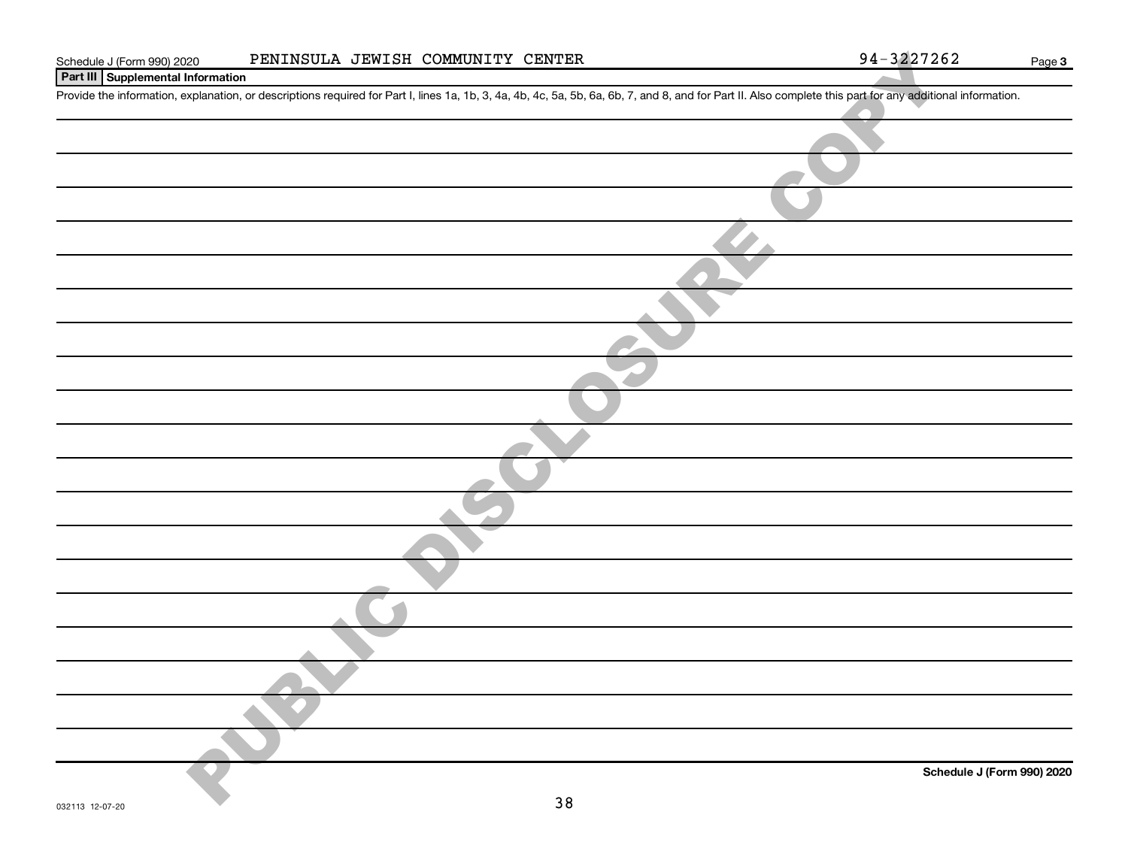| Schedule J (Form 990) 2020        | PENINSULA JEWISH COMMUNITY CENTER                                                                                                                                                                          | 94-3227262 | Page 3                     |
|-----------------------------------|------------------------------------------------------------------------------------------------------------------------------------------------------------------------------------------------------------|------------|----------------------------|
| Part III Supplemental Information |                                                                                                                                                                                                            |            |                            |
|                                   | Provide the information, explanation, or descriptions required for Part I, lines 1a, 1b, 3, 4a, 4b, 4c, 5a, 5b, 6a, 6b, 7, and 8, and for Part II. Also complete this part for any additional information. |            |                            |
|                                   |                                                                                                                                                                                                            |            |                            |
|                                   |                                                                                                                                                                                                            |            |                            |
|                                   |                                                                                                                                                                                                            |            |                            |
|                                   |                                                                                                                                                                                                            |            |                            |
|                                   |                                                                                                                                                                                                            |            |                            |
|                                   |                                                                                                                                                                                                            |            |                            |
|                                   |                                                                                                                                                                                                            |            |                            |
|                                   |                                                                                                                                                                                                            |            |                            |
|                                   |                                                                                                                                                                                                            |            |                            |
|                                   |                                                                                                                                                                                                            |            |                            |
|                                   |                                                                                                                                                                                                            |            |                            |
|                                   |                                                                                                                                                                                                            |            |                            |
|                                   |                                                                                                                                                                                                            |            |                            |
|                                   |                                                                                                                                                                                                            |            |                            |
|                                   |                                                                                                                                                                                                            |            |                            |
|                                   |                                                                                                                                                                                                            |            |                            |
|                                   |                                                                                                                                                                                                            |            |                            |
|                                   |                                                                                                                                                                                                            |            |                            |
|                                   |                                                                                                                                                                                                            |            |                            |
|                                   |                                                                                                                                                                                                            |            |                            |
|                                   |                                                                                                                                                                                                            |            |                            |
|                                   |                                                                                                                                                                                                            |            | Schedule J (Form 990) 2020 |
| 020112 10.07.20                   | 38                                                                                                                                                                                                         |            |                            |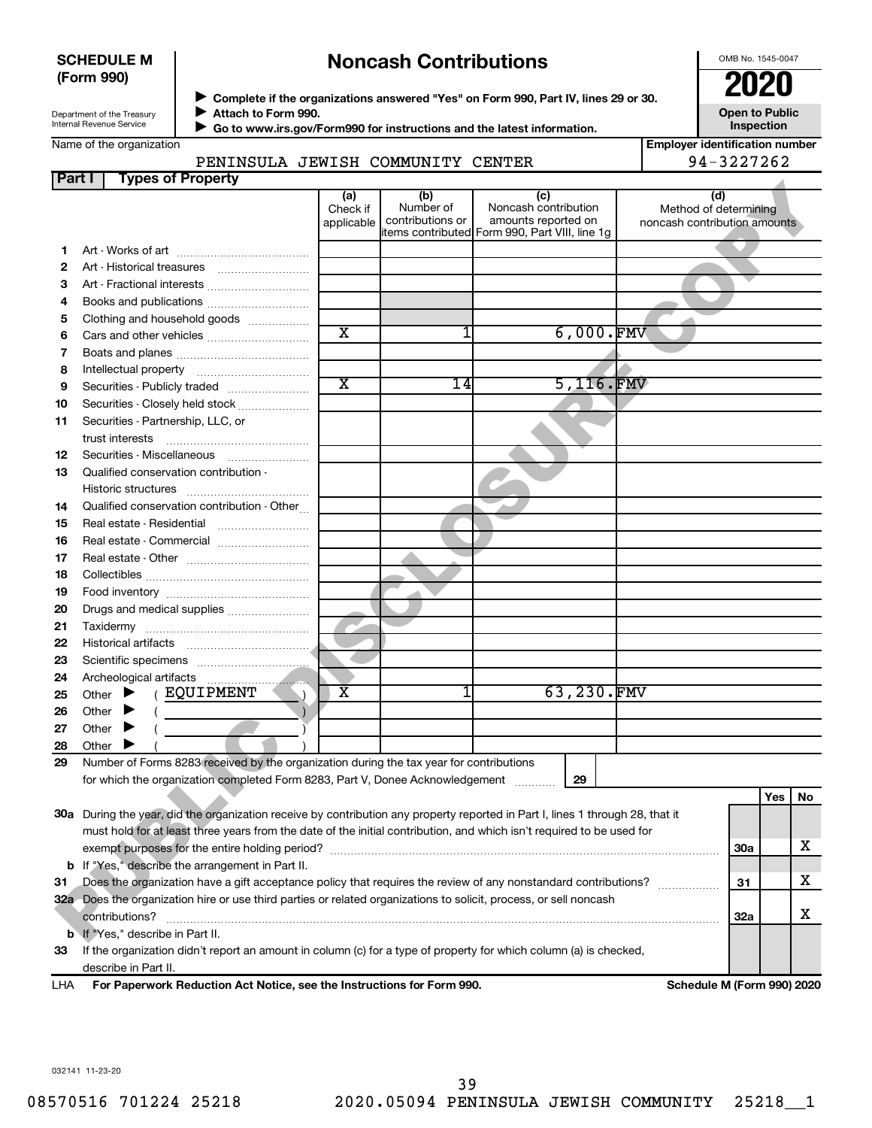#### **SCHEDULE M (Form 990)**

# **Noncash Contributions**

OMB No. 1545-0047

Department of the Treasury Internal Revenue Service

◆ Complete if the organizations answered "Yes" on Form 990, Part IV, lines 29 or 30.<br>● Complete if the organizations answered "Yes" on Form 990, Part IV, lines 29 or 30. **Attach to Form 990.** J

 $\blacktriangleright$ 

 **Go to www.irs.gov/Form990 for instructions and the latest information.**

**Inspection Employer identification number**

**Open to Public**

| Name of the organization |  |
|--------------------------|--|
|--------------------------|--|

#### PENINSULA JEWISH COMMUNITY CENTER 94-3227262

| Part I | <b>Types of Property</b>                                                                                                       |                       |                  |                                                                       |                              |            |     |    |
|--------|--------------------------------------------------------------------------------------------------------------------------------|-----------------------|------------------|-----------------------------------------------------------------------|------------------------------|------------|-----|----|
|        |                                                                                                                                | (a)<br>Check if       | (b)<br>Number of | (c)<br>Noncash contribution                                           | (d)<br>Method of determining |            |     |    |
|        |                                                                                                                                | applicable            | contributions or | amounts reported on<br>items contributed Form 990, Part VIII, line 1g | noncash contribution amounts |            |     |    |
| 1.     |                                                                                                                                |                       |                  |                                                                       |                              |            |     |    |
| 2      |                                                                                                                                |                       |                  |                                                                       |                              |            |     |    |
| З      | Art - Fractional interests                                                                                                     |                       |                  |                                                                       |                              |            |     |    |
| 4      |                                                                                                                                |                       |                  |                                                                       |                              |            |     |    |
| 5      | Clothing and household goods                                                                                                   |                       |                  |                                                                       |                              |            |     |    |
| 6      | Cars and other vehicles                                                                                                        | $\overline{\text{x}}$ | 1                | $6,000$ . FMV                                                         |                              |            |     |    |
| 7      |                                                                                                                                |                       |                  |                                                                       |                              |            |     |    |
| 8      |                                                                                                                                |                       |                  |                                                                       |                              |            |     |    |
| 9      | Securities - Publicly traded                                                                                                   | $\overline{\text{x}}$ | 14               | 5,116.FMV                                                             |                              |            |     |    |
| 10     | Securities - Closely held stock                                                                                                |                       |                  |                                                                       |                              |            |     |    |
| 11     | Securities - Partnership, LLC, or                                                                                              |                       |                  |                                                                       |                              |            |     |    |
|        | trust interests                                                                                                                |                       |                  |                                                                       |                              |            |     |    |
| 12     | Securities - Miscellaneous                                                                                                     |                       |                  |                                                                       |                              |            |     |    |
| 13     | Qualified conservation contribution -                                                                                          |                       |                  |                                                                       |                              |            |     |    |
|        |                                                                                                                                |                       |                  |                                                                       |                              |            |     |    |
| 14     | Qualified conservation contribution - Other                                                                                    |                       |                  |                                                                       |                              |            |     |    |
| 15     | Real estate - Residential                                                                                                      |                       |                  |                                                                       |                              |            |     |    |
| 16     | Real estate - Commercial                                                                                                       |                       |                  |                                                                       |                              |            |     |    |
| 17     |                                                                                                                                |                       |                  |                                                                       |                              |            |     |    |
| 18     |                                                                                                                                |                       |                  |                                                                       |                              |            |     |    |
| 19     |                                                                                                                                |                       |                  |                                                                       |                              |            |     |    |
| 20     |                                                                                                                                |                       |                  |                                                                       |                              |            |     |    |
| 21     |                                                                                                                                |                       |                  |                                                                       |                              |            |     |    |
| 22     |                                                                                                                                |                       |                  |                                                                       |                              |            |     |    |
| 23     |                                                                                                                                |                       |                  |                                                                       |                              |            |     |    |
| 24     |                                                                                                                                |                       |                  |                                                                       |                              |            |     |    |
| 25     | ( EQUIPMENT<br>Other $\blacktriangleright$                                                                                     | х                     |                  | 63,230.FMV                                                            |                              |            |     |    |
| 26     | Other $\blacktriangleright$                                                                                                    |                       |                  |                                                                       |                              |            |     |    |
| 27     | Other                                                                                                                          |                       |                  |                                                                       |                              |            |     |    |
| 28     | Other                                                                                                                          |                       |                  |                                                                       |                              |            |     |    |
| 29     | Number of Forms 8283 received by the organization during the tax year for contributions                                        |                       |                  |                                                                       |                              |            |     |    |
|        | for which the organization completed Form 8283, Part V, Donee Acknowledgement                                                  |                       |                  | 29                                                                    |                              |            |     |    |
|        |                                                                                                                                |                       |                  |                                                                       |                              |            | Yes | No |
|        | 30a During the year, did the organization receive by contribution any property reported in Part I, lines 1 through 28, that it |                       |                  |                                                                       |                              |            |     |    |
|        | must hold for at least three years from the date of the initial contribution, and which isn't required to be used for          |                       |                  |                                                                       |                              |            |     |    |
|        |                                                                                                                                |                       |                  |                                                                       |                              | <b>30a</b> |     | x  |
|        | <b>b</b> If "Yes," describe the arrangement in Part II.                                                                        |                       |                  |                                                                       |                              |            |     |    |
| 31     | Does the organization have a gift acceptance policy that requires the review of any nonstandard contributions?                 |                       |                  |                                                                       |                              | 31         |     | x  |
|        | 32a Does the organization hire or use third parties or related organizations to solicit, process, or sell noncash              |                       |                  |                                                                       |                              |            |     |    |
|        | contributions?                                                                                                                 |                       |                  |                                                                       |                              | 32a        |     | х  |
|        | b If "Yes," describe in Part II.                                                                                               |                       |                  |                                                                       |                              |            |     |    |
|        | 23 If the organization didn't report an amount in column (c) for a type of property for which column (a) is checked            |                       |                  |                                                                       |                              |            |     |    |

**33** amount in column (c) for a type describe in Part II.

**For Paperwork Reduction Act Notice, see the Instructions for Form 990. Schedule M (Form 990) 2020** LHA

032141 11-23-20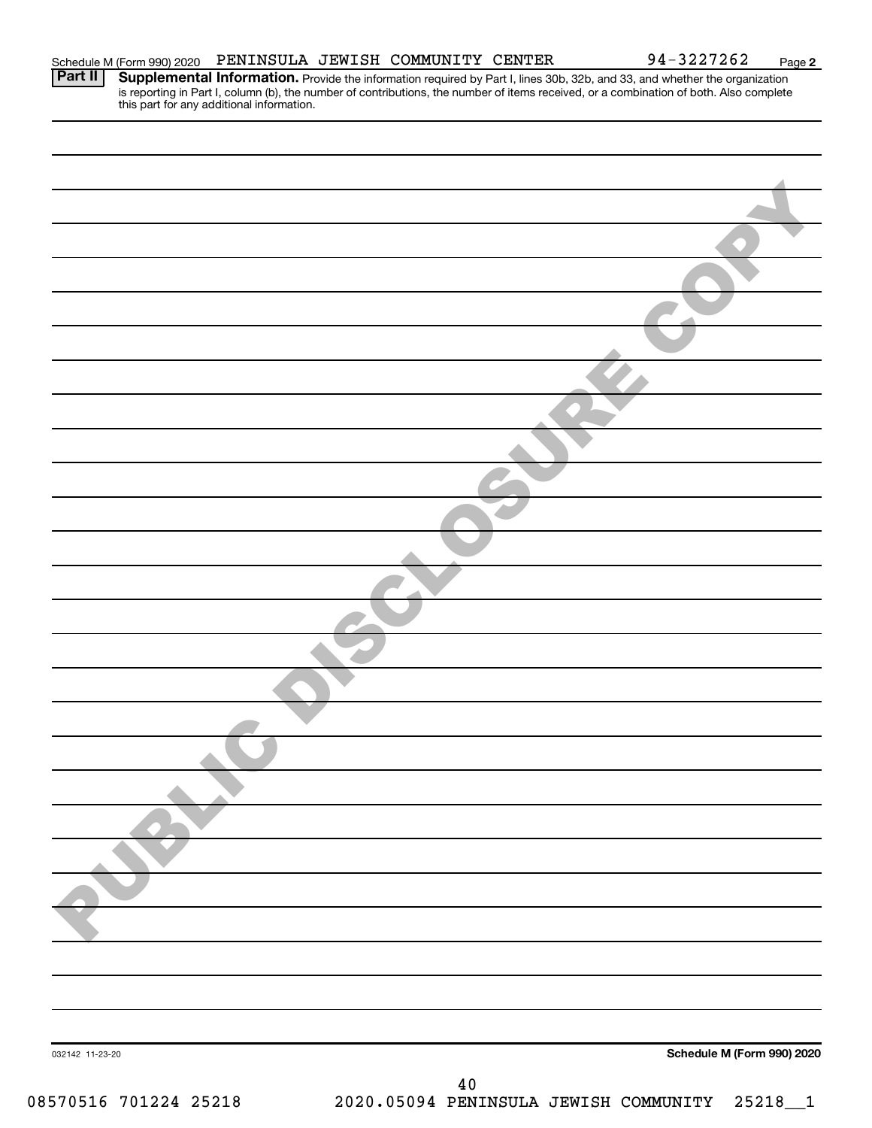| this part for any additional information. |                            |
|-------------------------------------------|----------------------------|
|                                           |                            |
|                                           |                            |
|                                           |                            |
|                                           |                            |
|                                           |                            |
|                                           |                            |
|                                           |                            |
|                                           |                            |
|                                           |                            |
|                                           |                            |
|                                           |                            |
|                                           |                            |
|                                           |                            |
|                                           |                            |
|                                           |                            |
|                                           |                            |
|                                           |                            |
|                                           |                            |
|                                           |                            |
|                                           |                            |
|                                           |                            |
|                                           |                            |
|                                           |                            |
|                                           |                            |
|                                           |                            |
|                                           |                            |
|                                           |                            |
|                                           |                            |
|                                           |                            |
|                                           |                            |
| 032142 11-23-20                           | Schedule M (Form 990) 2020 |
| $4\,0$                                    |                            |
|                                           |                            |

Schedule M (Form 990) 2020 PENINSULA JEWISH COMMUNITY CENTER  $94-3227262$  Page Part II | Supplemental Information. Provide the information required by Part I, lines 30b, 32b, and 33, and whether the organization

is reporting in Part I, column (b), the number of contributions, the number of items received, or a combination of both. Also complete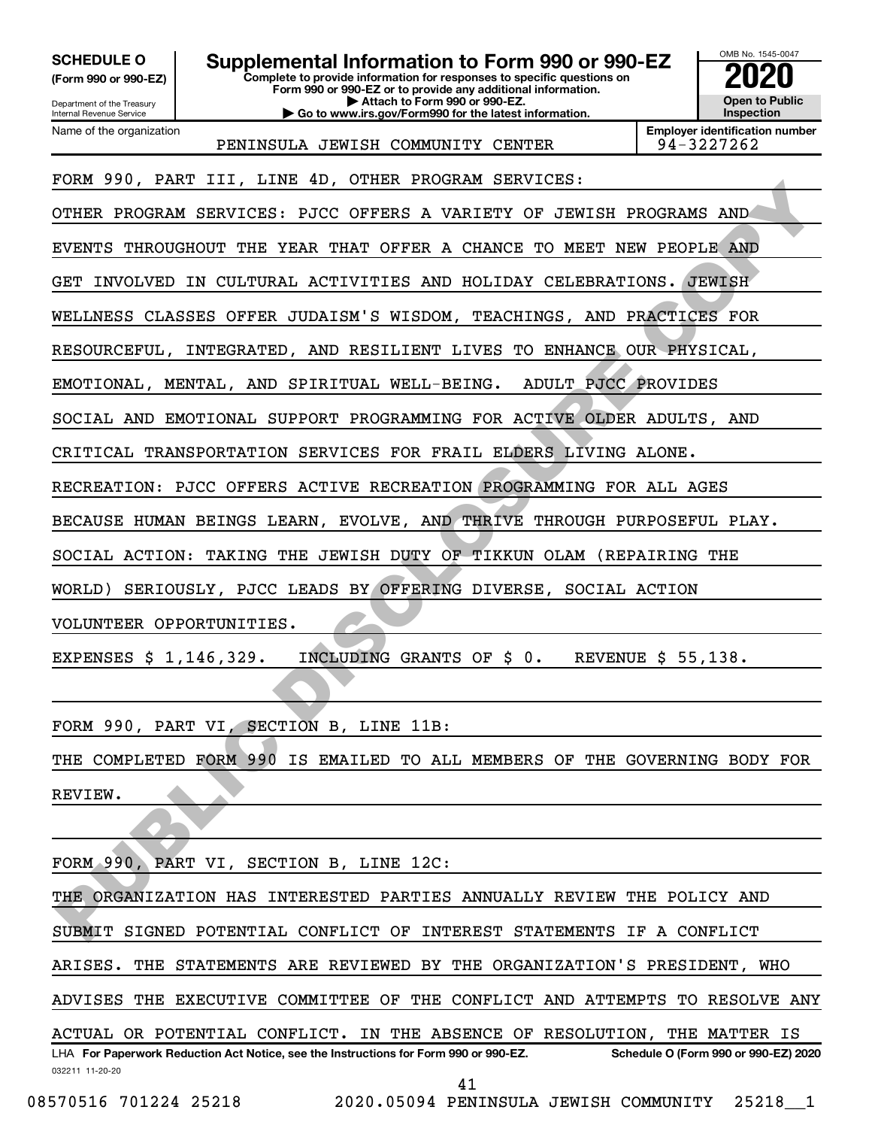OMB No. 1545-0047 Department of the Treasury Internal Revenue Service **Complete to provide information for responses to specific questions on Form 990 or 990-EZ or to provide any additional information. | Attach to Form 990 or 990-EZ. | Go to www.irs.gov/Form990 for the latest information. (Form 990 or 990-EZ) Open to Public Inspection Employer identification number** Name of the organization **SCHEDULE O Supplemental Information to Form 990 or 990-EZ 2020**<br>(Form 990 or 990-EZ) Complete to provide information for responses to specific questions on PENINSULA JEWISH COMMUNITY CENTER | 94-3227262 FORM 990, PART III, LINE 4D, OTHER PROGRAM SERVICES: OTHER PROGRAM SERVICES: PJCC OFFERS A VARIETY OF JEWISH PROGRAMS AND EVENTS THROUGHOUT THE YEAR THAT OFFER A CHANCE TO MEET NEW PEOPLE AND GET INVOLVED IN CULTURAL ACTIVITIES AND HOLIDAY CELEBRATIONS. JEWISH WELLNESS CLASSES OFFER JUDAISM'S WISDOM, TEACHINGS, AND PRACTICES FOR RESOURCEFUL, INTEGRATED, AND RESILIENT LIVES TO ENHANCE OUR PHYSICAL, EMOTIONAL, MENTAL, AND SPIRITUAL WELL-BEING. ADULT PJCC PROVIDES SOCIAL AND EMOTIONAL SUPPORT PROGRAMMING FOR ACTIVE OLDER ADULTS, AND CRITICAL TRANSPORTATION SERVICES FOR FRAIL ELDERS LIVING ALONE. RECREATION: PJCC OFFERS ACTIVE RECREATION PROGRAMMING FOR ALL AGES BECAUSE HUMAN BEINGS LEARN, EVOLVE, AND THRIVE THROUGH PURPOSEFUL PLAY. SOCIAL ACTION: TAKING THE JEWISH DUTY OF TIKKUN OLAM (REPAIRING THE WORLD) SERIOUSLY, PJCC LEADS BY OFFERING DIVERSE, SOCIAL ACTION VOLUNTEER OPPORTUNITIES. EXPENSES \$ 1,146,329. INCLUDING GRANTS OF \$ 0. REVENUE \$ 55,138. FORM 990, PART VI, SECTION B, LINE 11B: THE COMPLETED FORM 990 IS EMAILED TO ALL MEMBERS OF THE GOVERNING BODY FOR REVIEW. FORM 990, PART VI, SECTION B, LINE 12C: THE ORGANIZATION HAS INTERESTED PARTIES ANNUALLY REVIEW THE POLICY AND SUBMIT SIGNED POTENTIAL CONFLICT OF INTEREST STATEMENTS IF A CONFLICT ARISES. THE STATEMENTS ARE REVIEWED BY THE ORGANIZATION'S PRESIDENT, WHO ADVISES THE EXECUTIVE COMMITTEE OF THE CONFLICT AND ATTEMPTS TO RESOLVE ANY FORM SOURANT III, DAR TOT THE THOUGH FACENDA SERVICES. THE DOGRAMS AND<br>FORM SPROGRAM SERVICES: FICC OFFERS A VARISTY OF JEWISH PROGRAMS AND<br>FUELTING IN CULTURAL ACTIVITIES AND HOLIDAY CELEBRATIONS. JEWISH<br>FUELTINGS CLASSES

032211 11-20-20 **For Paperwork Reduction Act Notice, see the Instructions for Form 990 or 990-EZ. Schedule O (Form 990 or 990-EZ) 2020** LHA ACTUAL OR POTENTIAL CONFLICT. IN THE ABSENCE OF RESOLUTION, THE MATTER IS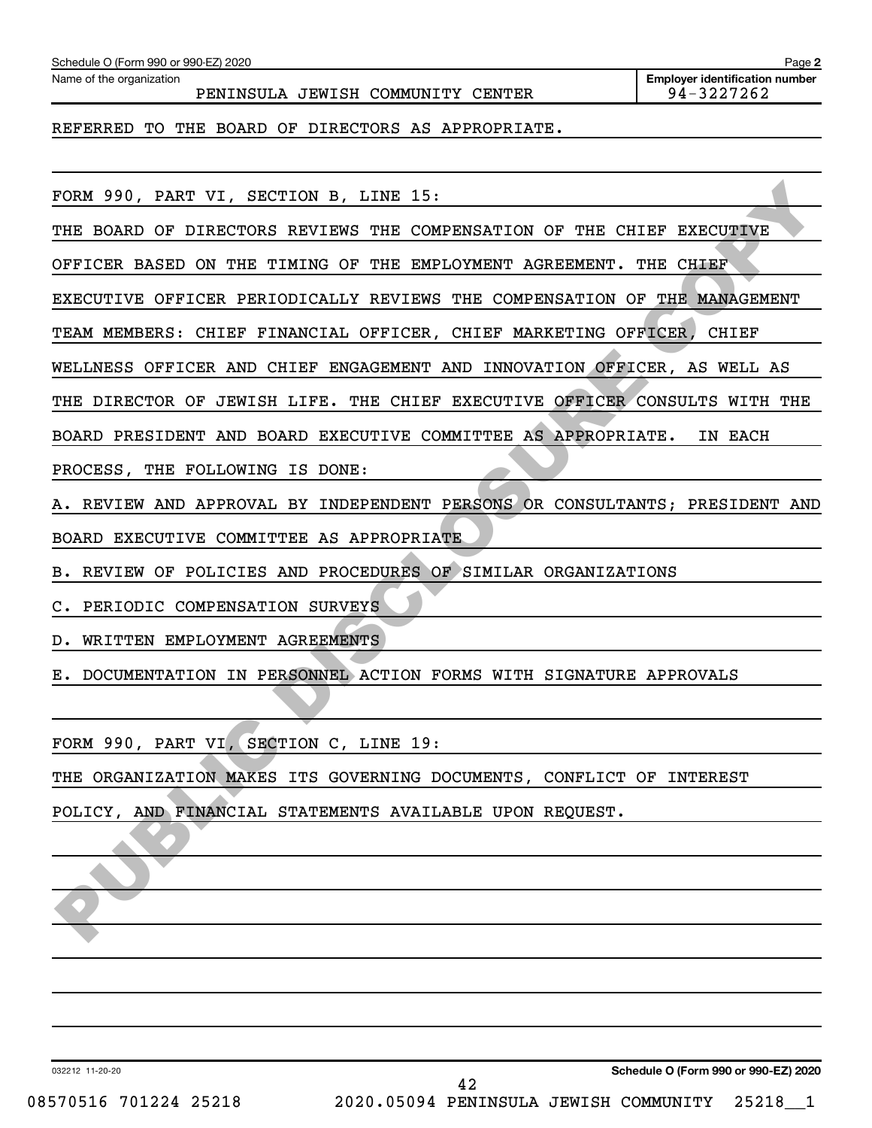| Name of the organization<br>PENINSULA JEWISH COMMUNITY CENTER                  | <b>Employer identification number</b><br>94-3227262 |
|--------------------------------------------------------------------------------|-----------------------------------------------------|
| REFERRED TO THE BOARD OF DIRECTORS AS APPROPRIATE.                             |                                                     |
| FORM 990, PART VI, SECTION B, LINE 15:                                         |                                                     |
| THE BOARD OF DIRECTORS REVIEWS THE COMPENSATION OF<br>THE                      | CHIEF EXECUTIVE                                     |
| OFFICER BASED ON THE TIMING OF<br>THE EMPLOYMENT AGREEMENT.                    | THE CHIEF                                           |
| EXECUTIVE OFFICER PERIODICALLY REVIEWS THE COMPENSATION OF THE MANAGEMENT      |                                                     |
| TEAM MEMBERS: CHIEF FINANCIAL OFFICER, CHIEF MARKETING OFFICER,                | <b>CHIEF</b>                                        |
| WELLNESS OFFICER AND CHIEF ENGAGEMENT AND INNOVATION OFFICER, AS WELL AS       |                                                     |
| THE DIRECTOR OF JEWISH LIFE. THE CHIEF EXECUTIVE OFFICER CONSULTS WITH THE     |                                                     |
| BOARD PRESIDENT AND BOARD EXECUTIVE COMMITTEE AS APPROPRIATE.                  | IN EACH                                             |
| PROCESS, THE FOLLOWING IS DONE:                                                |                                                     |
| REVIEW AND APPROVAL BY INDEPENDENT PERSONS OR CONSULTANTS; PRESIDENT AND<br>А. |                                                     |
| BOARD EXECUTIVE COMMITTEE AS APPROPRIATE                                       |                                                     |
| REVIEW OF POLICIES AND PROCEDURES OF SIMILAR ORGANIZATIONS<br>в.               |                                                     |
| PERIODIC COMPENSATION SURVEYS<br>c.                                            |                                                     |
| WRITTEN EMPLOYMENT AGREEMENTS<br>D.                                            |                                                     |
| DOCUMENTATION IN PERSONNEL ACTION FORMS WITH SIGNATURE APPROVALS<br>Е.         |                                                     |
| FORM 990, PART VI, SECTION C, LINE 19:                                         |                                                     |
| THE ORGANIZATION MAKES ITS GOVERNING DOCUMENTS, CONFLICT OF INTEREST           |                                                     |
| POLICY, AND FINANCIAL STATEMENTS AVAILABLE UPON REQUEST.                       |                                                     |
|                                                                                |                                                     |
|                                                                                |                                                     |
|                                                                                |                                                     |
|                                                                                |                                                     |
|                                                                                |                                                     |
|                                                                                |                                                     |
| 032212 11-20-20                                                                | Schedule O (Form 990 or 990-EZ) 2020                |
|                                                                                |                                                     |

Schedule O (Form 990 or 990-EZ) 2020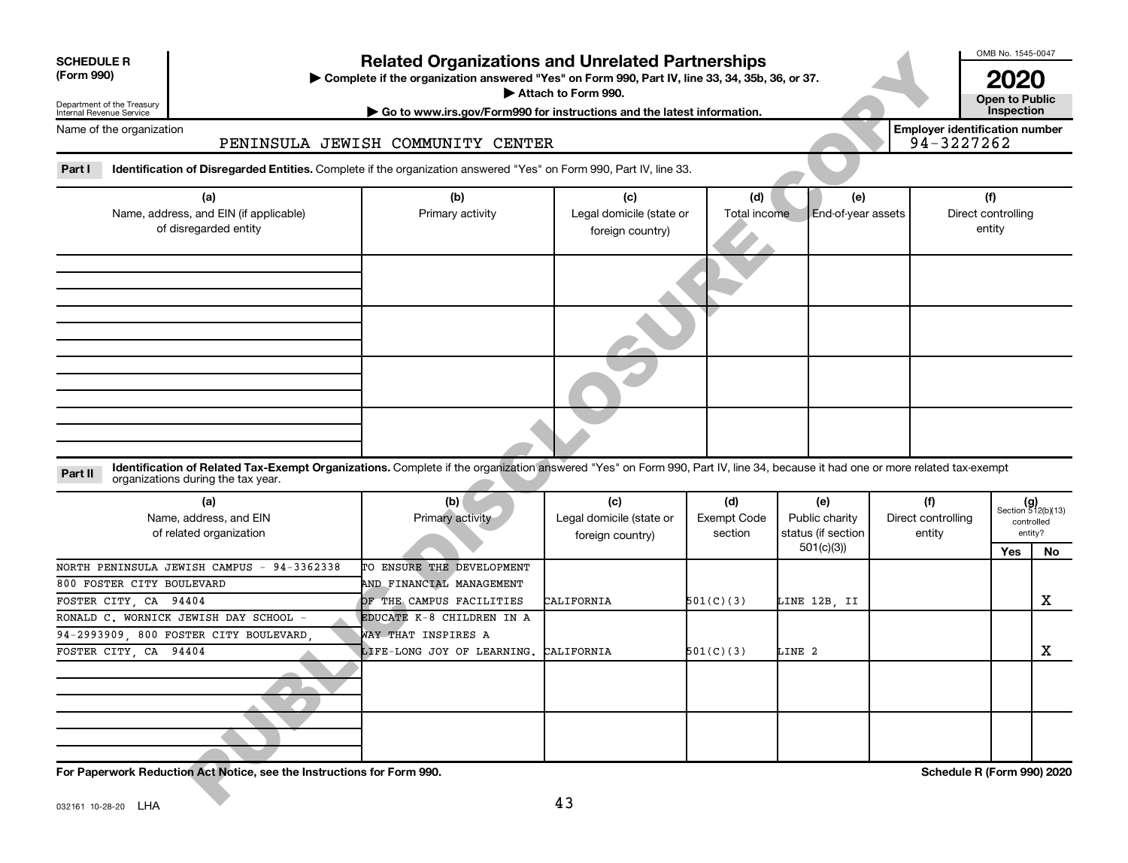| <b>SCHEDULE R</b> |  |
|-------------------|--|
|                   |  |

#### Department of the Treasury Internal Revenue Service

### **Related Organizations and Unrelated Partnerships**

#### PENINSULA JEWISH COMMUNITY CENTER

| <b>SCHEDULE R</b><br>(Form 990)<br>Department of the Treasury |                                                                                                                                                                                                                    | <b>Related Organizations and Unrelated Partnerships</b><br>> Complete if the organization answered "Yes" on Form 990, Part IV, line 33, 34, 35b, 36, or 37.<br>Attach to Form 990. |                                                     |                                      |                                                          |                                     |                                                     |                                                      |     |  |
|---------------------------------------------------------------|--------------------------------------------------------------------------------------------------------------------------------------------------------------------------------------------------------------------|------------------------------------------------------------------------------------------------------------------------------------------------------------------------------------|-----------------------------------------------------|--------------------------------------|----------------------------------------------------------|-------------------------------------|-----------------------------------------------------|------------------------------------------------------|-----|--|
|                                                               | Go to www.irs.gov/Form990 for instructions and the latest information.<br>Internal Revenue Service                                                                                                                 |                                                                                                                                                                                    |                                                     |                                      |                                                          |                                     |                                                     |                                                      |     |  |
| Name of the organization                                      |                                                                                                                                                                                                                    | PENINSULA JEWISH COMMUNITY CENTER                                                                                                                                                  |                                                     |                                      |                                                          |                                     | <b>Employer identification number</b><br>94-3227262 |                                                      |     |  |
| Part I                                                        | Identification of Disregarded Entities. Complete if the organization answered "Yes" on Form 990, Part IV, line 33.                                                                                                 |                                                                                                                                                                                    |                                                     |                                      |                                                          |                                     |                                                     |                                                      |     |  |
|                                                               | (a)<br>Name, address, and EIN (if applicable)<br>Primary activity<br>of disregarded entity                                                                                                                         |                                                                                                                                                                                    | (c)<br>Legal domicile (state or<br>foreign country) | (d)<br>Total income                  | (e)<br>End-of-year assets                                |                                     |                                                     | (f)<br>Direct controlling<br>entity                  |     |  |
|                                                               |                                                                                                                                                                                                                    |                                                                                                                                                                                    |                                                     |                                      |                                                          |                                     |                                                     |                                                      |     |  |
|                                                               |                                                                                                                                                                                                                    |                                                                                                                                                                                    |                                                     |                                      |                                                          |                                     |                                                     |                                                      |     |  |
|                                                               |                                                                                                                                                                                                                    |                                                                                                                                                                                    |                                                     |                                      |                                                          |                                     |                                                     |                                                      |     |  |
|                                                               |                                                                                                                                                                                                                    |                                                                                                                                                                                    |                                                     |                                      |                                                          |                                     |                                                     |                                                      |     |  |
| Part II                                                       | Identification of Related Tax-Exempt Organizations. Complete if the organization answered "Yes" on Form 990, Part IV, line 34, because it had one or more related tax-exempt<br>organizations during the tax year. |                                                                                                                                                                                    |                                                     |                                      |                                                          |                                     |                                                     |                                                      |     |  |
|                                                               | (a)<br>Name, address, and EIN<br>of related organization                                                                                                                                                           | (b)<br>Primary activity                                                                                                                                                            | (c)<br>Legal domicile (state or<br>foreign country) | (d)<br><b>Exempt Code</b><br>section | (e)<br>Public charity<br>status (if section<br>501(c)(3) | (f)<br>Direct controlling<br>entity |                                                     | $(g)$<br>Section 512(b)(13)<br>controlled<br>entity? |     |  |
|                                                               | NORTH PENINSULA JEWISH CAMPUS - 94-3362338                                                                                                                                                                         | TO ENSURE THE DEVELOPMENT                                                                                                                                                          |                                                     |                                      |                                                          |                                     |                                                     | Yes                                                  | No. |  |
| 800 FOSTER CITY BOULEVARD                                     |                                                                                                                                                                                                                    | AND FINANCIAL MANAGEMENT                                                                                                                                                           |                                                     |                                      |                                                          |                                     |                                                     |                                                      |     |  |

#### **Part II** Identification of Related Tax-Exempt Organizations. Complete if the organization answered "Yes" on Form 990, Part IV, line 34, because it had one or more related tax-exempt<br>Part II acconizations during the tax ye organizations during the tax year.

| (a)<br>Name, address, and EIN<br>of related organization                                                      | (b)<br>Primary activity               | (c)<br>Legal domicile (state or<br>foreign country) | (d)<br>Exempt Code<br>section | (e)<br>Public charity<br>status (if section | (f)<br>Direct controlling<br>entity |     | $(g)$<br>Section 512(b)(13)<br>controlled<br>entity? |
|---------------------------------------------------------------------------------------------------------------|---------------------------------------|-----------------------------------------------------|-------------------------------|---------------------------------------------|-------------------------------------|-----|------------------------------------------------------|
|                                                                                                               |                                       |                                                     |                               | 501(c)(3))                                  |                                     | Yes | No                                                   |
| NORTH PENINSULA JEWISH CAMPUS - 94-3362338                                                                    | TO ENSURE THE DEVELOPMENT             |                                                     |                               |                                             |                                     |     |                                                      |
| 800 FOSTER CITY BOULEVARD                                                                                     | AND FINANCIAL MANAGEMENT              |                                                     |                               |                                             |                                     |     |                                                      |
| FOSTER CITY, CA 94404                                                                                         | OF THE CAMPUS FACILITIES              | CALIFORNIA                                          | 501(C)(3)                     | LINE 12B, II                                |                                     |     | x                                                    |
| RONALD C. WORNICK JEWISH DAY SCHOOL -                                                                         | EDUCATE K-8 CHILDREN IN A             |                                                     |                               |                                             |                                     |     |                                                      |
| 94-2993909, 800 FOSTER CITY BOULEVARD,                                                                        | WAY THAT INSPIRES A                   |                                                     |                               |                                             |                                     |     |                                                      |
| FOSTER CITY, CA 94404                                                                                         | LIFE-LONG JOY OF LEARNING. CALIFORNIA |                                                     | 501(C)(3)                     | LINE 2                                      |                                     |     | х                                                    |
|                                                                                                               |                                       |                                                     |                               |                                             |                                     |     |                                                      |
|                                                                                                               |                                       |                                                     |                               |                                             |                                     |     |                                                      |
| For Paperwork Reduction Act Notice, see the Instructions for Form 990.<br>$0.00161, 10.00, 00$ $\blacksquare$ |                                       | 43                                                  |                               |                                             | Schedule R (Form 990) 2020          |     |                                                      |

OMB No. 1545-0047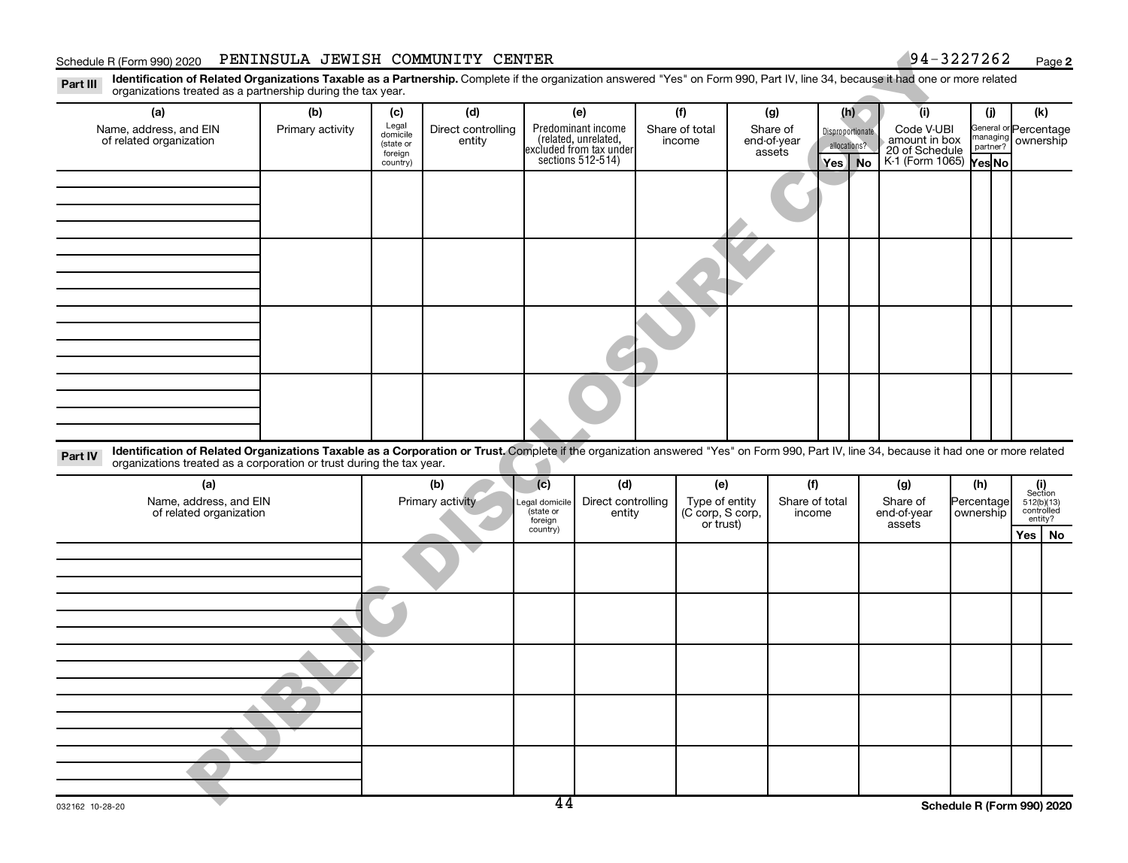#### Schedule R (Form 990) 2020 PENINSULA JEWISH COMMUNITY CENTER  $\footnotesize\phantom{a}$  94–3227262  $\footnotesize\phantom{a}$  Page

**2**

**Disproportionate** allocations? Legal domicile (state or foreign country) General or Percentage managing partner? Part III Identification of Related Organizations Taxable as a Partnership. Complete if the organization answered "Yes" on Form 990, Part IV, line 34, because it had one or more related<br>Read to the organizations tracted as **(a) (b) (c) (d) (e) (f) (g) (h) (i) (j) (k) Yes | No |** K-1 (Form 1065) **Yes No** Predominant income (related, unrelated, excluded from tax under sections 512-514) organizations treated as a partnership during the tax year. Name, address, and EIN of related organization Primary activity  $\left| \begin{array}{c} \text{Legal} \\ \text{demiilla} \end{array} \right|$  Direct controlling entity Share of total income Share of end-of-year assets Code V-UBI amount in box 20 of Schedule ownership **OMVIDITY CENTER**<br>
The controlling (a)<br>
Direct controlling Predominant income<br>
(a) (b) (b) (b) (b) (b) (b)<br>
Direct controlling Predominant income<br>
entity (b)<br>
entity (b) (b) (b) (b)<br>
and of your final of the controlling St

| Part IV | i axablc<br><b>Identification</b><br>aater:<br><i>r</i> oaniz<br>organi:<br>. ration<br>mus<br>……us treate⊂<br>™m | Trus.<br>as :<br>.corp<br>וח חסודו <i>ב</i> זנ<br>tax vea.<br>TNE.<br>ırırır | nniete | orgal<br>במדו<br>74 I II | n answered. | "Yes' | " on Form 990.<br>Part IV.<br>line | . her<br>cause | na | elated |
|---------|-------------------------------------------------------------------------------------------------------------------|------------------------------------------------------------------------------|--------|--------------------------|-------------|-------|------------------------------------|----------------|----|--------|
|         |                                                                                                                   |                                                                              |        |                          |             |       |                                    |                |    |        |

| (a)                                               | (b)              | (c)                         | (d)                          | (e)                                                                         | (f)      | (g)         | (h)                        |                                                                                                                                   |  |
|---------------------------------------------------|------------------|-----------------------------|------------------------------|-----------------------------------------------------------------------------|----------|-------------|----------------------------|-----------------------------------------------------------------------------------------------------------------------------------|--|
| Name, address, and EIN<br>of related organization | Primary activity | Legal domicile<br>(state or | Direct controlling<br>entity | Type of entity<br>(C corp, S corp,<br>or trust)<br>Share of total<br>income | Share of | end-of-year | Percentage<br>ownership    | $\begin{array}{c} \textbf{(i)}\\ \text{Section}\\ 5\,12 \text{(b)} \text{(13)}\\ \text{controlled} \\ \text{entity?} \end{array}$ |  |
|                                                   |                  | foreign<br>country)         |                              |                                                                             |          | assets      |                            | $Yes \mid No$                                                                                                                     |  |
|                                                   |                  |                             |                              |                                                                             |          |             |                            |                                                                                                                                   |  |
|                                                   |                  |                             |                              |                                                                             |          |             |                            |                                                                                                                                   |  |
|                                                   |                  |                             |                              |                                                                             |          |             |                            |                                                                                                                                   |  |
|                                                   |                  |                             |                              |                                                                             |          |             |                            |                                                                                                                                   |  |
|                                                   |                  |                             |                              |                                                                             |          |             |                            |                                                                                                                                   |  |
|                                                   |                  |                             |                              |                                                                             |          |             |                            |                                                                                                                                   |  |
|                                                   |                  |                             |                              |                                                                             |          |             |                            |                                                                                                                                   |  |
|                                                   |                  |                             |                              |                                                                             |          |             |                            |                                                                                                                                   |  |
|                                                   |                  |                             |                              |                                                                             |          |             |                            |                                                                                                                                   |  |
|                                                   |                  |                             |                              |                                                                             |          |             |                            |                                                                                                                                   |  |
|                                                   |                  |                             |                              |                                                                             |          |             |                            |                                                                                                                                   |  |
|                                                   |                  |                             |                              |                                                                             |          |             |                            |                                                                                                                                   |  |
|                                                   |                  |                             |                              |                                                                             |          |             |                            |                                                                                                                                   |  |
|                                                   |                  |                             |                              |                                                                             |          |             |                            |                                                                                                                                   |  |
|                                                   |                  |                             |                              |                                                                             |          |             |                            |                                                                                                                                   |  |
| 0.00160, 10, 00, 00                               |                  | $\overline{44}$             |                              |                                                                             |          |             | Schodule D (Form 000) 2020 |                                                                                                                                   |  |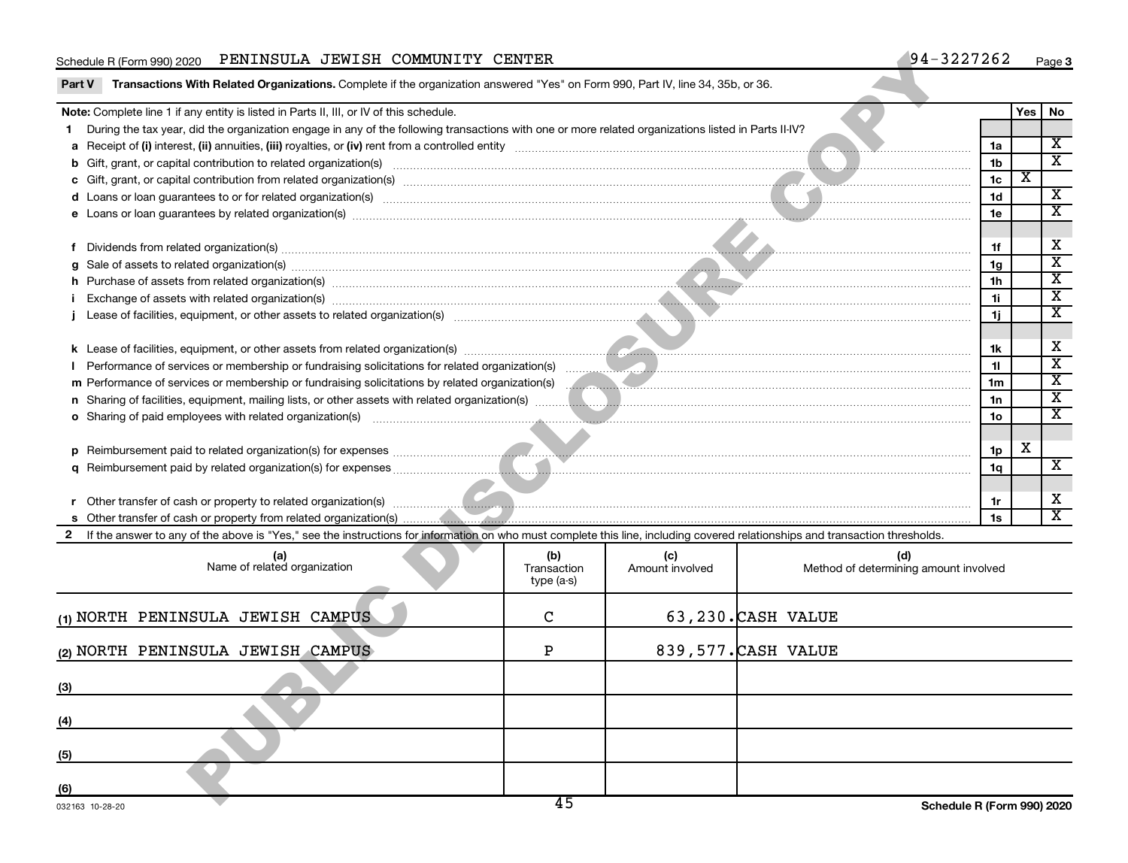#### Schedule R (Form 990) 2020 PENINSULA JEWISH COMMUNITY CENTER  $\footnotesize\phantom{a}$  94–3227262  $\footnotesize\phantom{a}$  Page

|        | Schedule R (Form 990) 2020 PENINSULA JEWISH COMMUNITY CENTER                                                                                                                                                                   |                                  |                        |                     | $94 - 3227262$                               |     |     | Page 3                  |
|--------|--------------------------------------------------------------------------------------------------------------------------------------------------------------------------------------------------------------------------------|----------------------------------|------------------------|---------------------|----------------------------------------------|-----|-----|-------------------------|
| Part V | Transactions With Related Organizations. Complete if the organization answered "Yes" on Form 990, Part IV, line 34, 35b, or 36.                                                                                                |                                  |                        |                     |                                              |     |     |                         |
|        | Note: Complete line 1 if any entity is listed in Parts II, III, or IV of this schedule.                                                                                                                                        |                                  |                        |                     |                                              |     | Yes | No                      |
|        | During the tax year, did the organization engage in any of the following transactions with one or more related organizations listed in Parts II-IV?                                                                            |                                  |                        |                     |                                              |     |     |                         |
|        |                                                                                                                                                                                                                                |                                  |                        |                     |                                              | 1a  |     | $\overline{\mathbf{X}}$ |
|        |                                                                                                                                                                                                                                |                                  |                        |                     |                                              | 1b  |     | $\overline{\mathbf{x}}$ |
|        |                                                                                                                                                                                                                                |                                  |                        |                     |                                              | 1c  | х   |                         |
|        |                                                                                                                                                                                                                                |                                  |                        |                     |                                              | 1d  |     | $\overline{\mathbf{X}}$ |
|        | e Loans or loan guarantees by related organization(s) material contents and content to content and content and content and content and content and content and content and content and content and content and content and con |                                  |                        |                     |                                              | 1e  |     | $\overline{\mathbf{x}}$ |
|        |                                                                                                                                                                                                                                |                                  |                        |                     |                                              |     |     |                         |
|        |                                                                                                                                                                                                                                |                                  |                        |                     |                                              |     |     | Χ                       |
|        | g Sale of assets to related organization(s) material contents and content to the content of the content of the content of the content of the content of the content of the content of the content of the content of the conten |                                  |                        |                     |                                              | 1g  |     | $\overline{\mathbf{x}}$ |
|        | h Purchase of assets from related organization(s) manufactured content to the content of the content of the content of the content of the content of the content of the content of the content of the content of the content o |                                  |                        |                     |                                              | 1h  |     | $\overline{\mathbf{X}}$ |
|        | i Exchange of assets with related organization(s) manufactured and content and content and content and content and content and content and content and content and content and content and content and content and content and |                                  |                        |                     |                                              | 1i. |     | $\overline{\mathbf{x}}$ |
|        |                                                                                                                                                                                                                                |                                  |                        |                     |                                              | 1i. |     | $\overline{\textbf{x}}$ |
|        |                                                                                                                                                                                                                                |                                  |                        |                     |                                              |     |     |                         |
|        |                                                                                                                                                                                                                                |                                  |                        |                     |                                              | 1k  |     | Χ                       |
|        |                                                                                                                                                                                                                                |                                  |                        |                     |                                              | 11  |     | $\overline{\mathbf{x}}$ |
|        |                                                                                                                                                                                                                                |                                  |                        |                     |                                              | 1m  |     | $\overline{\mathbf{X}}$ |
|        | n Sharing of facilities, equipment, mailing lists, or other assets with related organization(s) manuscription manuscription and content and the state of facilities, equipment, mailing lists, or other assets with related or |                                  |                        |                     |                                              | 1n  |     | $\overline{\mathbf{x}}$ |
|        | o Sharing of paid employees with related organization(s) manufactured and content to the state of the state organization (s)                                                                                                   |                                  |                        |                     |                                              | 1о  |     | $\overline{\mathbf{x}}$ |
|        |                                                                                                                                                                                                                                |                                  |                        |                     |                                              |     |     |                         |
|        |                                                                                                                                                                                                                                |                                  |                        |                     |                                              | 1p  | x   |                         |
|        |                                                                                                                                                                                                                                |                                  |                        |                     |                                              | 1q  |     | $\overline{\mathbf{X}}$ |
|        |                                                                                                                                                                                                                                |                                  |                        |                     |                                              |     |     |                         |
|        |                                                                                                                                                                                                                                |                                  |                        |                     |                                              | 1r  |     | Χ                       |
|        |                                                                                                                                                                                                                                |                                  |                        |                     |                                              | 1s  |     | $\overline{\textbf{x}}$ |
| 2      | If the answer to any of the above is "Yes," see the instructions for information on who must complete this line, including covered relationships and transaction thresholds.                                                   |                                  |                        |                     |                                              |     |     |                         |
|        |                                                                                                                                                                                                                                |                                  |                        |                     |                                              |     |     |                         |
|        | (a)<br>Name of related organization                                                                                                                                                                                            | (b)<br>Transaction<br>type (a-s) | (c)<br>Amount involved |                     | (d)<br>Method of determining amount involved |     |     |                         |
|        | (1) NORTH PENINSULA JEWISH CAMPUS                                                                                                                                                                                              | C                                |                        | 63,230.CASH VALUE   |                                              |     |     |                         |
|        | (2) NORTH PENINSULA JEWISH CAMPUS                                                                                                                                                                                              | P                                |                        | 839,577. CASH VALUE |                                              |     |     |                         |
| (3)    |                                                                                                                                                                                                                                |                                  |                        |                     |                                              |     |     |                         |
| (4)    |                                                                                                                                                                                                                                |                                  |                        |                     |                                              |     |     |                         |
| (5)    |                                                                                                                                                                                                                                |                                  |                        |                     |                                              |     |     |                         |
| (6)    |                                                                                                                                                                                                                                |                                  |                        |                     |                                              |     |     |                         |
|        |                                                                                                                                                                                                                                | 45                               |                        |                     | Schodule D (Form 000) 2020                   |     |     |                         |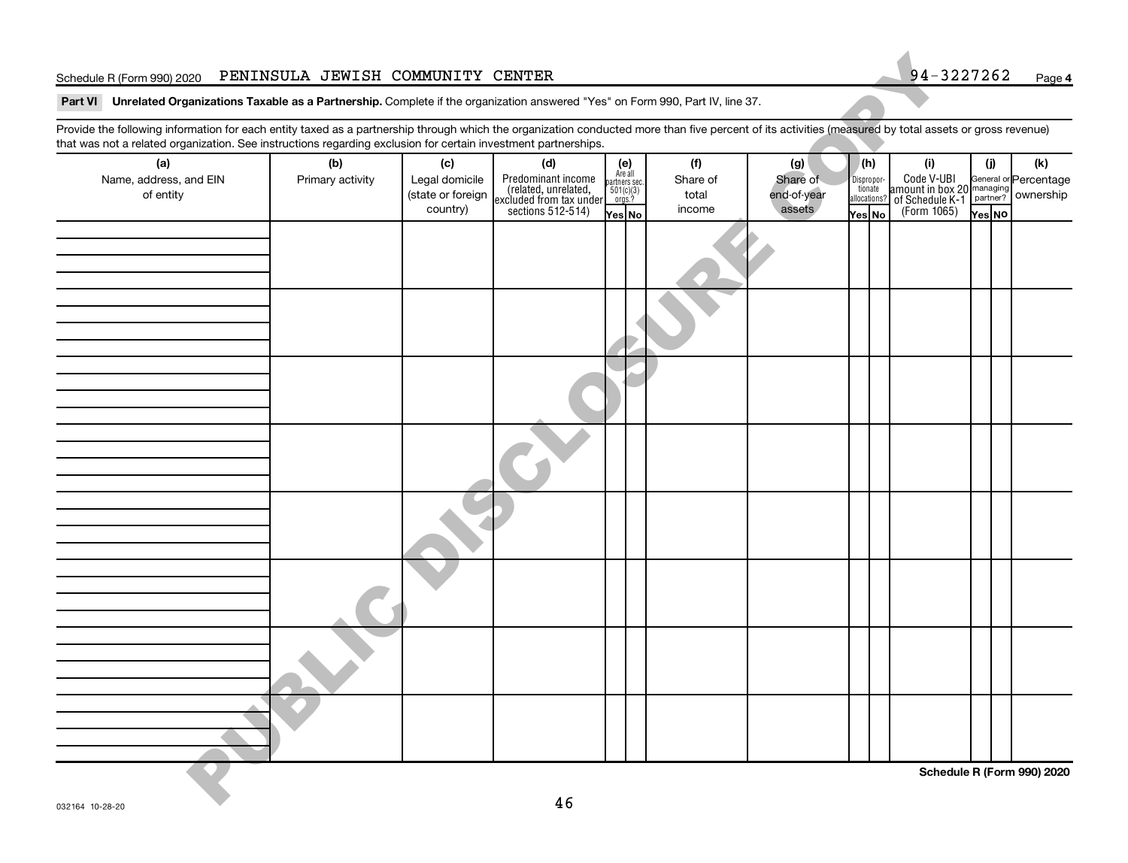#### Schedule R (Form 990) 2020 PENINSULA JEWISH COMMUNITY CENTER  $94-3227262$  Page

| Schedule R (Form 990) 2020                                                                                                                                                                                                                                                                                               | PENINSULA JEWISH COMMUNITY CENTER |                                                 |                                                                                              |                                                             |                             |                                   |                                                 | 94-3227262                                                                                                         |        | Page 4                     |
|--------------------------------------------------------------------------------------------------------------------------------------------------------------------------------------------------------------------------------------------------------------------------------------------------------------------------|-----------------------------------|-------------------------------------------------|----------------------------------------------------------------------------------------------|-------------------------------------------------------------|-----------------------------|-----------------------------------|-------------------------------------------------|--------------------------------------------------------------------------------------------------------------------|--------|----------------------------|
| Part VI Unrelated Organizations Taxable as a Partnership. Complete if the organization answered "Yes" on Form 990, Part IV, line 37.                                                                                                                                                                                     |                                   |                                                 |                                                                                              |                                                             |                             |                                   |                                                 |                                                                                                                    |        |                            |
| Provide the following information for each entity taxed as a partnership through which the organization conducted more than five percent of its activities (measured by total assets or gross revenue)<br>that was not a related organization. See instructions regarding exclusion for certain investment partnerships. |                                   |                                                 |                                                                                              |                                                             |                             |                                   |                                                 |                                                                                                                    |        |                            |
| (a)                                                                                                                                                                                                                                                                                                                      | (b)                               | (c)                                             | (d)                                                                                          | (e)                                                         | (f)                         | (g)                               | (h)                                             | (i)                                                                                                                | (j)    | (k)                        |
| Name, address, and EIN<br>of entity                                                                                                                                                                                                                                                                                      | Primary activity                  | Legal domicile<br>(state or foreign<br>country) | Predominant income<br>related, unrelated,<br>excluded from tax under<br>sections $512-514$ ) | Are all<br>partners sec.<br>$501(c)(3)$<br>orgs.?<br>Yes No | Share of<br>total<br>income | Share of<br>end-of-year<br>assets | Dispropor-<br>tionate<br>allocations?<br>Yes No | Code V-UBI General or Percentage<br>amount in box 20 managing<br>of Schedule K-1 partner? ownership<br>(Form 1065) | Yes NO |                            |
|                                                                                                                                                                                                                                                                                                                          |                                   |                                                 |                                                                                              |                                                             |                             |                                   |                                                 |                                                                                                                    |        |                            |
|                                                                                                                                                                                                                                                                                                                          |                                   |                                                 |                                                                                              |                                                             |                             |                                   |                                                 |                                                                                                                    |        |                            |
|                                                                                                                                                                                                                                                                                                                          |                                   |                                                 |                                                                                              |                                                             |                             |                                   |                                                 |                                                                                                                    |        |                            |
|                                                                                                                                                                                                                                                                                                                          |                                   |                                                 |                                                                                              |                                                             |                             |                                   |                                                 |                                                                                                                    |        |                            |
|                                                                                                                                                                                                                                                                                                                          |                                   |                                                 |                                                                                              |                                                             |                             |                                   |                                                 |                                                                                                                    |        |                            |
|                                                                                                                                                                                                                                                                                                                          |                                   |                                                 |                                                                                              |                                                             |                             |                                   |                                                 |                                                                                                                    |        |                            |
|                                                                                                                                                                                                                                                                                                                          |                                   |                                                 |                                                                                              |                                                             |                             |                                   |                                                 |                                                                                                                    |        |                            |
|                                                                                                                                                                                                                                                                                                                          |                                   |                                                 |                                                                                              |                                                             |                             |                                   |                                                 |                                                                                                                    |        |                            |
|                                                                                                                                                                                                                                                                                                                          |                                   |                                                 | 46                                                                                           |                                                             |                             |                                   |                                                 |                                                                                                                    |        | Schedule R (Form 990) 2020 |